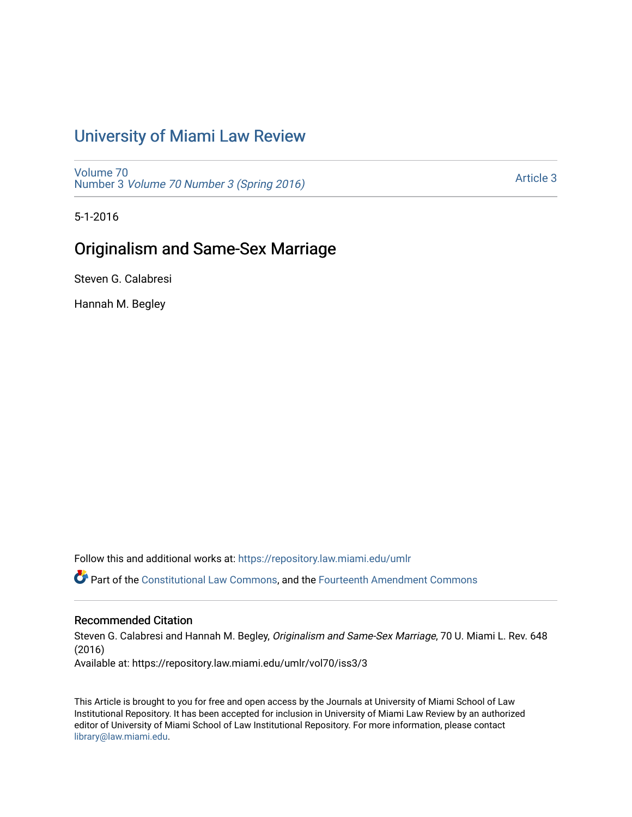# [University of Miami Law Review](https://repository.law.miami.edu/umlr)

[Volume 70](https://repository.law.miami.edu/umlr/vol70) Number 3 [Volume 70 Number 3 \(Spring 2016\)](https://repository.law.miami.edu/umlr/vol70/iss3)

[Article 3](https://repository.law.miami.edu/umlr/vol70/iss3/3) 

5-1-2016

### Originalism and Same-Sex Marriage

Steven G. Calabresi

Hannah M. Begley

Follow this and additional works at: [https://repository.law.miami.edu/umlr](https://repository.law.miami.edu/umlr?utm_source=repository.law.miami.edu%2Fumlr%2Fvol70%2Fiss3%2F3&utm_medium=PDF&utm_campaign=PDFCoverPages)

Part of the [Constitutional Law Commons,](http://network.bepress.com/hgg/discipline/589?utm_source=repository.law.miami.edu%2Fumlr%2Fvol70%2Fiss3%2F3&utm_medium=PDF&utm_campaign=PDFCoverPages) and the [Fourteenth Amendment Commons](http://network.bepress.com/hgg/discipline/1116?utm_source=repository.law.miami.edu%2Fumlr%2Fvol70%2Fiss3%2F3&utm_medium=PDF&utm_campaign=PDFCoverPages) 

### Recommended Citation

Steven G. Calabresi and Hannah M. Begley, Originalism and Same-Sex Marriage, 70 U. Miami L. Rev. 648 (2016) Available at: https://repository.law.miami.edu/umlr/vol70/iss3/3

This Article is brought to you for free and open access by the Journals at University of Miami School of Law Institutional Repository. It has been accepted for inclusion in University of Miami Law Review by an authorized editor of University of Miami School of Law Institutional Repository. For more information, please contact [library@law.miami.edu.](mailto:library@law.miami.edu)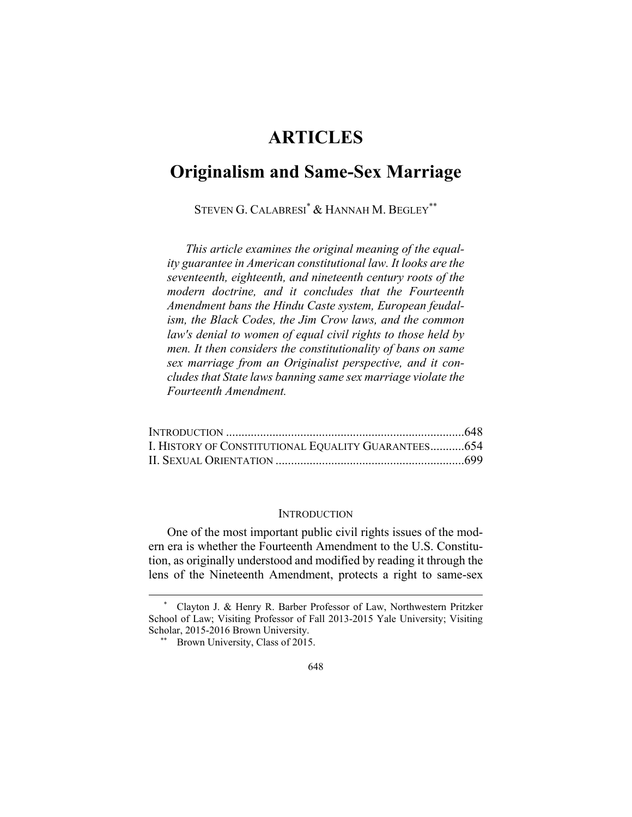## **ARTICLES**

## **Originalism and Same-Sex Marriage**

STEVEN G. CALABRESI\* & HANNAH M. BEGLEY\*\*

*This article examines the original meaning of the equality guarantee in American constitutional law. It looks are the seventeenth, eighteenth, and nineteenth century roots of the modern doctrine, and it concludes that the Fourteenth Amendment bans the Hindu Caste system, European feudalism, the Black Codes, the Jim Crow laws, and the common law's denial to women of equal civil rights to those held by men. It then considers the constitutionality of bans on same sex marriage from an Originalist perspective, and it concludes that State laws banning same sex marriage violate the Fourteenth Amendment.* 

| I. HISTORY OF CONSTITUTIONAL EQUALITY GUARANTEES654 |  |
|-----------------------------------------------------|--|
|                                                     |  |

#### **INTRODUCTION**

One of the most important public civil rights issues of the modern era is whether the Fourteenth Amendment to the U.S. Constitution, as originally understood and modified by reading it through the lens of the Nineteenth Amendment, protects a right to same-sex

1

 <sup>\*</sup> Clayton J. & Henry R. Barber Professor of Law, Northwestern Pritzker School of Law; Visiting Professor of Fall 2013-2015 Yale University; Visiting Scholar, 2015-2016 Brown University.

<sup>\*\*</sup> Brown University, Class of 2015.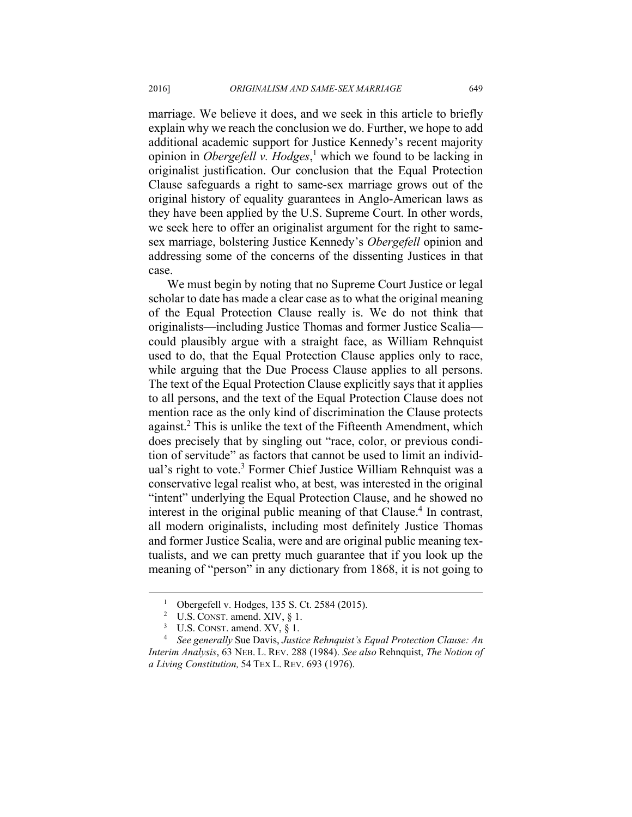marriage. We believe it does, and we seek in this article to briefly explain why we reach the conclusion we do. Further, we hope to add additional academic support for Justice Kennedy's recent majority opinion in *Obergefell v. Hodges*, 1 which we found to be lacking in originalist justification. Our conclusion that the Equal Protection Clause safeguards a right to same-sex marriage grows out of the original history of equality guarantees in Anglo-American laws as they have been applied by the U.S. Supreme Court. In other words, we seek here to offer an originalist argument for the right to samesex marriage, bolstering Justice Kennedy's *Obergefell* opinion and addressing some of the concerns of the dissenting Justices in that case.

We must begin by noting that no Supreme Court Justice or legal scholar to date has made a clear case as to what the original meaning of the Equal Protection Clause really is. We do not think that originalists—including Justice Thomas and former Justice Scalia could plausibly argue with a straight face, as William Rehnquist used to do, that the Equal Protection Clause applies only to race, while arguing that the Due Process Clause applies to all persons. The text of the Equal Protection Clause explicitly says that it applies to all persons, and the text of the Equal Protection Clause does not mention race as the only kind of discrimination the Clause protects against.<sup>2</sup> This is unlike the text of the Fifteenth Amendment, which does precisely that by singling out "race, color, or previous condition of servitude" as factors that cannot be used to limit an individual's right to vote.<sup>3</sup> Former Chief Justice William Rehnquist was a conservative legal realist who, at best, was interested in the original "intent" underlying the Equal Protection Clause, and he showed no interest in the original public meaning of that Clause.<sup>4</sup> In contrast, all modern originalists, including most definitely Justice Thomas and former Justice Scalia, were and are original public meaning textualists, and we can pretty much guarantee that if you look up the meaning of "person" in any dictionary from 1868, it is not going to

 <sup>1</sup> Obergefell v. Hodges, 135 S. Ct. 2584 (2015).

<sup>&</sup>lt;sup>2</sup> U.S. CONST. amend. XIV,  $\S 1$ .<br><sup>3</sup> IIS CONST amend XV  $\S 1$ .

<sup>&</sup>lt;sup>3</sup> U.S. CONST. amend. XV,  $\S$  1.

*See generally* Sue Davis, *Justice Rehnquist's Equal Protection Clause: An Interim Analysis*, 63 NEB. L. REV. 288 (1984). *See also* Rehnquist, *The Notion of a Living Constitution,* 54 TEX L. REV. 693 (1976).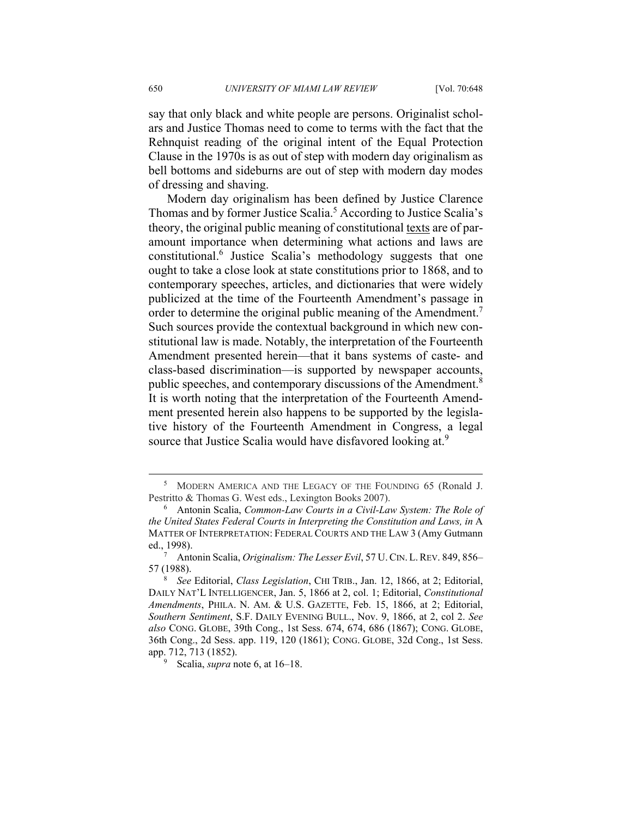say that only black and white people are persons. Originalist scholars and Justice Thomas need to come to terms with the fact that the Rehnquist reading of the original intent of the Equal Protection Clause in the 1970s is as out of step with modern day originalism as bell bottoms and sideburns are out of step with modern day modes of dressing and shaving.

Modern day originalism has been defined by Justice Clarence Thomas and by former Justice Scalia.<sup>5</sup> According to Justice Scalia's theory, the original public meaning of constitutional texts are of paramount importance when determining what actions and laws are constitutional.<sup>6</sup> Justice Scalia's methodology suggests that one ought to take a close look at state constitutions prior to 1868, and to contemporary speeches, articles, and dictionaries that were widely publicized at the time of the Fourteenth Amendment's passage in order to determine the original public meaning of the Amendment.<sup>7</sup> Such sources provide the contextual background in which new constitutional law is made. Notably, the interpretation of the Fourteenth Amendment presented herein—that it bans systems of caste- and class-based discrimination—is supported by newspaper accounts, public speeches, and contemporary discussions of the Amendment.<sup>8</sup> It is worth noting that the interpretation of the Fourteenth Amendment presented herein also happens to be supported by the legislative history of the Fourteenth Amendment in Congress, a legal source that Justice Scalia would have disfavored looking at.<sup>9</sup>

Scalia, *supra* note 6, at 16–18.

 $rac{1}{5}$  MODERN AMERICA AND THE LEGACY OF THE FOUNDING 65 (Ronald J. Pestritto & Thomas G. West eds., Lexington Books 2007).

Antonin Scalia, *Common-Law Courts in a Civil-Law System: The Role of the United States Federal Courts in Interpreting the Constitution and Laws, in* A MATTER OF INTERPRETATION: FEDERAL COURTS AND THE LAW 3 (Amy Gutmann ed., 1998). 7

Antonin Scalia, *Originalism: The Lesser Evil*, 57 U.CIN. L.REV. 849, 856– 57 (1988).

*See* Editorial, *Class Legislation*, CHI TRIB., Jan. 12, 1866, at 2; Editorial, DAILY NAT'L INTELLIGENCER, Jan. 5, 1866 at 2, col. 1; Editorial, *Constitutional Amendments*, PHILA. N. AM. & U.S. GAZETTE, Feb. 15, 1866, at 2; Editorial, *Southern Sentiment*, S.F. DAILY EVENING BULL., Nov. 9, 1866, at 2, col 2. *See also* CONG. GLOBE, 39th Cong., 1st Sess. 674, 674, 686 (1867); CONG. GLOBE, 36th Cong., 2d Sess. app. 119, 120 (1861); CONG. GLOBE, 32d Cong., 1st Sess. app. 712, 713 (1852).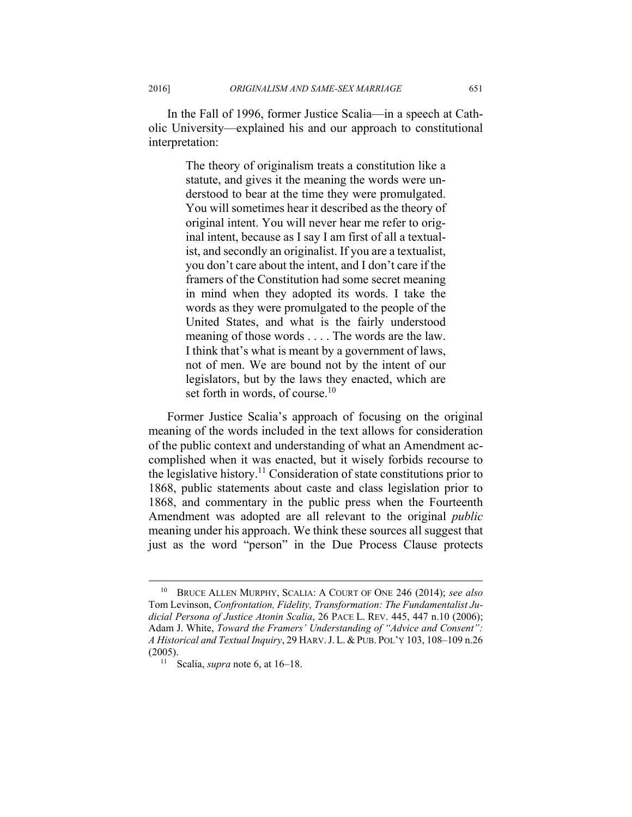In the Fall of 1996, former Justice Scalia—in a speech at Catholic University—explained his and our approach to constitutional interpretation:

> The theory of originalism treats a constitution like a statute, and gives it the meaning the words were understood to bear at the time they were promulgated. You will sometimes hear it described as the theory of original intent. You will never hear me refer to original intent, because as I say I am first of all a textualist, and secondly an originalist. If you are a textualist, you don't care about the intent, and I don't care if the framers of the Constitution had some secret meaning in mind when they adopted its words. I take the words as they were promulgated to the people of the United States, and what is the fairly understood meaning of those words . . . . The words are the law. I think that's what is meant by a government of laws, not of men. We are bound not by the intent of our legislators, but by the laws they enacted, which are set forth in words, of course.<sup>10</sup>

Former Justice Scalia's approach of focusing on the original meaning of the words included in the text allows for consideration of the public context and understanding of what an Amendment accomplished when it was enacted, but it wisely forbids recourse to the legislative history.<sup>11</sup> Consideration of state constitutions prior to 1868, public statements about caste and class legislation prior to 1868, and commentary in the public press when the Fourteenth Amendment was adopted are all relevant to the original *public* meaning under his approach. We think these sources all suggest that just as the word "person" in the Due Process Clause protects

 <sup>10</sup> BRUCE ALLEN MURPHY, SCALIA: <sup>A</sup> COURT OF ONE 246 (2014); *see also* Tom Levinson, *Confrontation, Fidelity, Transformation: The Fundamentalist Judicial Persona of Justice Atonin Scalia*, 26 PACE L. REV. 445, 447 n.10 (2006); Adam J. White, *Toward the Framers' Understanding of "Advice and Consent": A Historical and Textual Inquiry*, 29 HARV.J. L. & PUB. POL'Y 103, 108–109 n.26 (2005). 11 Scalia, *supra* note 6, at 16–18.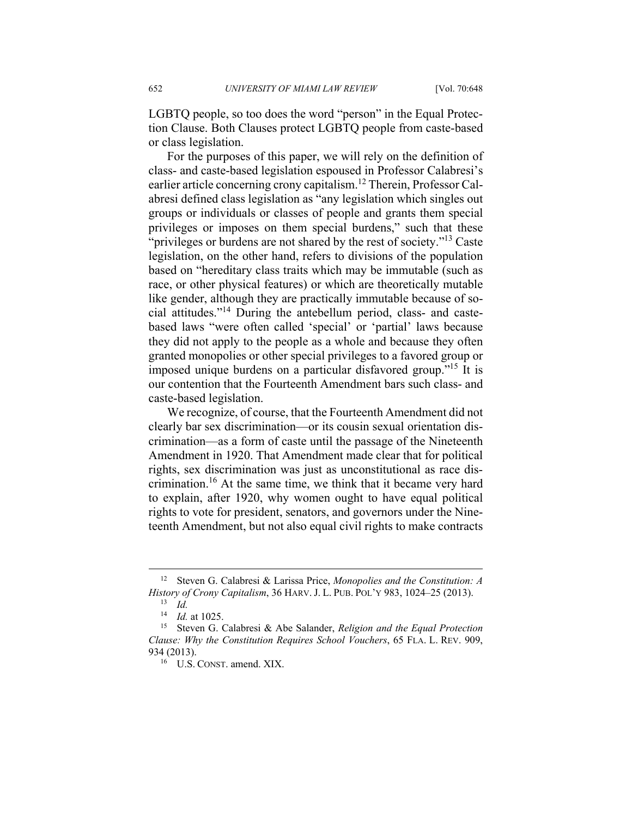LGBTQ people, so too does the word "person" in the Equal Protection Clause. Both Clauses protect LGBTQ people from caste-based or class legislation.

For the purposes of this paper, we will rely on the definition of class- and caste-based legislation espoused in Professor Calabresi's earlier article concerning crony capitalism.12 Therein, Professor Calabresi defined class legislation as "any legislation which singles out groups or individuals or classes of people and grants them special privileges or imposes on them special burdens," such that these "privileges or burdens are not shared by the rest of society."<sup>13</sup> Caste legislation, on the other hand, refers to divisions of the population based on "hereditary class traits which may be immutable (such as race, or other physical features) or which are theoretically mutable like gender, although they are practically immutable because of social attitudes."14 During the antebellum period, class- and castebased laws "were often called 'special' or 'partial' laws because they did not apply to the people as a whole and because they often granted monopolies or other special privileges to a favored group or imposed unique burdens on a particular disfavored group."15 It is our contention that the Fourteenth Amendment bars such class- and caste-based legislation.

We recognize, of course, that the Fourteenth Amendment did not clearly bar sex discrimination—or its cousin sexual orientation discrimination—as a form of caste until the passage of the Nineteenth Amendment in 1920. That Amendment made clear that for political rights, sex discrimination was just as unconstitutional as race discrimination.16 At the same time, we think that it became very hard to explain, after 1920, why women ought to have equal political rights to vote for president, senators, and governors under the Nineteenth Amendment, but not also equal civil rights to make contracts

 <sup>12</sup> Steven G. Calabresi & Larissa Price, *Monopolies and the Constitution: A History of Crony Capitalism*, 36 HARV. J. L. PUB. POL'Y 983, 1024–25 (2013). 13 *Id.*

<sup>&</sup>lt;sup>14</sup> *Id.* at 1025.<br><sup>15</sup> Steven G. Calabresi & Abe Salander, *Religion and the Equal Protection Clause: Why the Constitution Requires School Vouchers*, 65 FLA. L. REV. 909, 934 (2013).<br><sup>16</sup> U.S. CONST. amend. XIX.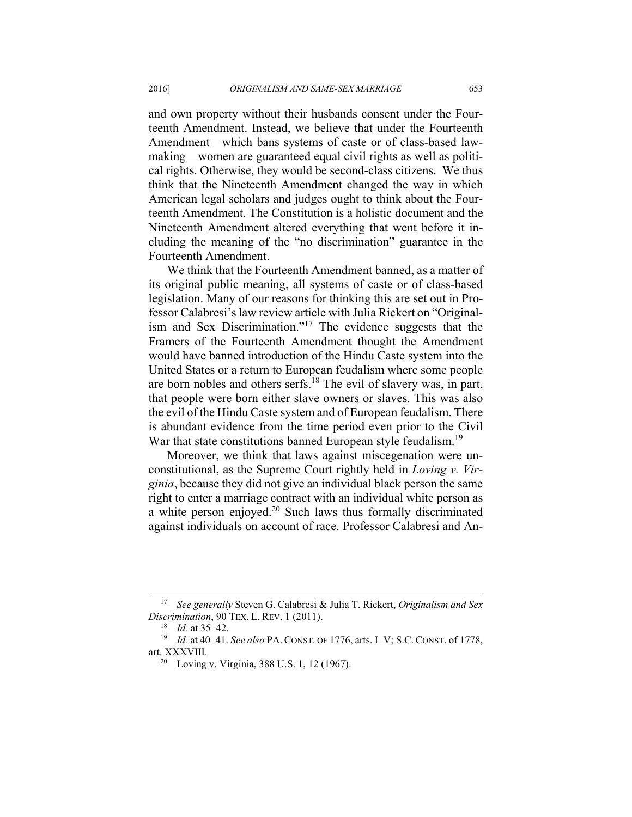and own property without their husbands consent under the Fourteenth Amendment. Instead, we believe that under the Fourteenth Amendment—which bans systems of caste or of class-based lawmaking—women are guaranteed equal civil rights as well as political rights. Otherwise, they would be second-class citizens. We thus think that the Nineteenth Amendment changed the way in which American legal scholars and judges ought to think about the Fourteenth Amendment. The Constitution is a holistic document and the Nineteenth Amendment altered everything that went before it including the meaning of the "no discrimination" guarantee in the Fourteenth Amendment.

We think that the Fourteenth Amendment banned, as a matter of its original public meaning, all systems of caste or of class-based legislation. Many of our reasons for thinking this are set out in Professor Calabresi's law review article with Julia Rickert on "Originalism and Sex Discrimination."17 The evidence suggests that the Framers of the Fourteenth Amendment thought the Amendment would have banned introduction of the Hindu Caste system into the United States or a return to European feudalism where some people are born nobles and others serfs.18 The evil of slavery was, in part, that people were born either slave owners or slaves. This was also the evil of the Hindu Caste system and of European feudalism. There is abundant evidence from the time period even prior to the Civil War that state constitutions banned European style feudalism.<sup>19</sup>

Moreover, we think that laws against miscegenation were unconstitutional, as the Supreme Court rightly held in *Loving v. Virginia*, because they did not give an individual black person the same right to enter a marriage contract with an individual white person as a white person enjoyed.20 Such laws thus formally discriminated against individuals on account of race. Professor Calabresi and An-

 <sup>17</sup> *See generally* Steven G. Calabresi & Julia T. Rickert, *Originalism and Sex Discrimination*, 90 TEX. L. REV. 1 (2011).<br><sup>18</sup> *Id.* at 35–42.<br><sup>19</sup> *Id.* at 40–41. *See also* PA. CONST. OF 1776, arts. I–V; S.C. CONST. of 1778,

art. XXXVIII.<br><sup>20</sup> Loving v. Virginia, 388 U.S. 1, 12 (1967).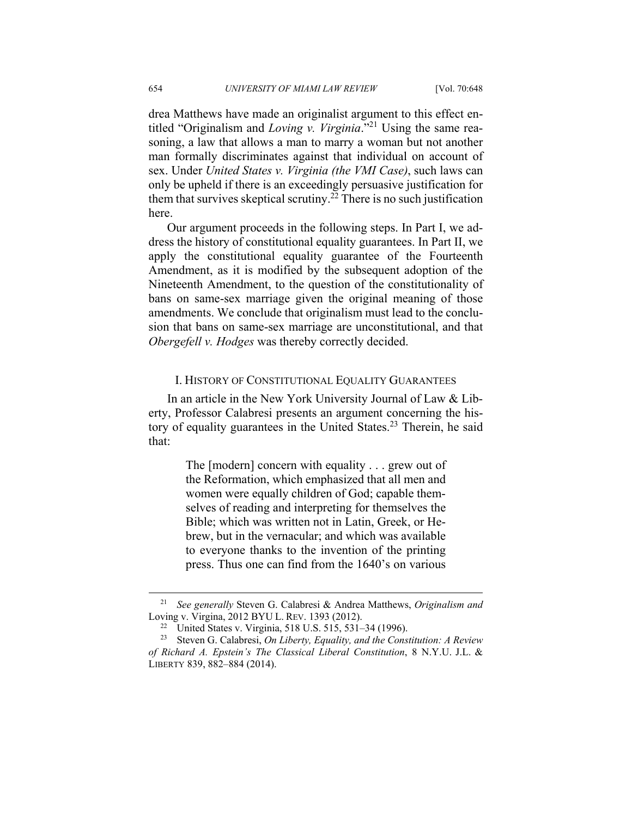drea Matthews have made an originalist argument to this effect entitled "Originalism and *Loving v. Virginia*."21 Using the same reasoning, a law that allows a man to marry a woman but not another man formally discriminates against that individual on account of sex. Under *United States v. Virginia (the VMI Case)*, such laws can only be upheld if there is an exceedingly persuasive justification for them that survives skeptical scrutiny.<sup>22</sup> There is no such justification here.

Our argument proceeds in the following steps. In Part I, we address the history of constitutional equality guarantees. In Part II, we apply the constitutional equality guarantee of the Fourteenth Amendment, as it is modified by the subsequent adoption of the Nineteenth Amendment, to the question of the constitutionality of bans on same-sex marriage given the original meaning of those amendments. We conclude that originalism must lead to the conclusion that bans on same-sex marriage are unconstitutional, and that *Obergefell v. Hodges* was thereby correctly decided.

### I. HISTORY OF CONSTITUTIONAL EQUALITY GUARANTEES

In an article in the New York University Journal of Law & Liberty, Professor Calabresi presents an argument concerning the history of equality guarantees in the United States.<sup>23</sup> Therein, he said that:

> The [modern] concern with equality . . . grew out of the Reformation, which emphasized that all men and women were equally children of God; capable themselves of reading and interpreting for themselves the Bible; which was written not in Latin, Greek, or Hebrew, but in the vernacular; and which was available to everyone thanks to the invention of the printing press. Thus one can find from the 1640's on various

 <sup>21</sup> *See generally* Steven G. Calabresi & Andrea Matthews, *Originalism and*  Loving v. Virgina, 2012 BYU L. REV. 1393 (2012). 22 United States v. Virginia, 518 U.S. 515, 531–34 (1996).

<sup>23</sup> Steven G. Calabresi, *On Liberty, Equality, and the Constitution: A Review of Richard A. Epstein's The Classical Liberal Constitution*, 8 N.Y.U. J.L. & LIBERTY 839, 882–884 (2014).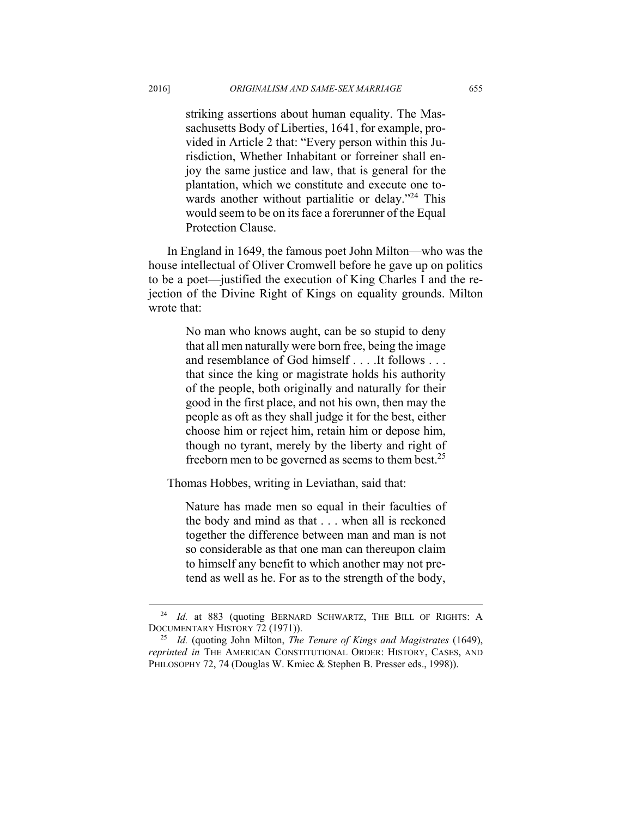striking assertions about human equality. The Massachusetts Body of Liberties, 1641, for example, provided in Article 2 that: "Every person within this Jurisdiction, Whether Inhabitant or forreiner shall enjoy the same justice and law, that is general for the plantation, which we constitute and execute one towards another without partialitie or delay."<sup>24</sup> This would seem to be on its face a forerunner of the Equal Protection Clause.

In England in 1649, the famous poet John Milton—who was the house intellectual of Oliver Cromwell before he gave up on politics to be a poet—justified the execution of King Charles I and the rejection of the Divine Right of Kings on equality grounds. Milton wrote that:

> No man who knows aught, can be so stupid to deny that all men naturally were born free, being the image and resemblance of God himself . . . .It follows . . . that since the king or magistrate holds his authority of the people, both originally and naturally for their good in the first place, and not his own, then may the people as oft as they shall judge it for the best, either choose him or reject him, retain him or depose him, though no tyrant, merely by the liberty and right of freeborn men to be governed as seems to them best.25

Thomas Hobbes, writing in Leviathan, said that:

Nature has made men so equal in their faculties of the body and mind as that . . . when all is reckoned together the difference between man and man is not so considerable as that one man can thereupon claim to himself any benefit to which another may not pretend as well as he. For as to the strength of the body,

<sup>&</sup>lt;sup>24</sup> Id. at 883 (quoting BERNARD SCHWARTZ, THE BILL OF RIGHTS: A DOCUMENTARY HISTORY 72 (1971)). 25 *Id.* (quoting John Milton, *The Tenure of Kings and Magistrates* (1649),

*reprinted in* THE AMERICAN CONSTITUTIONAL ORDER: HISTORY, CASES, AND PHILOSOPHY 72, 74 (Douglas W. Kmiec & Stephen B. Presser eds., 1998)).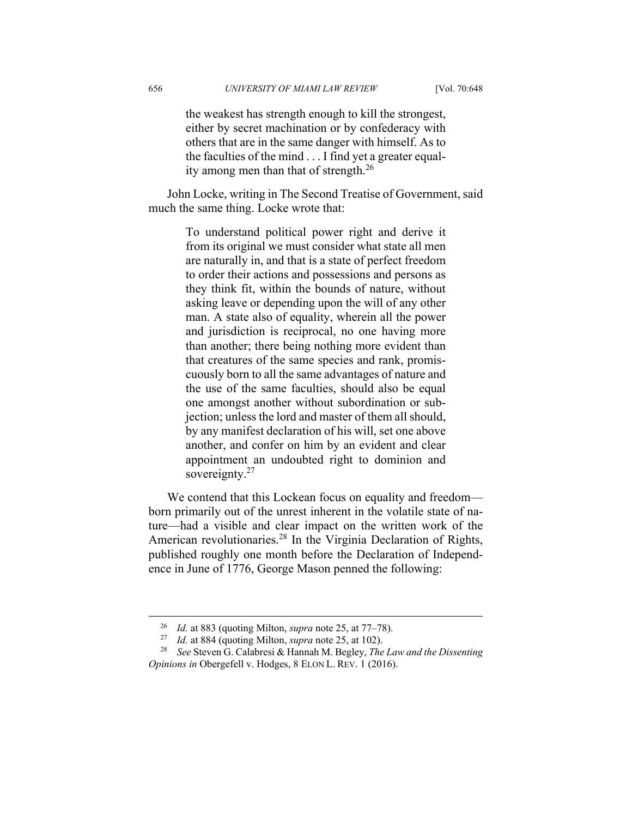the weakest has strength enough to kill the strongest, either by secret machination or by confederacy with others that are in the same danger with himself. As to the faculties of the mind . . . I find yet a greater equality among men than that of strength.26

John Locke, writing in The Second Treatise of Government, said much the same thing. Locke wrote that:

> To understand political power right and derive it from its original we must consider what state all men are naturally in, and that is a state of perfect freedom to order their actions and possessions and persons as they think fit, within the bounds of nature, without asking leave or depending upon the will of any other man. A state also of equality, wherein all the power and jurisdiction is reciprocal, no one having more than another; there being nothing more evident than that creatures of the same species and rank, promiscuously born to all the same advantages of nature and the use of the same faculties, should also be equal one amongst another without subordination or subjection; unless the lord and master of them all should, by any manifest declaration of his will, set one above another, and confer on him by an evident and clear appointment an undoubted right to dominion and sovereignty.<sup>27</sup>

We contend that this Lockean focus on equality and freedom born primarily out of the unrest inherent in the volatile state of nature—had a visible and clear impact on the written work of the American revolutionaries.<sup>28</sup> In the Virginia Declaration of Rights, published roughly one month before the Declaration of Independence in June of 1776, George Mason penned the following:

<sup>&</sup>lt;sup>26</sup> *Id.* at 883 (quoting Milton, *supra* note 25, at 77–78).<br><sup>27</sup> *Id.* at 884 (quoting Milton, *supra* note 25, at 102).<br><sup>28</sup> *See* Steven G. Calabresi & Hannah M. Begley, *The Law and the Dissenting Opinions in* Obergefell v. Hodges, 8 ELON L. REV. 1 (2016).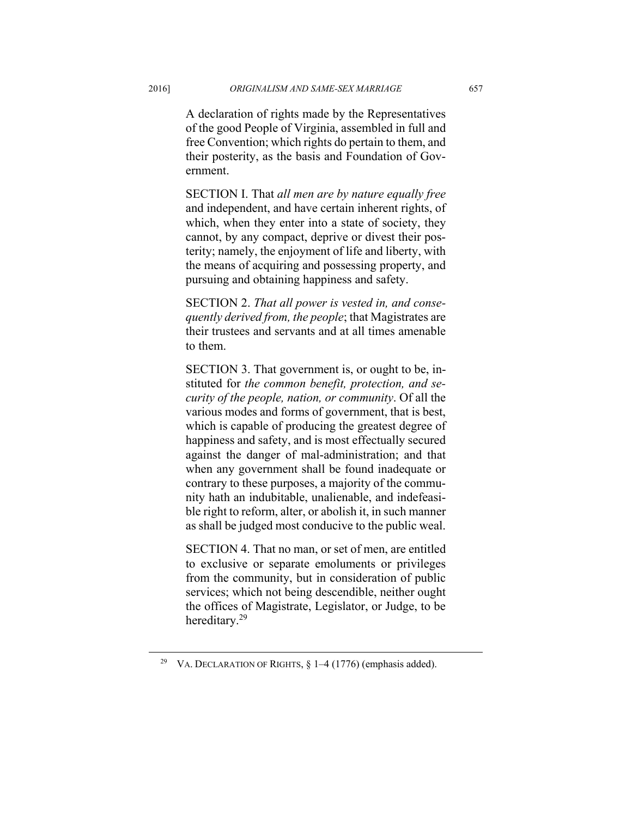A declaration of rights made by the Representatives of the good People of Virginia, assembled in full and free Convention; which rights do pertain to them, and their posterity, as the basis and Foundation of Government.

SECTION I. That *all men are by nature equally free* and independent, and have certain inherent rights, of which, when they enter into a state of society, they cannot, by any compact, deprive or divest their posterity; namely, the enjoyment of life and liberty, with the means of acquiring and possessing property, and pursuing and obtaining happiness and safety.

SECTION 2. *That all power is vested in, and consequently derived from, the people*; that Magistrates are their trustees and servants and at all times amenable to them.

SECTION 3. That government is, or ought to be, instituted for *the common benefit, protection, and security of the people, nation, or community*. Of all the various modes and forms of government, that is best, which is capable of producing the greatest degree of happiness and safety, and is most effectually secured against the danger of mal-administration; and that when any government shall be found inadequate or contrary to these purposes, a majority of the community hath an indubitable, unalienable, and indefeasible right to reform, alter, or abolish it, in such manner as shall be judged most conducive to the public weal.

SECTION 4. That no man, or set of men, are entitled to exclusive or separate emoluments or privileges from the community, but in consideration of public services; which not being descendible, neither ought the offices of Magistrate, Legislator, or Judge, to be hereditary.29

<sup>&</sup>lt;sup>29</sup> VA. DECLARATION OF RIGHTS,  $\S$  1–4 (1776) (emphasis added).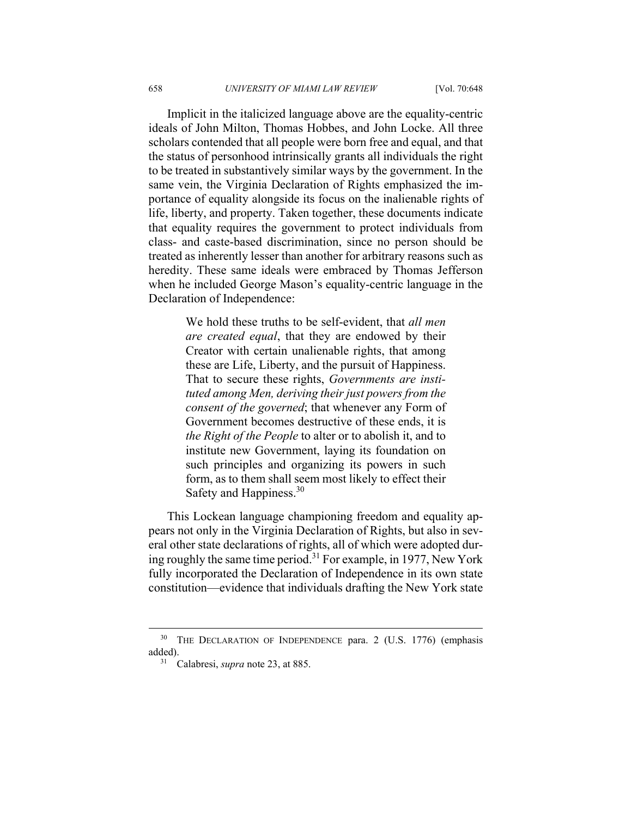Implicit in the italicized language above are the equality-centric ideals of John Milton, Thomas Hobbes, and John Locke. All three scholars contended that all people were born free and equal, and that the status of personhood intrinsically grants all individuals the right to be treated in substantively similar ways by the government. In the same vein, the Virginia Declaration of Rights emphasized the importance of equality alongside its focus on the inalienable rights of life, liberty, and property. Taken together, these documents indicate that equality requires the government to protect individuals from class- and caste-based discrimination, since no person should be treated as inherently lesser than another for arbitrary reasons such as heredity. These same ideals were embraced by Thomas Jefferson when he included George Mason's equality-centric language in the Declaration of Independence:

> We hold these truths to be self-evident, that *all men are created equal*, that they are endowed by their Creator with certain unalienable rights, that among these are Life, Liberty, and the pursuit of Happiness. That to secure these rights, *Governments are instituted among Men, deriving their just powers from the consent of the governed*; that whenever any Form of Government becomes destructive of these ends, it is *the Right of the People* to alter or to abolish it, and to institute new Government, laying its foundation on such principles and organizing its powers in such form, as to them shall seem most likely to effect their Safety and Happiness.<sup>30</sup>

This Lockean language championing freedom and equality appears not only in the Virginia Declaration of Rights, but also in several other state declarations of rights, all of which were adopted during roughly the same time period.31 For example, in 1977, New York fully incorporated the Declaration of Independence in its own state constitution—evidence that individuals drafting the New York state

<sup>&</sup>lt;sup>30</sup> THE DECLARATION OF INDEPENDENCE para. 2 (U.S. 1776) (emphasis added). 31 Calabresi, *supra* note 23, at 885.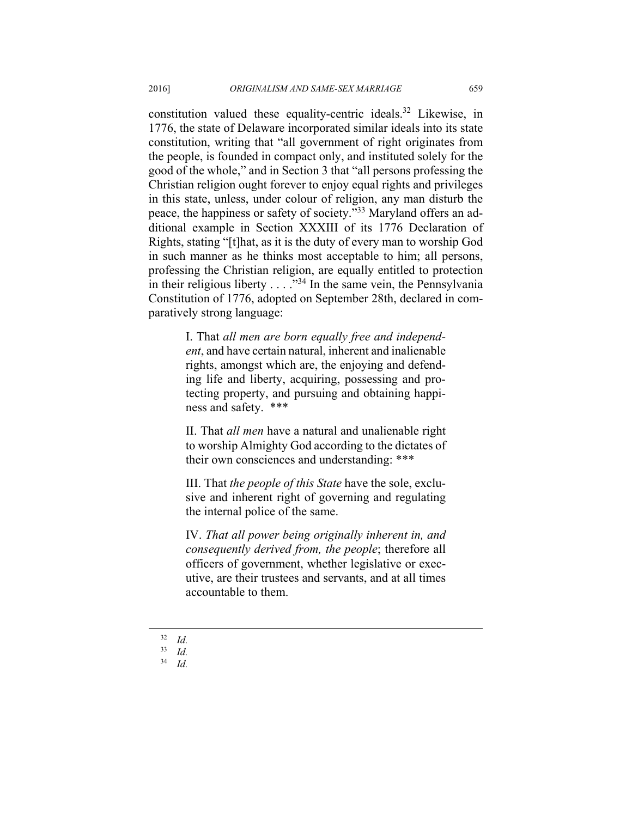constitution valued these equality-centric ideals.<sup>32</sup> Likewise, in 1776, the state of Delaware incorporated similar ideals into its state constitution, writing that "all government of right originates from the people, is founded in compact only, and instituted solely for the good of the whole," and in Section 3 that "all persons professing the Christian religion ought forever to enjoy equal rights and privileges in this state, unless, under colour of religion, any man disturb the peace, the happiness or safety of society."33 Maryland offers an additional example in Section XXXIII of its 1776 Declaration of Rights, stating "[t]hat, as it is the duty of every man to worship God in such manner as he thinks most acceptable to him; all persons, professing the Christian religion, are equally entitled to protection in their religious liberty  $\ldots$  . . .<sup>34</sup> In the same vein, the Pennsylvania Constitution of 1776, adopted on September 28th, declared in comparatively strong language:

> I. That *all men are born equally free and independent*, and have certain natural, inherent and inalienable rights, amongst which are, the enjoying and defending life and liberty, acquiring, possessing and protecting property, and pursuing and obtaining happiness and safety. \*\*\*

> II. That *all men* have a natural and unalienable right to worship Almighty God according to the dictates of their own consciences and understanding: \*\*\*

> III. That *the people of this State* have the sole, exclusive and inherent right of governing and regulating the internal police of the same.

> IV. *That all power being originally inherent in, and consequently derived from, the people*; therefore all officers of government, whether legislative or executive, are their trustees and servants, and at all times accountable to them.

 $\frac{32}{33}$  *Id.* 

<sup>33</sup> *Id.*

<sup>34</sup> *Id.*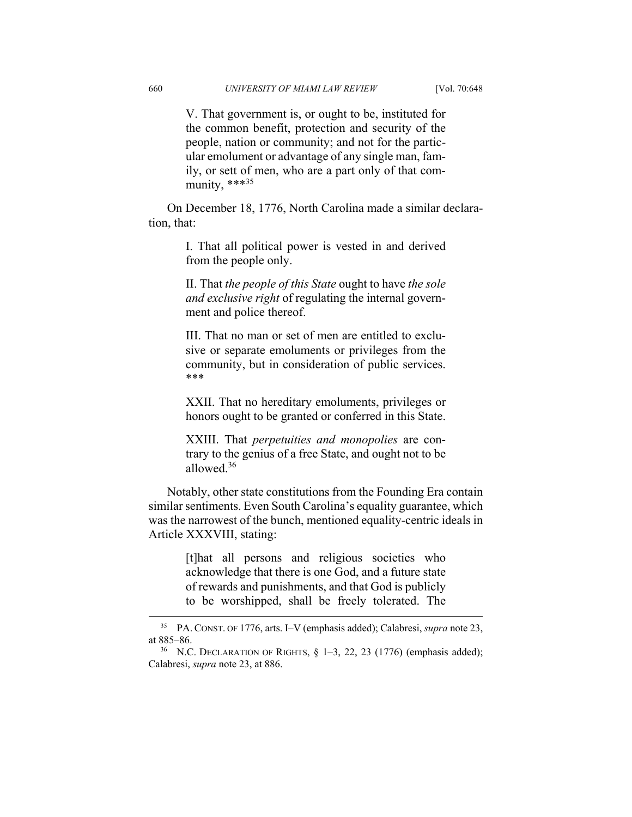V. That government is, or ought to be, instituted for the common benefit, protection and security of the people, nation or community; and not for the particular emolument or advantage of any single man, family, or sett of men, who are a part only of that community,  $***^{35}$ 

On December 18, 1776, North Carolina made a similar declaration, that:

> I. That all political power is vested in and derived from the people only.

> II. That *the people of this State* ought to have *the sole and exclusive right* of regulating the internal government and police thereof.

> III. That no man or set of men are entitled to exclusive or separate emoluments or privileges from the community, but in consideration of public services. \*\*\*

> XXII. That no hereditary emoluments, privileges or honors ought to be granted or conferred in this State.

> XXIII. That *perpetuities and monopolies* are contrary to the genius of a free State, and ought not to be allowed.36

Notably, other state constitutions from the Founding Era contain similar sentiments. Even South Carolina's equality guarantee, which was the narrowest of the bunch, mentioned equality-centric ideals in Article XXXVIII, stating:

> [t]hat all persons and religious societies who acknowledge that there is one God, and a future state of rewards and punishments, and that God is publicly to be worshipped, shall be freely tolerated. The

 <sup>35</sup> PA. CONST. OF 1776, arts. I–V (emphasis added); Calabresi, *supra* note 23, at 885–86.<br><sup>36</sup> N.C. DECLARATION OF RIGHTS,  $\S$  1–3, 22, 23 (1776) (emphasis added);

Calabresi, *supra* note 23, at 886.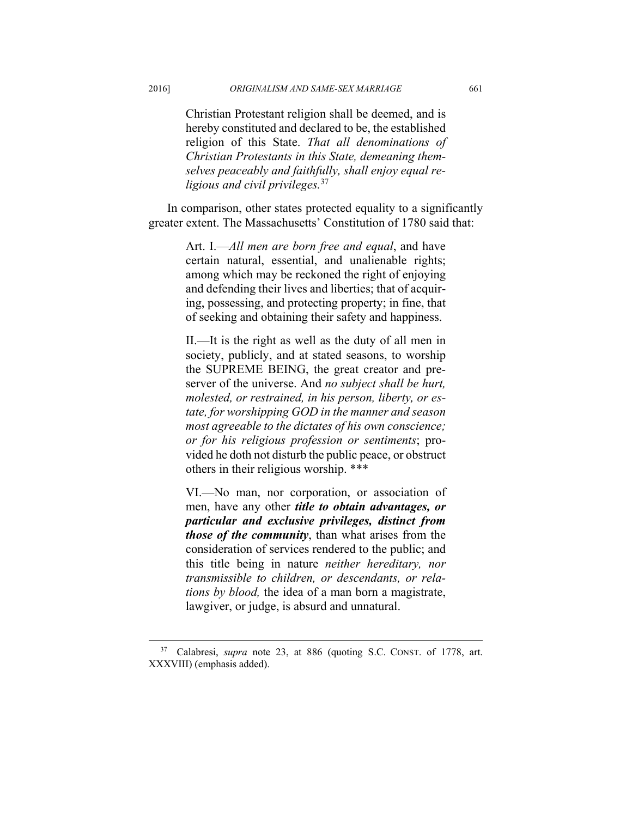Christian Protestant religion shall be deemed, and is hereby constituted and declared to be, the established religion of this State. *That all denominations of Christian Protestants in this State, demeaning themselves peaceably and faithfully, shall enjoy equal religious and civil privileges.*<sup>37</sup>

In comparison, other states protected equality to a significantly greater extent. The Massachusetts' Constitution of 1780 said that:

> Art. I.—*All men are born free and equal*, and have certain natural, essential, and unalienable rights; among which may be reckoned the right of enjoying and defending their lives and liberties; that of acquiring, possessing, and protecting property; in fine, that of seeking and obtaining their safety and happiness.

> II.—It is the right as well as the duty of all men in society, publicly, and at stated seasons, to worship the SUPREME BEING, the great creator and preserver of the universe. And *no subject shall be hurt, molested, or restrained, in his person, liberty, or estate, for worshipping GOD in the manner and season most agreeable to the dictates of his own conscience; or for his religious profession or sentiments*; provided he doth not disturb the public peace, or obstruct others in their religious worship. \*\*\*

> VI.—No man, nor corporation, or association of men, have any other *title to obtain advantages, or particular and exclusive privileges, distinct from those of the community*, than what arises from the consideration of services rendered to the public; and this title being in nature *neither hereditary, nor transmissible to children, or descendants, or relations by blood,* the idea of a man born a magistrate, lawgiver, or judge, is absurd and unnatural.

 <sup>37</sup> Calabresi, *supra* note 23, at 886 (quoting S.C. CONST. of 1778, art. XXXVIII) (emphasis added).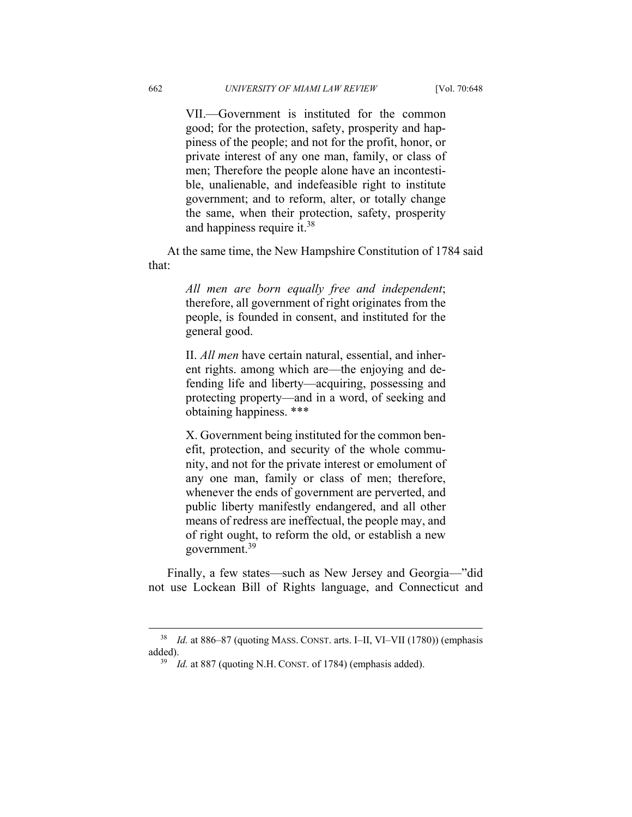VII.—Government is instituted for the common good; for the protection, safety, prosperity and happiness of the people; and not for the profit, honor, or private interest of any one man, family, or class of men; Therefore the people alone have an incontestible, unalienable, and indefeasible right to institute government; and to reform, alter, or totally change the same, when their protection, safety, prosperity and happiness require it.38

At the same time, the New Hampshire Constitution of 1784 said that:

> *All men are born equally free and independent*; therefore, all government of right originates from the people, is founded in consent, and instituted for the general good.

> II. *All men* have certain natural, essential, and inherent rights. among which are—the enjoying and defending life and liberty—acquiring, possessing and protecting property—and in a word, of seeking and obtaining happiness. \*\*\*

> X. Government being instituted for the common benefit, protection, and security of the whole community, and not for the private interest or emolument of any one man, family or class of men; therefore, whenever the ends of government are perverted, and public liberty manifestly endangered, and all other means of redress are ineffectual, the people may, and of right ought, to reform the old, or establish a new government.39

Finally, a few states—such as New Jersey and Georgia—"did not use Lockean Bill of Rights language, and Connecticut and

 <sup>38</sup> *Id.* at 886–87 (quoting MASS. CONST. arts. I–II, VI–VII (1780)) (emphasis added).<br><sup>39</sup> *Id.* at 887 (quoting N.H. CONST. of 1784) (emphasis added).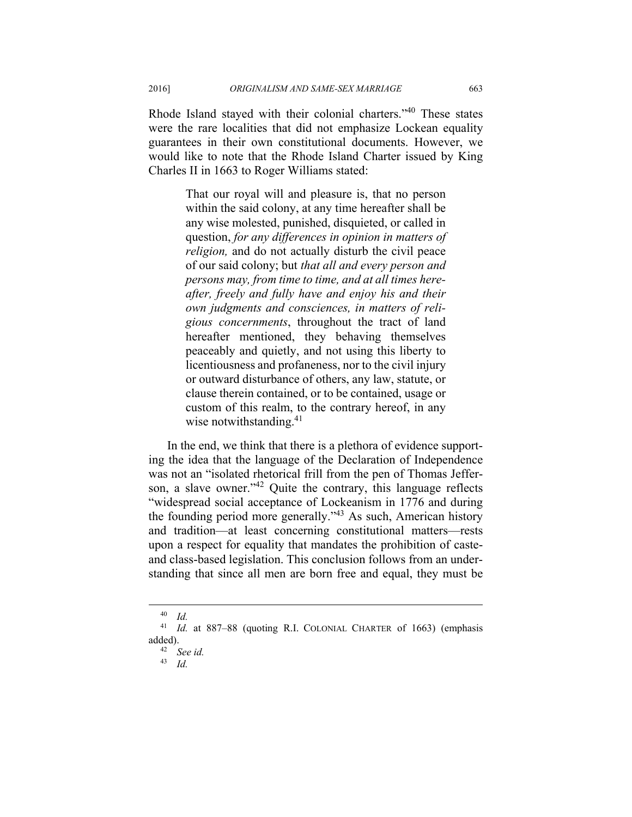Rhode Island stayed with their colonial charters."40 These states were the rare localities that did not emphasize Lockean equality guarantees in their own constitutional documents. However, we would like to note that the Rhode Island Charter issued by King Charles II in 1663 to Roger Williams stated:

> That our royal will and pleasure is, that no person within the said colony, at any time hereafter shall be any wise molested, punished, disquieted, or called in question, *for any differences in opinion in matters of religion,* and do not actually disturb the civil peace of our said colony; but *that all and every person and persons may, from time to time, and at all times hereafter, freely and fully have and enjoy his and their own judgments and consciences, in matters of religious concernments*, throughout the tract of land hereafter mentioned, they behaving themselves peaceably and quietly, and not using this liberty to licentiousness and profaneness, nor to the civil injury or outward disturbance of others, any law, statute, or clause therein contained, or to be contained, usage or custom of this realm, to the contrary hereof, in any wise notwithstanding. $41$

In the end, we think that there is a plethora of evidence supporting the idea that the language of the Declaration of Independence was not an "isolated rhetorical frill from the pen of Thomas Jefferson, a slave owner."<sup>42</sup> Quite the contrary, this language reflects "widespread social acceptance of Lockeanism in 1776 and during the founding period more generally."43 As such, American history and tradition—at least concerning constitutional matters—rests upon a respect for equality that mandates the prohibition of casteand class-based legislation. This conclusion follows from an understanding that since all men are born free and equal, they must be

 <sup>40</sup> *Id.*

<sup>41</sup> *Id.* at 887–88 (quoting R.I. COLONIAL CHARTER of 1663) (emphasis added). 42 *See id.*

<sup>43</sup> *Id.*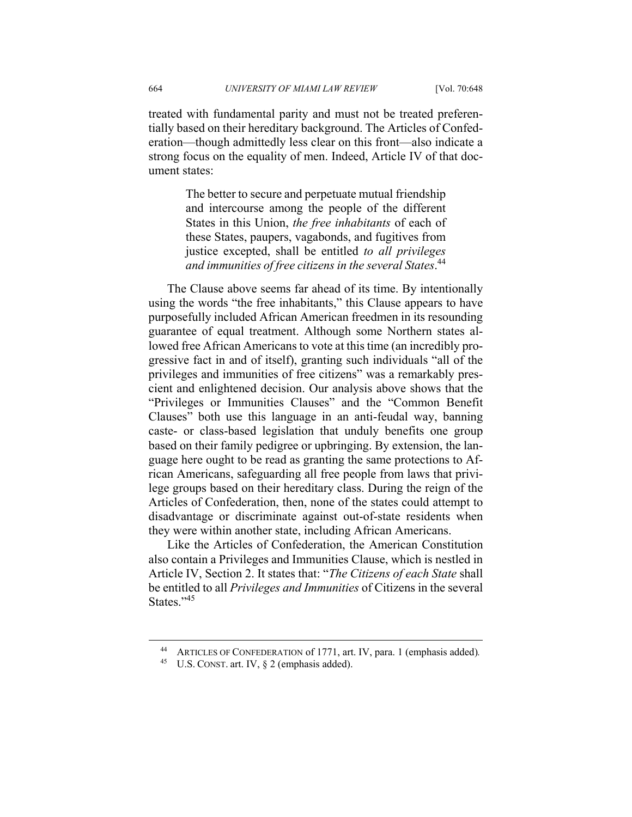treated with fundamental parity and must not be treated preferentially based on their hereditary background. The Articles of Confederation—though admittedly less clear on this front—also indicate a strong focus on the equality of men. Indeed, Article IV of that document states:

> The better to secure and perpetuate mutual friendship and intercourse among the people of the different States in this Union, *the free inhabitants* of each of these States, paupers, vagabonds, and fugitives from justice excepted, shall be entitled *to all privileges and immunities of free citizens in the several States*. 44

The Clause above seems far ahead of its time. By intentionally using the words "the free inhabitants," this Clause appears to have purposefully included African American freedmen in its resounding guarantee of equal treatment. Although some Northern states allowed free African Americans to vote at this time (an incredibly progressive fact in and of itself), granting such individuals "all of the privileges and immunities of free citizens" was a remarkably prescient and enlightened decision. Our analysis above shows that the "Privileges or Immunities Clauses" and the "Common Benefit Clauses" both use this language in an anti-feudal way, banning caste- or class-based legislation that unduly benefits one group based on their family pedigree or upbringing. By extension, the language here ought to be read as granting the same protections to African Americans, safeguarding all free people from laws that privilege groups based on their hereditary class. During the reign of the Articles of Confederation, then, none of the states could attempt to disadvantage or discriminate against out-of-state residents when they were within another state, including African Americans.

Like the Articles of Confederation, the American Constitution also contain a Privileges and Immunities Clause, which is nestled in Article IV, Section 2. It states that: "*The Citizens of each State* shall be entitled to all *Privileges and Immunities* of Citizens in the several States."<sup>45</sup>

 <sup>44</sup> ARTICLES OF CONFEDERATION of 1771, art. IV, para. 1 (emphasis added)*.*

<sup>45</sup> U.S. CONST. art. IV, § 2 (emphasis added).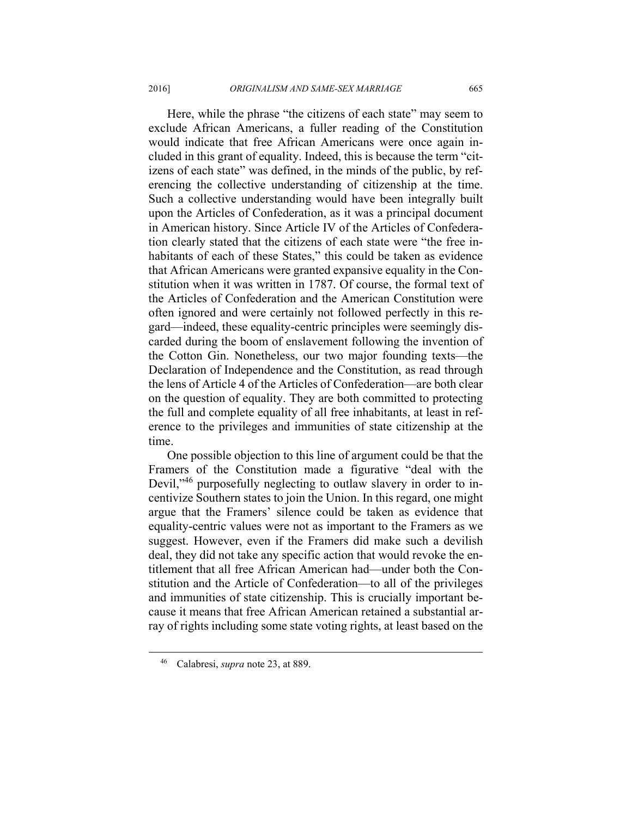Here, while the phrase "the citizens of each state" may seem to exclude African Americans, a fuller reading of the Constitution would indicate that free African Americans were once again included in this grant of equality. Indeed, this is because the term "citizens of each state" was defined, in the minds of the public, by referencing the collective understanding of citizenship at the time. Such a collective understanding would have been integrally built upon the Articles of Confederation, as it was a principal document in American history. Since Article IV of the Articles of Confederation clearly stated that the citizens of each state were "the free inhabitants of each of these States," this could be taken as evidence that African Americans were granted expansive equality in the Constitution when it was written in 1787. Of course, the formal text of the Articles of Confederation and the American Constitution were often ignored and were certainly not followed perfectly in this regard—indeed, these equality-centric principles were seemingly discarded during the boom of enslavement following the invention of the Cotton Gin. Nonetheless, our two major founding texts—the Declaration of Independence and the Constitution, as read through the lens of Article 4 of the Articles of Confederation—are both clear on the question of equality. They are both committed to protecting the full and complete equality of all free inhabitants, at least in reference to the privileges and immunities of state citizenship at the time.

One possible objection to this line of argument could be that the Framers of the Constitution made a figurative "deal with the Devil,<sup>346</sup> purposefully neglecting to outlaw slavery in order to incentivize Southern states to join the Union. In this regard, one might argue that the Framers' silence could be taken as evidence that equality-centric values were not as important to the Framers as we suggest. However, even if the Framers did make such a devilish deal, they did not take any specific action that would revoke the entitlement that all free African American had—under both the Constitution and the Article of Confederation—to all of the privileges and immunities of state citizenship. This is crucially important because it means that free African American retained a substantial array of rights including some state voting rights, at least based on the

 <sup>46</sup> Calabresi, *supra* note 23, at 889.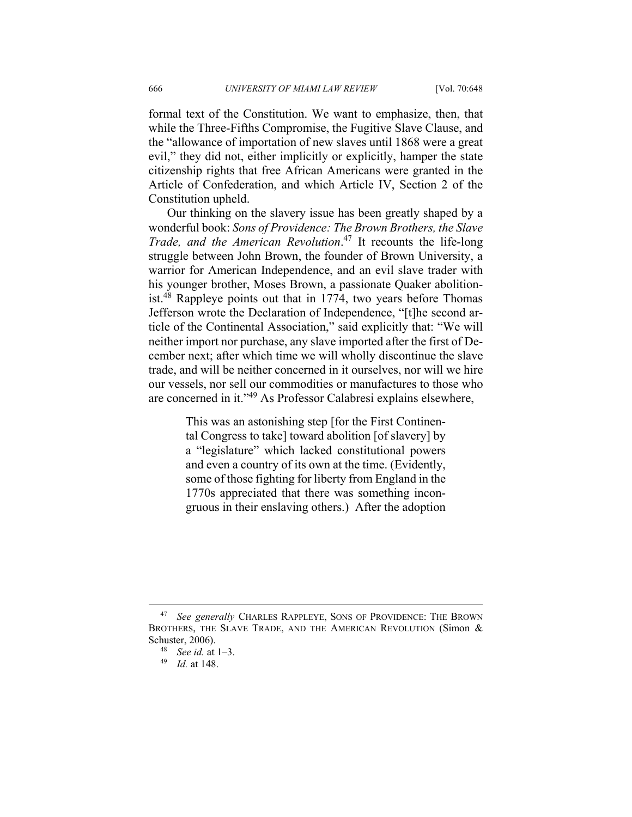formal text of the Constitution. We want to emphasize, then, that while the Three-Fifths Compromise, the Fugitive Slave Clause, and the "allowance of importation of new slaves until 1868 were a great evil," they did not, either implicitly or explicitly, hamper the state citizenship rights that free African Americans were granted in the Article of Confederation, and which Article IV, Section 2 of the Constitution upheld.

Our thinking on the slavery issue has been greatly shaped by a wonderful book: *Sons of Providence: The Brown Brothers, the Slave Trade, and the American Revolution*. 47 It recounts the life-long struggle between John Brown, the founder of Brown University, a warrior for American Independence, and an evil slave trader with his younger brother, Moses Brown, a passionate Quaker abolitionist.48 Rappleye points out that in 1774, two years before Thomas Jefferson wrote the Declaration of Independence, "[t]he second article of the Continental Association," said explicitly that: "We will neither import nor purchase, any slave imported after the first of December next; after which time we will wholly discontinue the slave trade, and will be neither concerned in it ourselves, nor will we hire our vessels, nor sell our commodities or manufactures to those who are concerned in it."49 As Professor Calabresi explains elsewhere,

> This was an astonishing step [for the First Continental Congress to take] toward abolition [of slavery] by a "legislature" which lacked constitutional powers and even a country of its own at the time. (Evidently, some of those fighting for liberty from England in the 1770s appreciated that there was something incongruous in their enslaving others.) After the adoption

 <sup>47</sup> *See generally* CHARLES RAPPLEYE, SONS OF PROVIDENCE: THE BROWN BROTHERS, THE SLAVE TRADE, AND THE AMERICAN REVOLUTION (Simon & Schuster, 2006). 48 *See id.* at 1–3. 49 *Id.* at 148.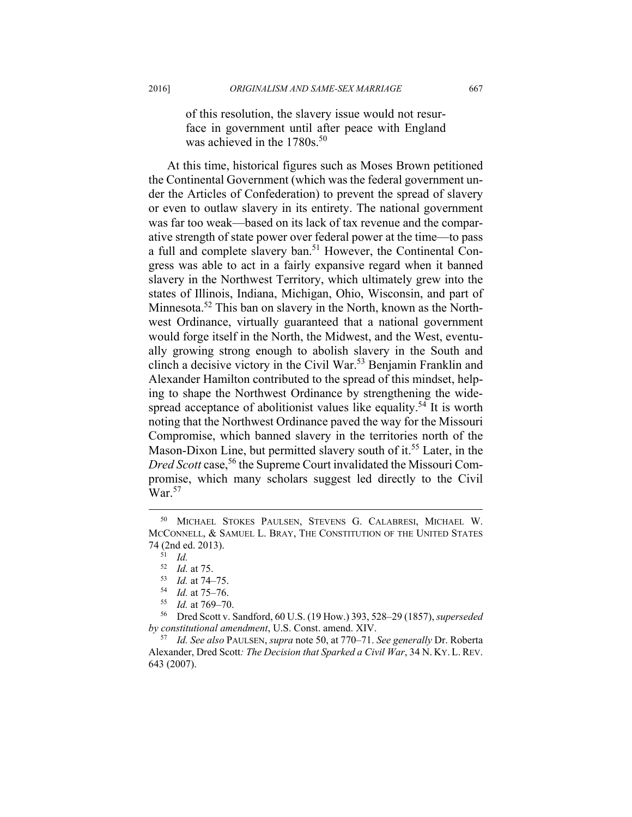of this resolution, the slavery issue would not resurface in government until after peace with England was achieved in the 1780s.<sup>50</sup>

At this time, historical figures such as Moses Brown petitioned the Continental Government (which was the federal government under the Articles of Confederation) to prevent the spread of slavery or even to outlaw slavery in its entirety. The national government was far too weak—based on its lack of tax revenue and the comparative strength of state power over federal power at the time—to pass a full and complete slavery ban.51 However, the Continental Congress was able to act in a fairly expansive regard when it banned slavery in the Northwest Territory, which ultimately grew into the states of Illinois, Indiana, Michigan, Ohio, Wisconsin, and part of Minnesota.<sup>52</sup> This ban on slavery in the North, known as the Northwest Ordinance, virtually guaranteed that a national government would forge itself in the North, the Midwest, and the West, eventually growing strong enough to abolish slavery in the South and clinch a decisive victory in the Civil War.53 Benjamin Franklin and Alexander Hamilton contributed to the spread of this mindset, helping to shape the Northwest Ordinance by strengthening the widespread acceptance of abolitionist values like equality.<sup>54</sup> It is worth noting that the Northwest Ordinance paved the way for the Missouri Compromise, which banned slavery in the territories north of the Mason-Dixon Line, but permitted slavery south of it.<sup>55</sup> Later, in the *Dred Scott* case,<sup>56</sup> the Supreme Court invalidated the Missouri Compromise, which many scholars suggest led directly to the Civil  $\text{War}.^{57}$ 

<sup>52</sup> *Id.* at 75. 53 *Id.* at 74–75. 54 *Id.* at 75–76. 55 *Id.* at 769–70. 56 Dred Scott v. Sandford, 60 U.S. (19 How.) 393, 528–29 (1857), *superseded by constitutional amendment*, U.S. Const. amend. XIV. 57 *Id. See also* PAULSEN, *supra* note 50, at 770–71. *See generally* Dr. Roberta

 <sup>50</sup> MICHAEL STOKES PAULSEN, STEVENS G. CALABRESI, MICHAEL W. MCCONNELL, & SAMUEL L. BRAY, THE CONSTITUTION OF THE UNITED STATES 74 (2nd ed. 2013).<br><sup>51</sup> *Id.*<br><sup>52</sup> *Id.* at 75.

Alexander, Dred Scott*: The Decision that Sparked a Civil War*, 34 N. KY. L. REV. 643 (2007).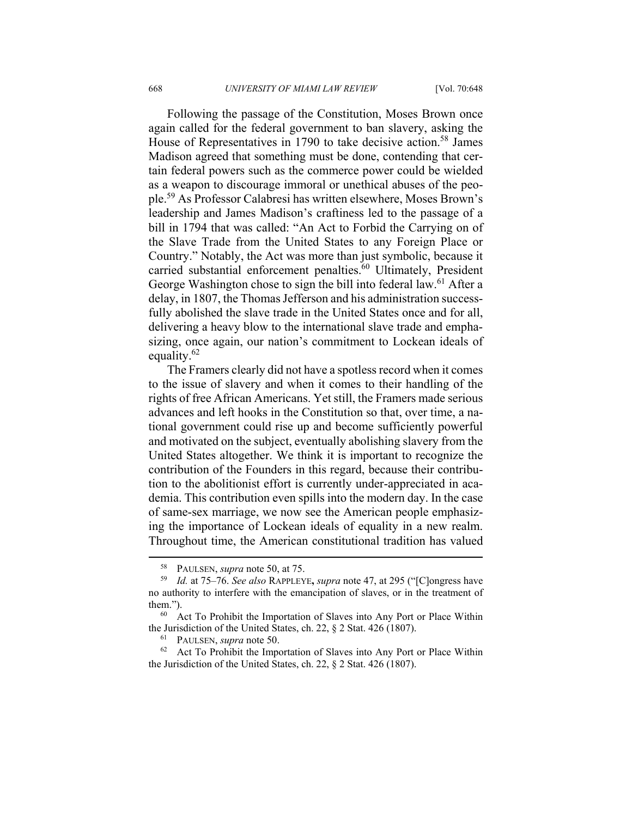Following the passage of the Constitution, Moses Brown once again called for the federal government to ban slavery, asking the House of Representatives in 1790 to take decisive action.<sup>58</sup> James Madison agreed that something must be done, contending that certain federal powers such as the commerce power could be wielded as a weapon to discourage immoral or unethical abuses of the people.59 As Professor Calabresi has written elsewhere, Moses Brown's leadership and James Madison's craftiness led to the passage of a bill in 1794 that was called: "An Act to Forbid the Carrying on of the Slave Trade from the United States to any Foreign Place or Country." Notably, the Act was more than just symbolic, because it carried substantial enforcement penalties.<sup>60</sup> Ultimately, President George Washington chose to sign the bill into federal law.<sup>61</sup> After a delay, in 1807, the Thomas Jefferson and his administration successfully abolished the slave trade in the United States once and for all, delivering a heavy blow to the international slave trade and emphasizing, once again, our nation's commitment to Lockean ideals of equality.<sup>62</sup>

The Framers clearly did not have a spotless record when it comes to the issue of slavery and when it comes to their handling of the rights of free African Americans. Yet still, the Framers made serious advances and left hooks in the Constitution so that, over time, a national government could rise up and become sufficiently powerful and motivated on the subject, eventually abolishing slavery from the United States altogether. We think it is important to recognize the contribution of the Founders in this regard, because their contribution to the abolitionist effort is currently under-appreciated in academia. This contribution even spills into the modern day. In the case of same-sex marriage, we now see the American people emphasizing the importance of Lockean ideals of equality in a new realm. Throughout time, the American constitutional tradition has valued

 <sup>58</sup> PAULSEN, *supra* note 50, at 75. 59 *Id.* at 75–76. *See also* RAPPLEYE**,** *supra* note 47, at 295 ("[C]ongress have no authority to interfere with the emancipation of slaves, or in the treatment of them.").<br><sup>60</sup> Act To Prohibit the Importation of Slaves into Any Port or Place Within

the Jurisdiction of the United States, ch. 22, § 2 Stat. 426 (1807).<br><sup>61</sup> PAULSEN, *supra* note 50.<br><sup>62</sup> Act To Prohibit the Importation of Slaves into Any Port or Place Within

the Jurisdiction of the United States, ch. 22, § 2 Stat. 426 (1807).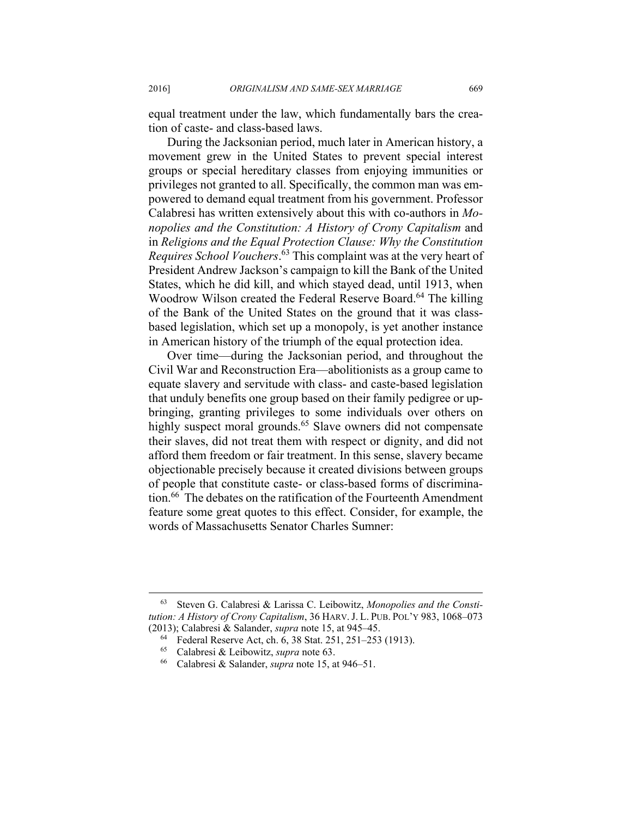equal treatment under the law, which fundamentally bars the creation of caste- and class-based laws.

During the Jacksonian period, much later in American history, a movement grew in the United States to prevent special interest groups or special hereditary classes from enjoying immunities or privileges not granted to all. Specifically, the common man was empowered to demand equal treatment from his government. Professor Calabresi has written extensively about this with co-authors in *Monopolies and the Constitution: A History of Crony Capitalism* and in *Religions and the Equal Protection Clause: Why the Constitution Requires School Vouchers*. 63 This complaint was at the very heart of President Andrew Jackson's campaign to kill the Bank of the United States, which he did kill, and which stayed dead, until 1913, when Woodrow Wilson created the Federal Reserve Board.<sup>64</sup> The killing of the Bank of the United States on the ground that it was classbased legislation, which set up a monopoly, is yet another instance in American history of the triumph of the equal protection idea.

Over time—during the Jacksonian period, and throughout the Civil War and Reconstruction Era—abolitionists as a group came to equate slavery and servitude with class- and caste-based legislation that unduly benefits one group based on their family pedigree or upbringing, granting privileges to some individuals over others on highly suspect moral grounds.<sup>65</sup> Slave owners did not compensate their slaves, did not treat them with respect or dignity, and did not afford them freedom or fair treatment. In this sense, slavery became objectionable precisely because it created divisions between groups of people that constitute caste- or class-based forms of discrimination.<sup>66</sup> The debates on the ratification of the Fourteenth Amendment feature some great quotes to this effect. Consider, for example, the words of Massachusetts Senator Charles Sumner:

 <sup>63</sup> Steven G. Calabresi & Larissa C. Leibowitz, *Monopolies and the Constitution: A History of Crony Capitalism*, 36 HARV.J. L. PUB. POL'Y 983, 1068–073 (2013); Calabresi & Salander, *supra* note 15, at 945–45. 64 Federal Reserve Act, ch. 6, 38 Stat. 251, 251–253 (1913).

<sup>65</sup> Calabresi & Leibowitz, *supra* note 63. 66 Calabresi & Salander, *supra* note 15, at 946–51.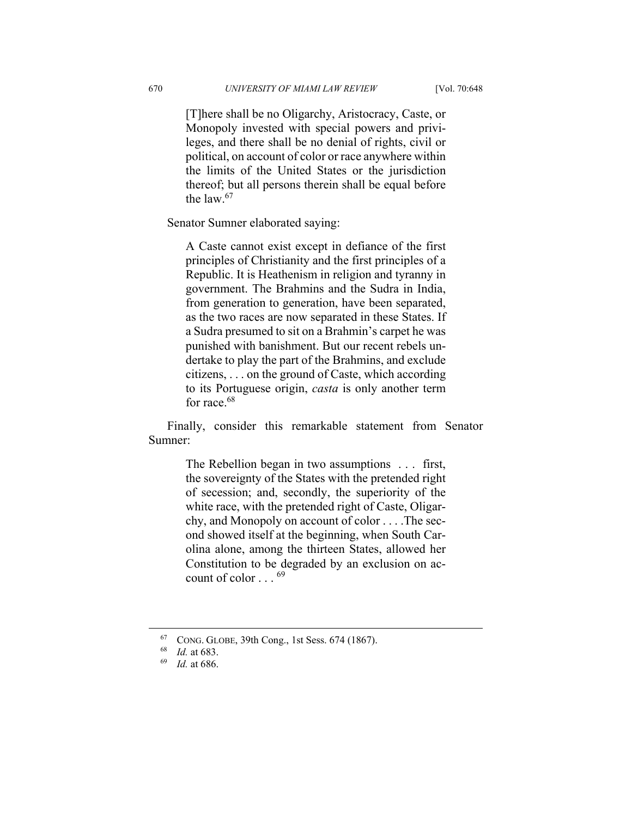[T]here shall be no Oligarchy, Aristocracy, Caste, or Monopoly invested with special powers and privileges, and there shall be no denial of rights, civil or political, on account of color or race anywhere within the limits of the United States or the jurisdiction thereof; but all persons therein shall be equal before the law  $67$ 

Senator Sumner elaborated saying:

A Caste cannot exist except in defiance of the first principles of Christianity and the first principles of a Republic. It is Heathenism in religion and tyranny in government. The Brahmins and the Sudra in India, from generation to generation, have been separated, as the two races are now separated in these States. If a Sudra presumed to sit on a Brahmin's carpet he was punished with banishment. But our recent rebels undertake to play the part of the Brahmins, and exclude citizens, . . . on the ground of Caste, which according to its Portuguese origin, *casta* is only another term for race.<sup>68</sup>

Finally, consider this remarkable statement from Senator Sumner:

> The Rebellion began in two assumptions . . . first, the sovereignty of the States with the pretended right of secession; and, secondly, the superiority of the white race, with the pretended right of Caste, Oligarchy, and Monopoly on account of color . . . .The second showed itself at the beginning, when South Carolina alone, among the thirteen States, allowed her Constitution to be degraded by an exclusion on account of color . . . <sup>69</sup>

 <sup>67</sup> CONG. GLOBE, 39th Cong., 1st Sess. 674 (1867). 68 *Id.* at 683. 69 *Id.* at 686.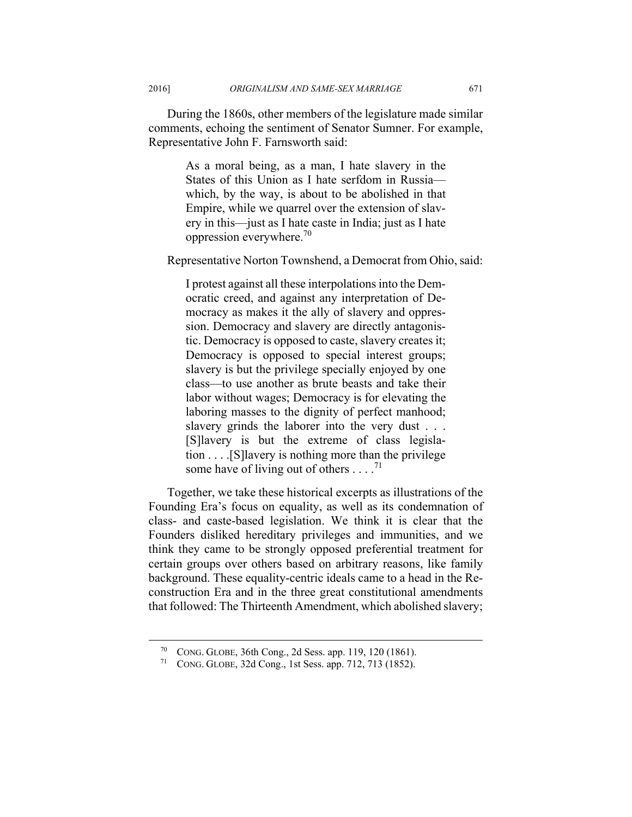During the 1860s, other members of the legislature made similar comments, echoing the sentiment of Senator Sumner. For example, Representative John F. Farnsworth said:

> As a moral being, as a man, I hate slavery in the States of this Union as I hate serfdom in Russia which, by the way, is about to be abolished in that Empire, while we quarrel over the extension of slavery in this—just as I hate caste in India; just as I hate oppression everywhere.70

Representative Norton Townshend, a Democrat from Ohio, said:

I protest against all these interpolations into the Democratic creed, and against any interpretation of Democracy as makes it the ally of slavery and oppression. Democracy and slavery are directly antagonistic. Democracy is opposed to caste, slavery creates it; Democracy is opposed to special interest groups; slavery is but the privilege specially enjoyed by one class—to use another as brute beasts and take their labor without wages; Democracy is for elevating the laboring masses to the dignity of perfect manhood; slavery grinds the laborer into the very dust . . . [S]lavery is but the extreme of class legislation . . . .[S]lavery is nothing more than the privilege some have of living out of others  $\dots$ .<sup>71</sup>

Together, we take these historical excerpts as illustrations of the Founding Era's focus on equality, as well as its condemnation of class- and caste-based legislation. We think it is clear that the Founders disliked hereditary privileges and immunities, and we think they came to be strongly opposed preferential treatment for certain groups over others based on arbitrary reasons, like family background. These equality-centric ideals came to a head in the Reconstruction Era and in the three great constitutional amendments that followed: The Thirteenth Amendment, which abolished slavery;

 <sup>70</sup> CONG. GLOBE, 36th Cong., 2d Sess. app. 119, 120 (1861). 71 CONG. GLOBE, 32d Cong., 1st Sess. app. 712, 713 (1852).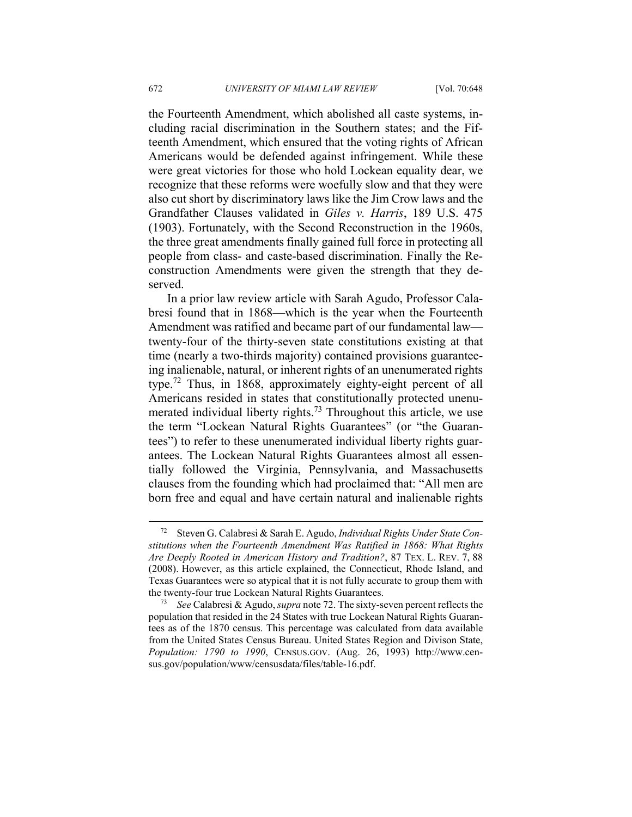the Fourteenth Amendment, which abolished all caste systems, including racial discrimination in the Southern states; and the Fifteenth Amendment, which ensured that the voting rights of African Americans would be defended against infringement. While these were great victories for those who hold Lockean equality dear, we recognize that these reforms were woefully slow and that they were also cut short by discriminatory laws like the Jim Crow laws and the Grandfather Clauses validated in *Giles v. Harris*, 189 U.S. 475 (1903). Fortunately, with the Second Reconstruction in the 1960s, the three great amendments finally gained full force in protecting all people from class- and caste-based discrimination. Finally the Reconstruction Amendments were given the strength that they deserved.

In a prior law review article with Sarah Agudo, Professor Calabresi found that in 1868—which is the year when the Fourteenth Amendment was ratified and became part of our fundamental law twenty-four of the thirty-seven state constitutions existing at that time (nearly a two-thirds majority) contained provisions guaranteeing inalienable, natural, or inherent rights of an unenumerated rights type.72 Thus, in 1868, approximately eighty-eight percent of all Americans resided in states that constitutionally protected unenumerated individual liberty rights.<sup>73</sup> Throughout this article, we use the term "Lockean Natural Rights Guarantees" (or "the Guarantees") to refer to these unenumerated individual liberty rights guarantees. The Lockean Natural Rights Guarantees almost all essentially followed the Virginia, Pennsylvania, and Massachusetts clauses from the founding which had proclaimed that: "All men are born free and equal and have certain natural and inalienable rights

 <sup>72</sup> Steven G. Calabresi & Sarah E. Agudo, *Individual Rights Under State Constitutions when the Fourteenth Amendment Was Ratified in 1868: What Rights Are Deeply Rooted in American History and Tradition?*, 87 TEX. L. REV. 7, 88 (2008). However, as this article explained, the Connecticut, Rhode Island, and Texas Guarantees were so atypical that it is not fully accurate to group them with the twenty-four true Lockean Natural Rights Guarantees. 73 *See* Calabresi & Agudo, *supra* note 72. The sixty-seven percent reflects the

population that resided in the 24 States with true Lockean Natural Rights Guarantees as of the 1870 census. This percentage was calculated from data available from the United States Census Bureau. United States Region and Divison State, *Population: 1790 to 1990*, CENSUS.GOV. (Aug. 26, 1993) http://www.census.gov/population/www/censusdata/files/table-16.pdf.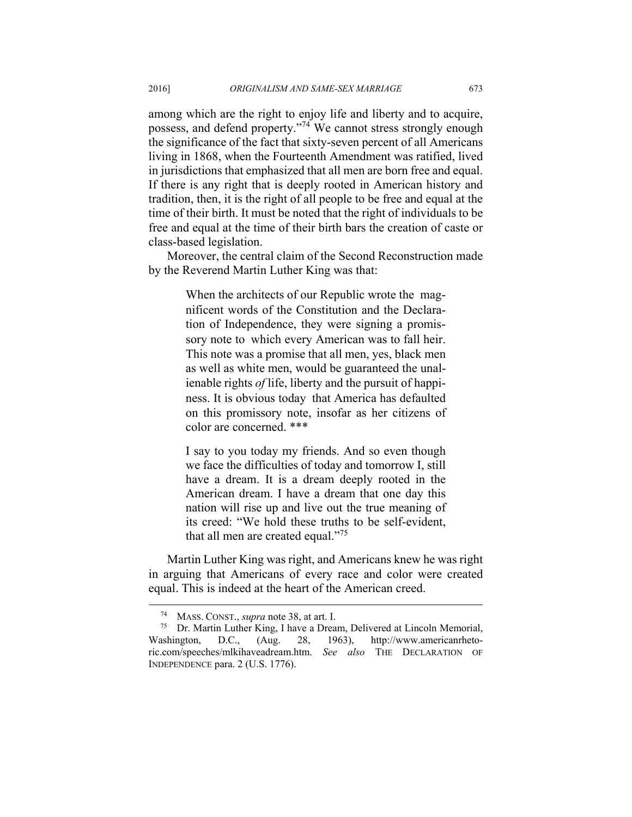among which are the right to enjoy life and liberty and to acquire, possess, and defend property."74 We cannot stress strongly enough the significance of the fact that sixty-seven percent of all Americans living in 1868, when the Fourteenth Amendment was ratified, lived in jurisdictions that emphasized that all men are born free and equal. If there is any right that is deeply rooted in American history and tradition, then, it is the right of all people to be free and equal at the time of their birth. It must be noted that the right of individuals to be free and equal at the time of their birth bars the creation of caste or class-based legislation.

Moreover, the central claim of the Second Reconstruction made by the Reverend Martin Luther King was that:

> When the architects of our Republic wrote the magnificent words of the Constitution and the Declaration of Independence, they were signing a promissory note to which every American was to fall heir. This note was a promise that all men, yes, black men as well as white men, would be guaranteed the unalienable rights *of* life, liberty and the pursuit of happiness. It is obvious today that America has defaulted on this promissory note, insofar as her citizens of color are concerned. \*\*\*

> I say to you today my friends. And so even though we face the difficulties of today and tomorrow I, still have a dream. It is a dream deeply rooted in the American dream. I have a dream that one day this nation will rise up and live out the true meaning of its creed: "We hold these truths to be self-evident, that all men are created equal."75

Martin Luther King was right, and Americans knew he was right in arguing that Americans of every race and color were created equal. This is indeed at the heart of the American creed.

 <sup>74</sup> MASS. CONST., *supra* note 38, at art. I. 75 Dr. Martin Luther King, I have a Dream, Delivered at Lincoln Memorial, Washington, D.C., (Aug. 28, 1963), http://www.americanrhetoric.com/speeches/mlkihaveadream.htm. *See also* THE DECLARATION OF INDEPENDENCE para. 2 (U.S. 1776).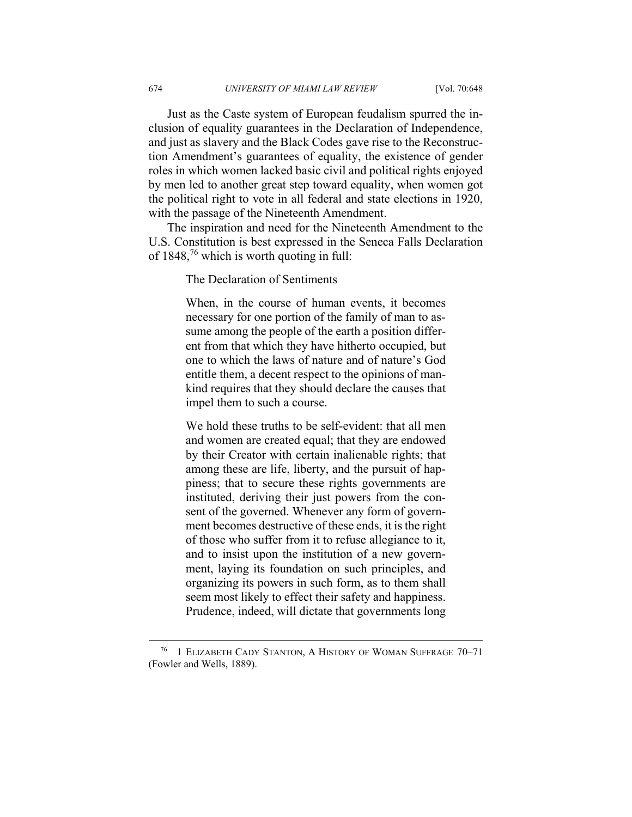Just as the Caste system of European feudalism spurred the inclusion of equality guarantees in the Declaration of Independence, and just as slavery and the Black Codes gave rise to the Reconstruction Amendment's guarantees of equality, the existence of gender roles in which women lacked basic civil and political rights enjoyed by men led to another great step toward equality, when women got the political right to vote in all federal and state elections in 1920, with the passage of the Nineteenth Amendment.

The inspiration and need for the Nineteenth Amendment to the U.S. Constitution is best expressed in the Seneca Falls Declaration of  $1848<sup>76</sup>$  which is worth quoting in full:

The Declaration of Sentiments

When, in the course of human events, it becomes necessary for one portion of the family of man to assume among the people of the earth a position different from that which they have hitherto occupied, but one to which the laws of nature and of nature's God entitle them, a decent respect to the opinions of mankind requires that they should declare the causes that impel them to such a course.

We hold these truths to be self-evident: that all men and women are created equal; that they are endowed by their Creator with certain inalienable rights; that among these are life, liberty, and the pursuit of happiness; that to secure these rights governments are instituted, deriving their just powers from the consent of the governed. Whenever any form of government becomes destructive of these ends, it is the right of those who suffer from it to refuse allegiance to it, and to insist upon the institution of a new government, laying its foundation on such principles, and organizing its powers in such form, as to them shall seem most likely to effect their safety and happiness. Prudence, indeed, will dictate that governments long

 <sup>76 1</sup> ELIZABETH CADY STANTON, <sup>A</sup> HISTORY OF WOMAN SUFFRAGE 70–71 (Fowler and Wells, 1889).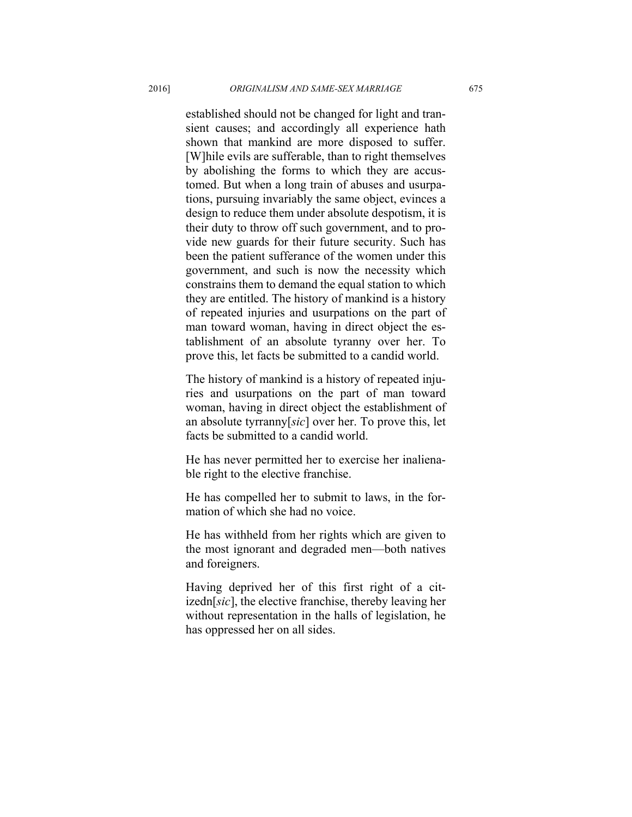established should not be changed for light and transient causes; and accordingly all experience hath shown that mankind are more disposed to suffer. [W]hile evils are sufferable, than to right themselves by abolishing the forms to which they are accustomed. But when a long train of abuses and usurpations, pursuing invariably the same object, evinces a design to reduce them under absolute despotism, it is their duty to throw off such government, and to provide new guards for their future security. Such has been the patient sufferance of the women under this government, and such is now the necessity which constrains them to demand the equal station to which they are entitled. The history of mankind is a history of repeated injuries and usurpations on the part of man toward woman, having in direct object the establishment of an absolute tyranny over her. To prove this, let facts be submitted to a candid world.

The history of mankind is a history of repeated injuries and usurpations on the part of man toward woman, having in direct object the establishment of an absolute tyrranny[*sic*] over her. To prove this, let facts be submitted to a candid world.

He has never permitted her to exercise her inalienable right to the elective franchise.

He has compelled her to submit to laws, in the formation of which she had no voice.

He has withheld from her rights which are given to the most ignorant and degraded men—both natives and foreigners.

Having deprived her of this first right of a citizedn[*sic*], the elective franchise, thereby leaving her without representation in the halls of legislation, he has oppressed her on all sides.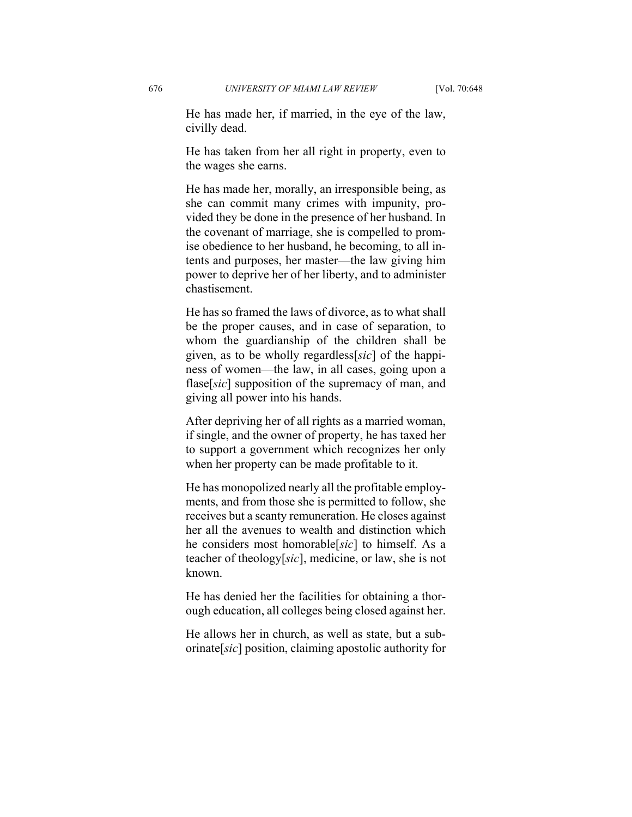He has made her, if married, in the eye of the law, civilly dead.

He has taken from her all right in property, even to the wages she earns.

He has made her, morally, an irresponsible being, as she can commit many crimes with impunity, provided they be done in the presence of her husband. In the covenant of marriage, she is compelled to promise obedience to her husband, he becoming, to all intents and purposes, her master—the law giving him power to deprive her of her liberty, and to administer chastisement.

He has so framed the laws of divorce, as to what shall be the proper causes, and in case of separation, to whom the guardianship of the children shall be given, as to be wholly regardless[*sic*] of the happiness of women—the law, in all cases, going upon a flase[*sic*] supposition of the supremacy of man, and giving all power into his hands.

After depriving her of all rights as a married woman, if single, and the owner of property, he has taxed her to support a government which recognizes her only when her property can be made profitable to it.

He has monopolized nearly all the profitable employments, and from those she is permitted to follow, she receives but a scanty remuneration. He closes against her all the avenues to wealth and distinction which he considers most homorable[*sic*] to himself. As a teacher of theology[*sic*], medicine, or law, she is not known.

He has denied her the facilities for obtaining a thorough education, all colleges being closed against her.

He allows her in church, as well as state, but a suborinate[*sic*] position, claiming apostolic authority for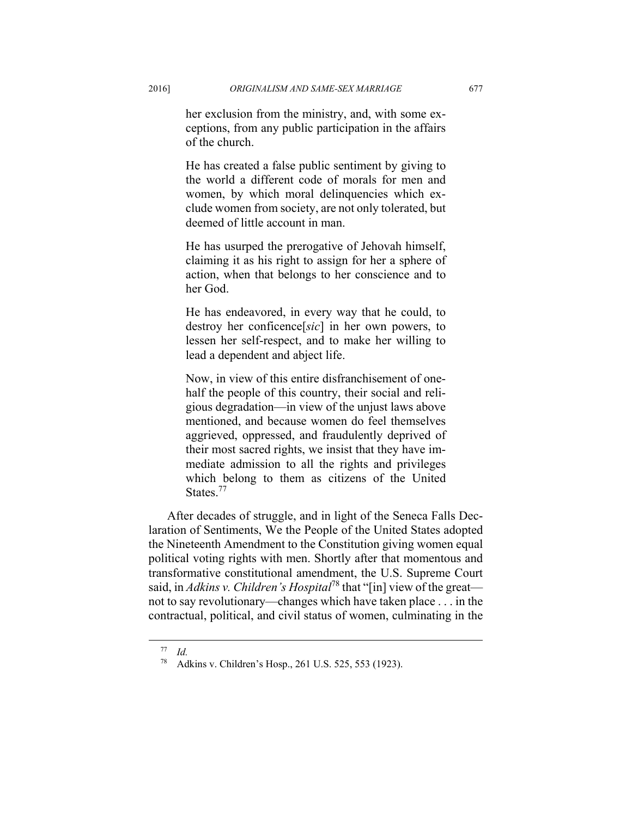her exclusion from the ministry, and, with some exceptions, from any public participation in the affairs of the church.

He has created a false public sentiment by giving to the world a different code of morals for men and women, by which moral delinquencies which exclude women from society, are not only tolerated, but deemed of little account in man.

He has usurped the prerogative of Jehovah himself, claiming it as his right to assign for her a sphere of action, when that belongs to her conscience and to her God.

He has endeavored, in every way that he could, to destroy her conficence[*sic*] in her own powers, to lessen her self-respect, and to make her willing to lead a dependent and abject life.

Now, in view of this entire disfranchisement of onehalf the people of this country, their social and religious degradation—in view of the unjust laws above mentioned, and because women do feel themselves aggrieved, oppressed, and fraudulently deprived of their most sacred rights, we insist that they have immediate admission to all the rights and privileges which belong to them as citizens of the United States.<sup>77</sup>

After decades of struggle, and in light of the Seneca Falls Declaration of Sentiments, We the People of the United States adopted the Nineteenth Amendment to the Constitution giving women equal political voting rights with men. Shortly after that momentous and transformative constitutional amendment, the U.S. Supreme Court said, in *Adkins v. Children's Hospital*78 that "[in] view of the great not to say revolutionary—changes which have taken place . . . in the contractual, political, and civil status of women, culminating in the

 <sup>77</sup> *Id.*

<sup>78</sup> Adkins v. Children's Hosp., 261 U.S. 525, 553 (1923).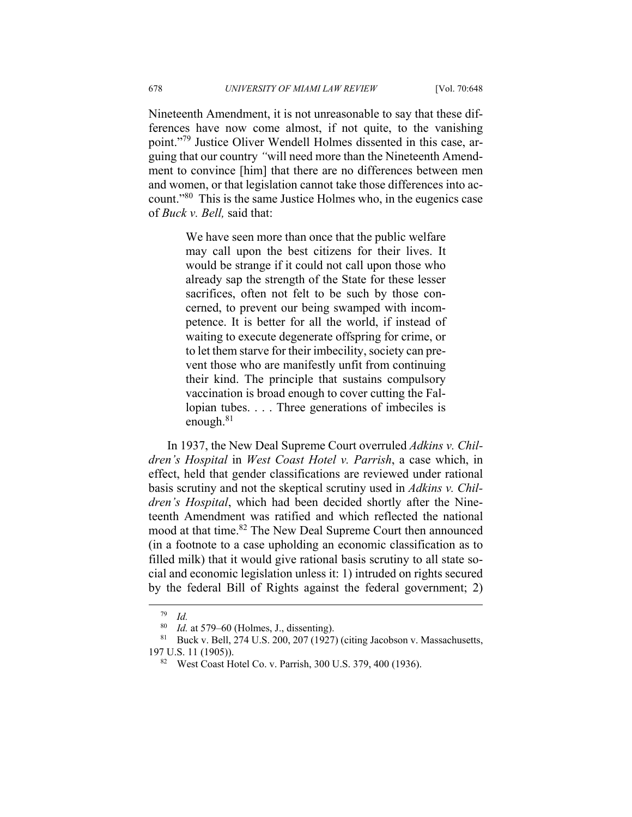Nineteenth Amendment, it is not unreasonable to say that these differences have now come almost, if not quite, to the vanishing point."79 Justice Oliver Wendell Holmes dissented in this case, arguing that our country *"*will need more than the Nineteenth Amendment to convince [him] that there are no differences between men and women, or that legislation cannot take those differences into account."80 This is the same Justice Holmes who, in the eugenics case of *Buck v. Bell,* said that:

> We have seen more than once that the public welfare may call upon the best citizens for their lives. It would be strange if it could not call upon those who already sap the strength of the State for these lesser sacrifices, often not felt to be such by those concerned, to prevent our being swamped with incompetence. It is better for all the world, if instead of waiting to execute degenerate offspring for crime, or to let them starve for their imbecility, society can prevent those who are manifestly unfit from continuing their kind. The principle that sustains compulsory vaccination is broad enough to cover cutting the Fallopian tubes. . . . Three generations of imbeciles is enough.<sup>81</sup>

In 1937, the New Deal Supreme Court overruled *Adkins v. Children's Hospital* in *West Coast Hotel v. Parrish*, a case which, in effect, held that gender classifications are reviewed under rational basis scrutiny and not the skeptical scrutiny used in *Adkins v. Children's Hospital*, which had been decided shortly after the Nineteenth Amendment was ratified and which reflected the national mood at that time.<sup>82</sup> The New Deal Supreme Court then announced (in a footnote to a case upholding an economic classification as to filled milk) that it would give rational basis scrutiny to all state social and economic legislation unless it: 1) intruded on rights secured by the federal Bill of Rights against the federal government; 2)

 <sup>79</sup> *Id.*

<sup>&</sup>lt;sup>80</sup> *Id.* at 579–60 (Holmes, J., dissenting).<br><sup>81</sup> Buck v. Bell, 274 U.S. 200, 207 (1927) (citing Jacobson v. Massachusetts, 197 U.S. 11 (1905)).<br><sup>82</sup> West Coast Hotel Co. v. Parrish, 300 U.S. 379, 400 (1936).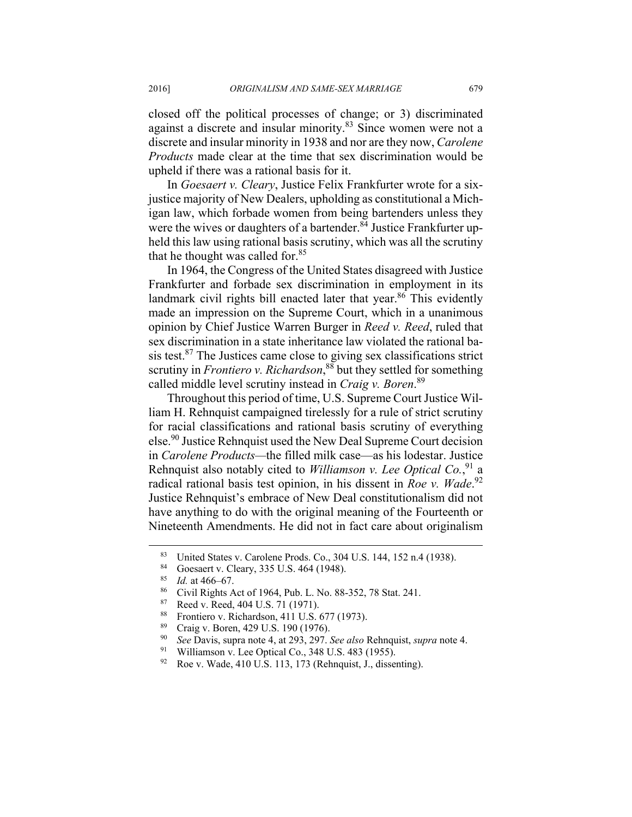closed off the political processes of change; or 3) discriminated against a discrete and insular minority.83 Since women were not a discrete and insular minority in 1938 and nor are they now, *Carolene Products* made clear at the time that sex discrimination would be upheld if there was a rational basis for it.

In *Goesaert v. Cleary*, Justice Felix Frankfurter wrote for a sixjustice majority of New Dealers, upholding as constitutional a Michigan law, which forbade women from being bartenders unless they were the wives or daughters of a bartender. $84$  Justice Frankfurter upheld this law using rational basis scrutiny, which was all the scrutiny that he thought was called for.<sup>85</sup>

In 1964, the Congress of the United States disagreed with Justice Frankfurter and forbade sex discrimination in employment in its landmark civil rights bill enacted later that year. $86$  This evidently made an impression on the Supreme Court, which in a unanimous opinion by Chief Justice Warren Burger in *Reed v. Reed*, ruled that sex discrimination in a state inheritance law violated the rational basis test. $87$  The Justices came close to giving sex classifications strict scrutiny in *Frontiero v. Richardson*, 88 but they settled for something called middle level scrutiny instead in *Craig v. Boren*. 89

Throughout this period of time, U.S. Supreme Court Justice William H. Rehnquist campaigned tirelessly for a rule of strict scrutiny for racial classifications and rational basis scrutiny of everything else.90 Justice Rehnquist used the New Deal Supreme Court decision in *Carolene Products—*the filled milk case—as his lodestar. Justice Rehnquist also notably cited to *Williamson v. Lee Optical Co.*, 91 a radical rational basis test opinion, in his dissent in *Roe v. Wade*.<sup>92</sup> Justice Rehnquist's embrace of New Deal constitutionalism did not have anything to do with the original meaning of the Fourteenth or Nineteenth Amendments. He did not in fact care about originalism

- 88 Frontiero v. Richardson, 411 U.S. 677 (1973).
- <sup>89</sup> Craig v. Boren, 429 U.S. 190 (1976).<br><sup>90</sup> See Davis, supra note 4, at 203, 207.
- <sup>90</sup> *See* Davis, supra note 4, at 293, 297. *See also* Rehnquist, *supra* note 4. 91 Williamson v. Lee Optical Co., 348 U.S. 483 (1955).
- 
- 92 Roe v. Wade, 410 U.S. 113, 173 (Rehnquist, J., dissenting).

<sup>&</sup>lt;sup>83</sup> United States v. Carolene Prods. Co., 304 U.S. 144, 152 n.4 (1938).

Goesaert v. Cleary, 335 U.S. 464 (1948).

<sup>&</sup>lt;sup>85</sup> *Id.* at 466–67.<br><sup>86</sup> Civil Rights Act of 1964, Pub. L. No. 88-352, 78 Stat. 241.<br><sup>87</sup> Peed v. Beed, 404 U.S. 71 (1971).

Reed v. Reed, 404 U.S. 71 (1971).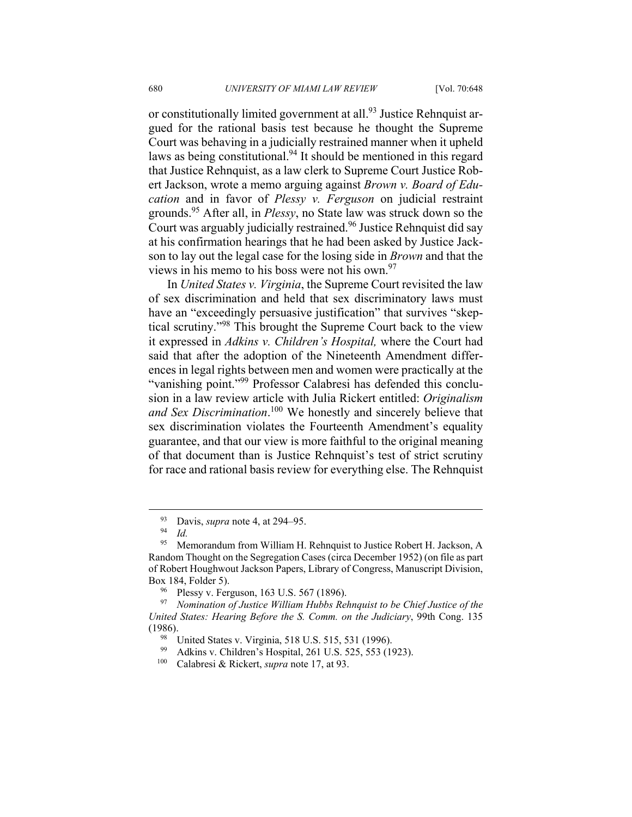or constitutionally limited government at all.<sup>93</sup> Justice Rehnquist argued for the rational basis test because he thought the Supreme Court was behaving in a judicially restrained manner when it upheld laws as being constitutional.<sup>94</sup> It should be mentioned in this regard that Justice Rehnquist, as a law clerk to Supreme Court Justice Robert Jackson, wrote a memo arguing against *Brown v. Board of Education* and in favor of *Plessy v. Ferguson* on judicial restraint grounds.95 After all, in *Plessy*, no State law was struck down so the Court was arguably judicially restrained.<sup>96</sup> Justice Rehnquist did say at his confirmation hearings that he had been asked by Justice Jackson to lay out the legal case for the losing side in *Brown* and that the views in his memo to his boss were not his own.<sup>97</sup>

In *United States v. Virginia*, the Supreme Court revisited the law of sex discrimination and held that sex discriminatory laws must have an "exceedingly persuasive justification" that survives "skeptical scrutiny."98 This brought the Supreme Court back to the view it expressed in *Adkins v. Children's Hospital,* where the Court had said that after the adoption of the Nineteenth Amendment differences in legal rights between men and women were practically at the "vanishing point."<sup>99</sup> Professor Calabresi has defended this conclusion in a law review article with Julia Rickert entitled: *Originalism and Sex Discrimination*. 100 We honestly and sincerely believe that sex discrimination violates the Fourteenth Amendment's equality guarantee, and that our view is more faithful to the original meaning of that document than is Justice Rehnquist's test of strict scrutiny for race and rational basis review for everything else. The Rehnquist

 <sup>93</sup> Davis, *supra* note 4, at 294–95. 94 *Id.*

<sup>&</sup>lt;sup>95</sup> Memorandum from William H. Rehnquist to Justice Robert H. Jackson, A Random Thought on the Segregation Cases (circa December 1952) (on file as part of Robert Houghwout Jackson Papers, Library of Congress, Manuscript Division, Box 184, Folder 5).<br><sup>96</sup> Plessy v. Ferguson, 163 U.S. 567 (1896).<br><sup>97</sup> Nomination of Justice William Hubbs Re

<sup>97</sup> *Nomination of Justice William Hubbs Rehnquist to be Chief Justice of the United States: Hearing Before the S. Comm. on the Judiciary*, 99th Cong. 135 (1986). 98 United States v. Virginia, 518 U.S. 515, 531 (1996).

<sup>99</sup> Adkins v. Children's Hospital, 261 U.S. 525, 553 (1923). 100 Calabresi & Rickert, *supra* note 17, at 93.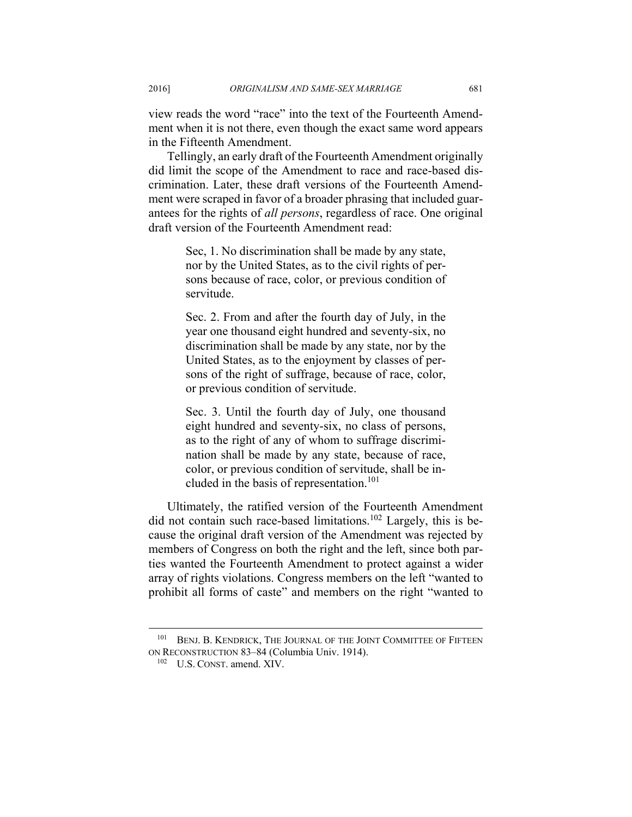view reads the word "race" into the text of the Fourteenth Amendment when it is not there, even though the exact same word appears in the Fifteenth Amendment.

Tellingly, an early draft of the Fourteenth Amendment originally did limit the scope of the Amendment to race and race-based discrimination. Later, these draft versions of the Fourteenth Amendment were scraped in favor of a broader phrasing that included guarantees for the rights of *all persons*, regardless of race. One original draft version of the Fourteenth Amendment read:

> Sec, 1. No discrimination shall be made by any state, nor by the United States, as to the civil rights of persons because of race, color, or previous condition of servitude.

> Sec. 2. From and after the fourth day of July, in the year one thousand eight hundred and seventy-six, no discrimination shall be made by any state, nor by the United States, as to the enjoyment by classes of persons of the right of suffrage, because of race, color, or previous condition of servitude.

> Sec. 3. Until the fourth day of July, one thousand eight hundred and seventy-six, no class of persons, as to the right of any of whom to suffrage discrimination shall be made by any state, because of race, color, or previous condition of servitude, shall be included in the basis of representation.<sup>101</sup>

Ultimately, the ratified version of the Fourteenth Amendment did not contain such race-based limitations.<sup>102</sup> Largely, this is because the original draft version of the Amendment was rejected by members of Congress on both the right and the left, since both parties wanted the Fourteenth Amendment to protect against a wider array of rights violations. Congress members on the left "wanted to prohibit all forms of caste" and members on the right "wanted to

<sup>&</sup>lt;sup>101</sup> BENJ. B. KENDRICK, THE JOURNAL OF THE JOINT COMMITTEE OF FIFTEEN ON RECONSTRUCTION 83–84 (Columbia Univ. 1914). 102 U.S. CONST. amend. XIV.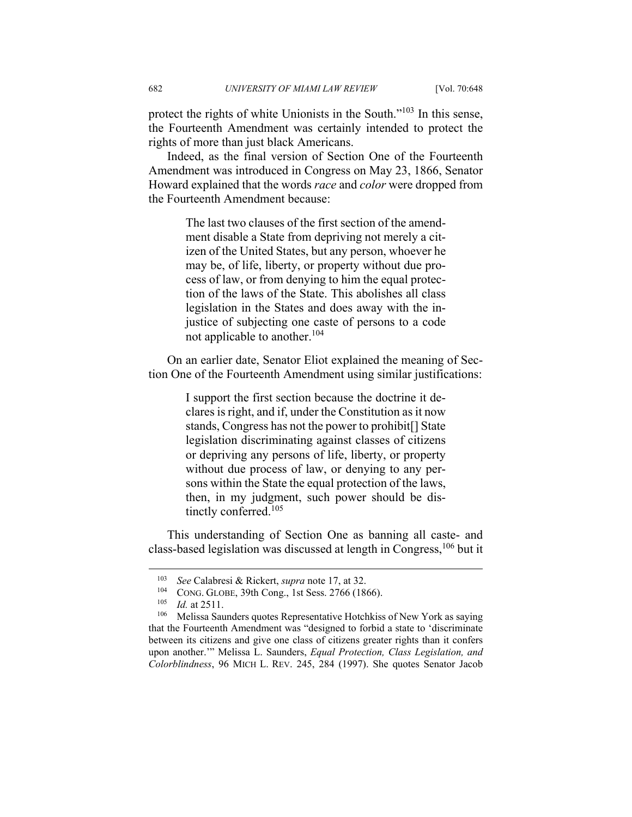protect the rights of white Unionists in the South."<sup>103</sup> In this sense, the Fourteenth Amendment was certainly intended to protect the rights of more than just black Americans.

Indeed, as the final version of Section One of the Fourteenth Amendment was introduced in Congress on May 23, 1866, Senator Howard explained that the words *race* and *color* were dropped from the Fourteenth Amendment because:

> The last two clauses of the first section of the amendment disable a State from depriving not merely a citizen of the United States, but any person, whoever he may be, of life, liberty, or property without due process of law, or from denying to him the equal protection of the laws of the State. This abolishes all class legislation in the States and does away with the injustice of subjecting one caste of persons to a code not applicable to another.104

On an earlier date, Senator Eliot explained the meaning of Section One of the Fourteenth Amendment using similar justifications:

> I support the first section because the doctrine it declares is right, and if, under the Constitution as it now stands, Congress has not the power to prohibit[] State legislation discriminating against classes of citizens or depriving any persons of life, liberty, or property without due process of law, or denying to any persons within the State the equal protection of the laws, then, in my judgment, such power should be distinctly conferred.<sup>105</sup>

This understanding of Section One as banning all caste- and class-based legislation was discussed at length in Congress,106 but it

<sup>&</sup>lt;sup>103</sup> See Calabresi & Rickert, *supra* note 17, at 32.<br><sup>104</sup> CONG. GLOBE, 39th Cong., 1st Sess. 2766 (1866).<br><sup>105</sup> *Id.* at 2511.<br>Melissa Saunders quotes Representative Hotchkiss of New York as saying that the Fourteenth Amendment was "designed to forbid a state to 'discriminate between its citizens and give one class of citizens greater rights than it confers upon another.'" Melissa L. Saunders, *Equal Protection, Class Legislation, and Colorblindness*, 96 MICH L. REV. 245, 284 (1997). She quotes Senator Jacob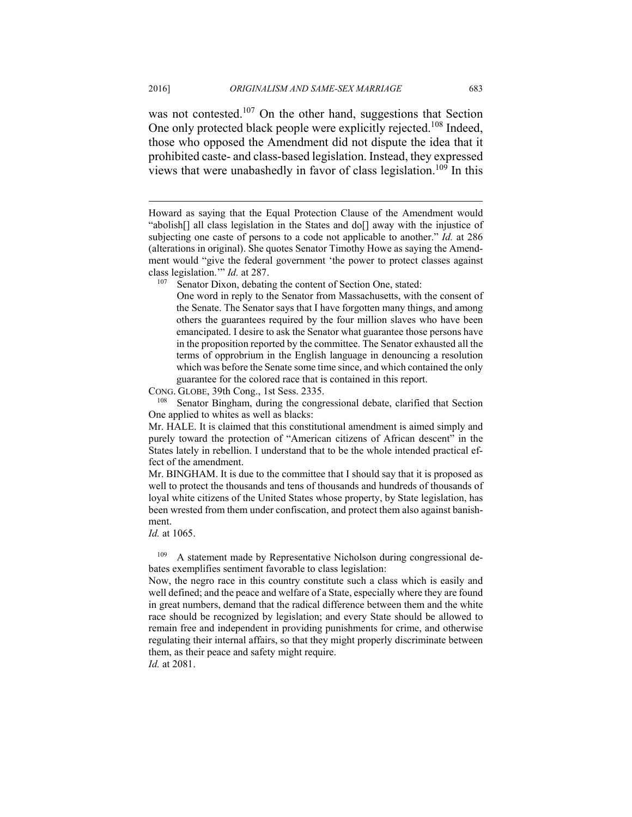2016] *ORIGINALISM AND SAME-SEX MARRIAGE* 683

was not contested.<sup>107</sup> On the other hand, suggestions that Section One only protected black people were explicitly rejected.<sup>108</sup> Indeed, those who opposed the Amendment did not dispute the idea that it prohibited caste- and class-based legislation. Instead, they expressed views that were unabashedly in favor of class legislation.<sup>109</sup> In this

CONG. GLOBE, 39th Cong., 1st Sess. 2335.<br><sup>108</sup> Senator Bingham, during the congressional debate, clarified that Section One applied to whites as well as blacks:

Mr. HALE. It is claimed that this constitutional amendment is aimed simply and purely toward the protection of "American citizens of African descent" in the States lately in rebellion. I understand that to be the whole intended practical effect of the amendment.

Mr. BINGHAM. It is due to the committee that I should say that it is proposed as well to protect the thousands and tens of thousands and hundreds of thousands of loyal white citizens of the United States whose property, by State legislation, has been wrested from them under confiscation, and protect them also against banishment.

*Id.* at 1065.

A statement made by Representative Nicholson during congressional debates exemplifies sentiment favorable to class legislation:

Now, the negro race in this country constitute such a class which is easily and well defined; and the peace and welfare of a State, especially where they are found in great numbers, demand that the radical difference between them and the white race should be recognized by legislation; and every State should be allowed to remain free and independent in providing punishments for crime, and otherwise regulating their internal affairs, so that they might properly discriminate between them, as their peace and safety might require. *Id.* at 2081.

Howard as saying that the Equal Protection Clause of the Amendment would "abolish[] all class legislation in the States and do[] away with the injustice of subjecting one caste of persons to a code not applicable to another." *Id.* at 286 (alterations in original). She quotes Senator Timothy Howe as saying the Amendment would "give the federal government 'the power to protect classes against class legislation.'" *Id.* at 287.<br><sup>107</sup> Senator Dixon, debating the content of Section One, stated:

One word in reply to the Senator from Massachusetts, with the consent of the Senate. The Senator says that I have forgotten many things, and among others the guarantees required by the four million slaves who have been emancipated. I desire to ask the Senator what guarantee those persons have in the proposition reported by the committee. The Senator exhausted all the terms of opprobrium in the English language in denouncing a resolution which was before the Senate some time since, and which contained the only guarantee for the colored race that is contained in this report.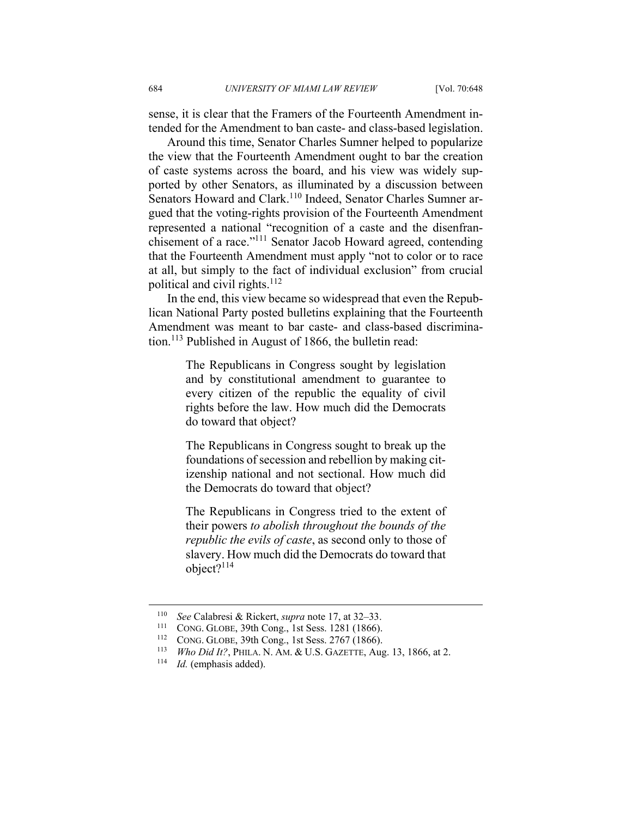sense, it is clear that the Framers of the Fourteenth Amendment intended for the Amendment to ban caste- and class-based legislation.

Around this time, Senator Charles Sumner helped to popularize the view that the Fourteenth Amendment ought to bar the creation of caste systems across the board, and his view was widely supported by other Senators, as illuminated by a discussion between Senators Howard and Clark.<sup>110</sup> Indeed, Senator Charles Sumner argued that the voting-rights provision of the Fourteenth Amendment represented a national "recognition of a caste and the disenfranchisement of a race."111 Senator Jacob Howard agreed, contending that the Fourteenth Amendment must apply "not to color or to race at all, but simply to the fact of individual exclusion" from crucial political and civil rights. $112$ 

In the end, this view became so widespread that even the Republican National Party posted bulletins explaining that the Fourteenth Amendment was meant to bar caste- and class-based discrimination.113 Published in August of 1866, the bulletin read:

> The Republicans in Congress sought by legislation and by constitutional amendment to guarantee to every citizen of the republic the equality of civil rights before the law. How much did the Democrats do toward that object?

> The Republicans in Congress sought to break up the foundations of secession and rebellion by making citizenship national and not sectional. How much did the Democrats do toward that object?

> The Republicans in Congress tried to the extent of their powers *to abolish throughout the bounds of the republic the evils of caste*, as second only to those of slavery. How much did the Democrats do toward that object?114

<sup>&</sup>lt;sup>110</sup> *See* Calabresi & Rickert, *supra* note 17, at 32–33.<br>
<sup>111</sup> CONG. GLOBE, 39th Cong., 1st Sess. 1281 (1866).<br>
<sup>112</sup> CONG. GLOBE, 39th Cong., 1st Sess. 2767 (1866).<br>
<sup>113</sup> *Who Did It*?, PHILA. N. AM. & U.S. GAZETTE,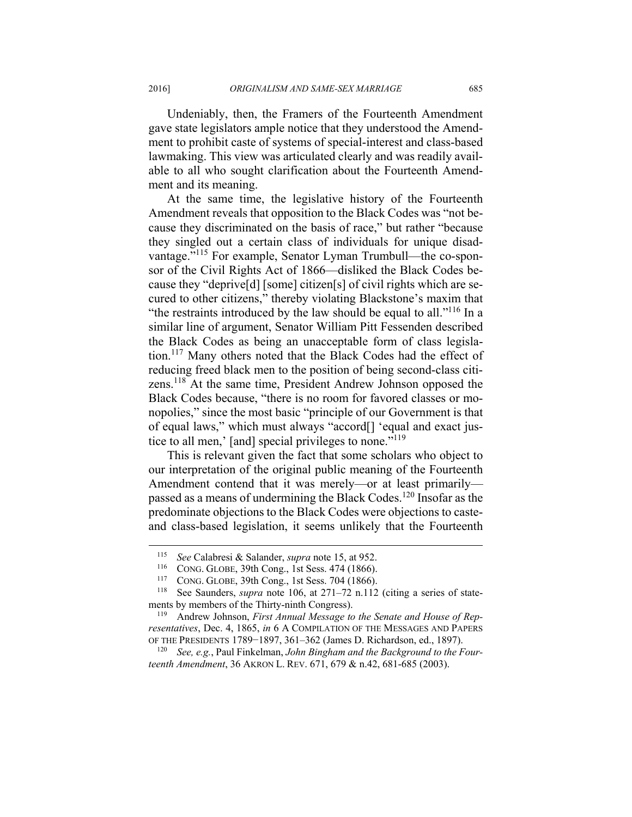Undeniably, then, the Framers of the Fourteenth Amendment gave state legislators ample notice that they understood the Amendment to prohibit caste of systems of special-interest and class-based lawmaking. This view was articulated clearly and was readily available to all who sought clarification about the Fourteenth Amendment and its meaning.

At the same time, the legislative history of the Fourteenth Amendment reveals that opposition to the Black Codes was "not because they discriminated on the basis of race," but rather "because they singled out a certain class of individuals for unique disadvantage."115 For example, Senator Lyman Trumbull—the co-sponsor of the Civil Rights Act of 1866—disliked the Black Codes because they "deprive[d] [some] citizen[s] of civil rights which are secured to other citizens," thereby violating Blackstone's maxim that "the restraints introduced by the law should be equal to all."116 In a similar line of argument, Senator William Pitt Fessenden described the Black Codes as being an unacceptable form of class legislation.<sup>117</sup> Many others noted that the Black Codes had the effect of reducing freed black men to the position of being second-class citizens.118 At the same time, President Andrew Johnson opposed the Black Codes because, "there is no room for favored classes or monopolies," since the most basic "principle of our Government is that of equal laws," which must always "accord[] 'equal and exact justice to all men,' [and] special privileges to none."<sup>119</sup>

This is relevant given the fact that some scholars who object to our interpretation of the original public meaning of the Fourteenth Amendment contend that it was merely—or at least primarily passed as a means of undermining the Black Codes.120 Insofar as the predominate objections to the Black Codes were objections to casteand class-based legislation, it seems unlikely that the Fourteenth

<sup>&</sup>lt;sup>115</sup> *See* Calabresi & Salander, *supra* note 15, at 952.<br><sup>116</sup> CONG. GLOBE, 39th Cong., 1st Sess. 474 (1866).<br><sup>117</sup> CONG. GLOBE, 39th Cong., 1st Sess. 704 (1866).<br><sup>118</sup> See Saunders, *supra* note 106, at 271–72 n.112 (c ments by members of the Thirty-ninth Congress).<br><sup>119</sup> Andrew Johnson, *First Annual Message to the Senate and House of Rep-*

*resentatives*, Dec. 4, 1865, *in* 6 A COMPILATION OF THE MESSAGES AND PAPERS OF THE PRESIDENTS 1789−1897, 361–362 (James D. Richardson, ed., 1897). 120 *See, e.g.*, Paul Finkelman, *John Bingham and the Background to the Four-*

*teenth Amendment*, 36 AKRON L. REV. 671, 679 & n.42, 681-685 (2003).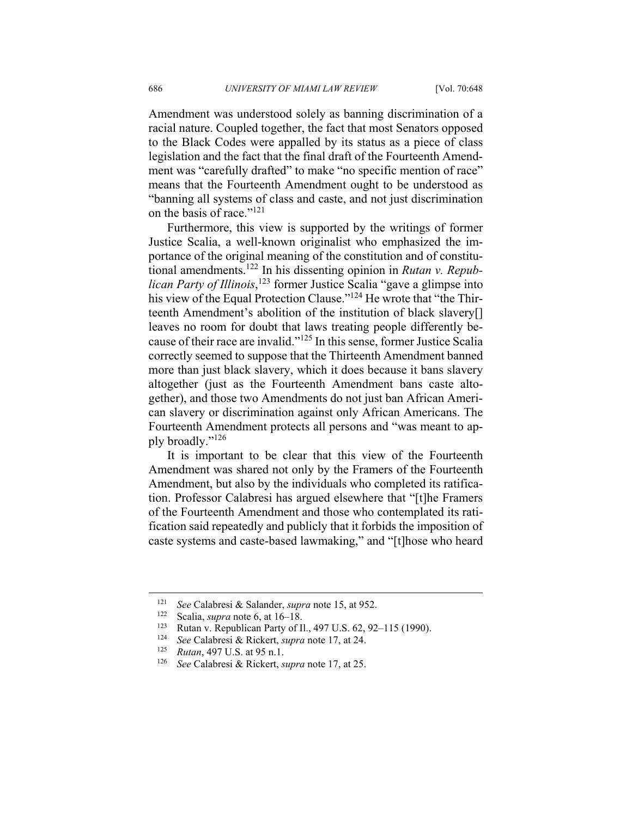Amendment was understood solely as banning discrimination of a racial nature. Coupled together, the fact that most Senators opposed to the Black Codes were appalled by its status as a piece of class legislation and the fact that the final draft of the Fourteenth Amendment was "carefully drafted" to make "no specific mention of race" means that the Fourteenth Amendment ought to be understood as "banning all systems of class and caste, and not just discrimination on the basis of race."<sup>121</sup>

Furthermore, this view is supported by the writings of former Justice Scalia, a well-known originalist who emphasized the importance of the original meaning of the constitution and of constitutional amendments.122 In his dissenting opinion in *Rutan v. Republican Party of Illinois*, <sup>123</sup> former Justice Scalia "gave a glimpse into his view of the Equal Protection Clause."<sup>124</sup> He wrote that "the Thirteenth Amendment's abolition of the institution of black slavery[] leaves no room for doubt that laws treating people differently because of their race are invalid."125 In this sense, former Justice Scalia correctly seemed to suppose that the Thirteenth Amendment banned more than just black slavery, which it does because it bans slavery altogether (just as the Fourteenth Amendment bans caste altogether), and those two Amendments do not just ban African American slavery or discrimination against only African Americans. The Fourteenth Amendment protects all persons and "was meant to apply broadly."<sup>126</sup>

It is important to be clear that this view of the Fourteenth Amendment was shared not only by the Framers of the Fourteenth Amendment, but also by the individuals who completed its ratification. Professor Calabresi has argued elsewhere that "[t]he Framers of the Fourteenth Amendment and those who contemplated its ratification said repeatedly and publicly that it forbids the imposition of caste systems and caste-based lawmaking," and "[t]hose who heard

<sup>&</sup>lt;sup>121</sup> *See* Calabresi & Salander, *supra* note 15, at 952.<br>
<sup>122</sup> Scalia, *supra* note 6, at 16–18.<br>
<sup>123</sup> Rutan v. Republican Party of II., 497 U.S. 62, 92–115 (1990).<br>
<sup>124</sup> *See* Calabresi & Rickert, *supra* note 17, a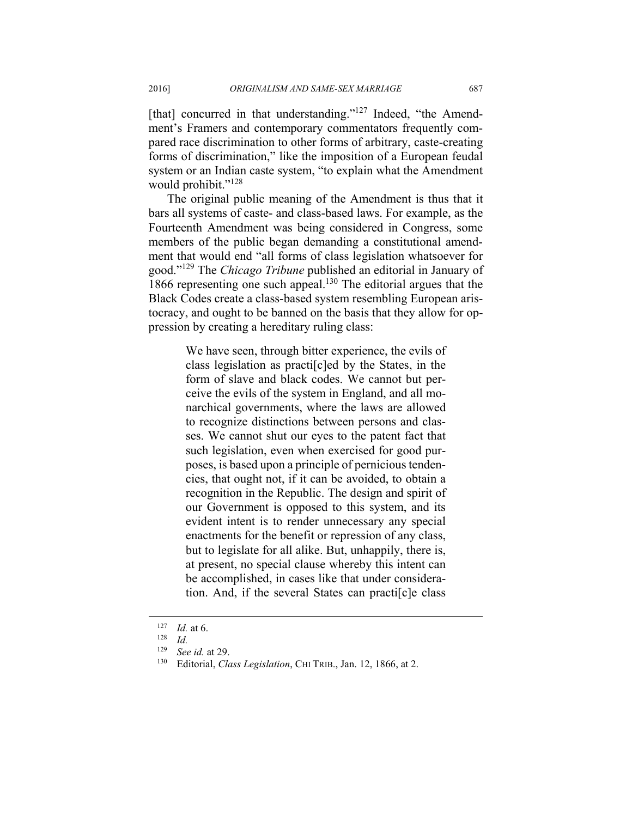[that] concurred in that understanding."<sup>127</sup> Indeed, "the Amendment's Framers and contemporary commentators frequently compared race discrimination to other forms of arbitrary, caste-creating forms of discrimination," like the imposition of a European feudal system or an Indian caste system, "to explain what the Amendment would prohibit."<sup>128</sup>

The original public meaning of the Amendment is thus that it bars all systems of caste- and class-based laws. For example, as the Fourteenth Amendment was being considered in Congress, some members of the public began demanding a constitutional amendment that would end "all forms of class legislation whatsoever for good."129 The *Chicago Tribune* published an editorial in January of 1866 representing one such appeal.130 The editorial argues that the Black Codes create a class-based system resembling European aristocracy, and ought to be banned on the basis that they allow for oppression by creating a hereditary ruling class:

> We have seen, through bitter experience, the evils of class legislation as practi[c]ed by the States, in the form of slave and black codes. We cannot but perceive the evils of the system in England, and all monarchical governments, where the laws are allowed to recognize distinctions between persons and classes. We cannot shut our eyes to the patent fact that such legislation, even when exercised for good purposes, is based upon a principle of pernicious tendencies, that ought not, if it can be avoided, to obtain a recognition in the Republic. The design and spirit of our Government is opposed to this system, and its evident intent is to render unnecessary any special enactments for the benefit or repression of any class, but to legislate for all alike. But, unhappily, there is, at present, no special clause whereby this intent can be accomplished, in cases like that under consideration. And, if the several States can practi[c]e class

<sup>127</sup> *Id.* at 6. 128 *Id.*

<sup>&</sup>lt;sup>129</sup> See id. at 29.<br><sup>130</sup> Editorial, *Class Legislation*, CHI TRIB., Jan. 12, 1866, at 2.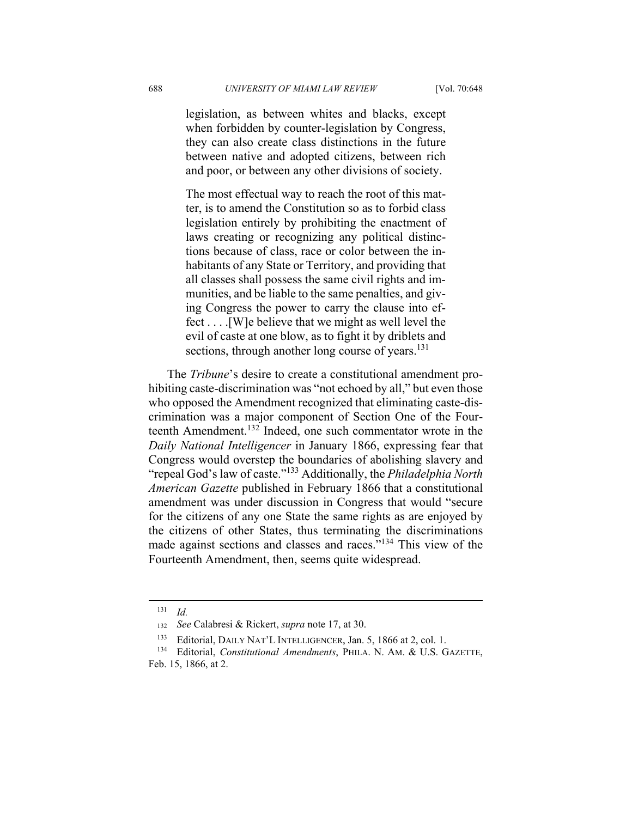legislation, as between whites and blacks, except when forbidden by counter-legislation by Congress, they can also create class distinctions in the future between native and adopted citizens, between rich and poor, or between any other divisions of society.

The most effectual way to reach the root of this matter, is to amend the Constitution so as to forbid class legislation entirely by prohibiting the enactment of laws creating or recognizing any political distinctions because of class, race or color between the inhabitants of any State or Territory, and providing that all classes shall possess the same civil rights and immunities, and be liable to the same penalties, and giving Congress the power to carry the clause into effect . . . .[W]e believe that we might as well level the evil of caste at one blow, as to fight it by driblets and sections, through another long course of years.<sup>131</sup>

The *Tribune*'s desire to create a constitutional amendment prohibiting caste-discrimination was "not echoed by all," but even those who opposed the Amendment recognized that eliminating caste-discrimination was a major component of Section One of the Fourteenth Amendment.132 Indeed, one such commentator wrote in the *Daily National Intelligencer* in January 1866, expressing fear that Congress would overstep the boundaries of abolishing slavery and "repeal God's law of caste."133 Additionally, the *Philadelphia North American Gazette* published in February 1866 that a constitutional amendment was under discussion in Congress that would "secure for the citizens of any one State the same rights as are enjoyed by the citizens of other States, thus terminating the discriminations made against sections and classes and races."134 This view of the Fourteenth Amendment, then, seems quite widespread.

<u>.</u>

 $131$  *Id.* 

<sup>132</sup> *See* Calabresi & Rickert, *supra* note 17, at 30.

<sup>133</sup> Editorial, DAILY NAT'L INTELLIGENCER, Jan. 5, 1866 at 2, col. 1. 134 Editorial, *Constitutional Amendments*, PHILA. N. AM. & U.S. GAZETTE, Feb. 15, 1866, at 2.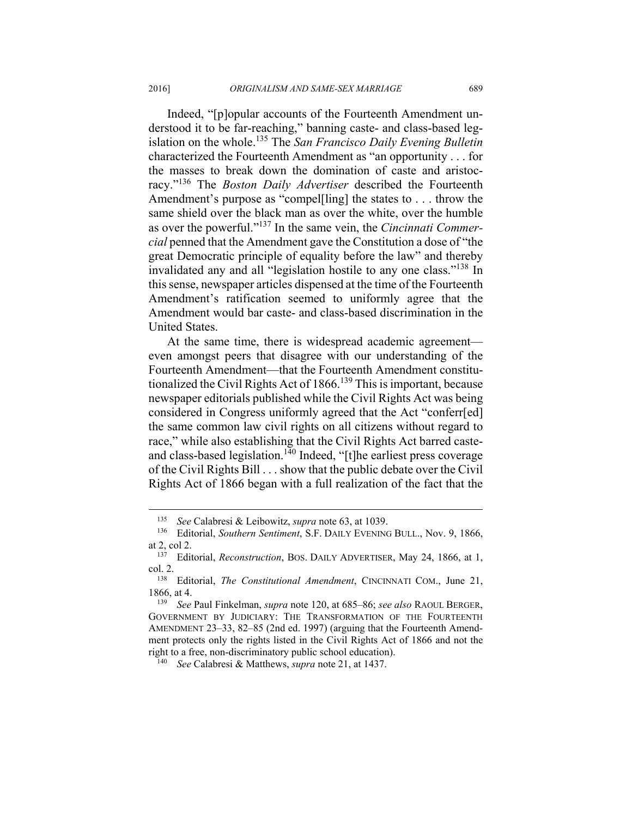Indeed, "[p]opular accounts of the Fourteenth Amendment understood it to be far-reaching," banning caste- and class-based legislation on the whole.135 The *San Francisco Daily Evening Bulletin*  characterized the Fourteenth Amendment as "an opportunity . . . for the masses to break down the domination of caste and aristocracy."136 The *Boston Daily Advertiser* described the Fourteenth Amendment's purpose as "compel[ling] the states to . . . throw the same shield over the black man as over the white, over the humble as over the powerful."137 In the same vein, the *Cincinnati Commercial* penned that the Amendment gave the Constitution a dose of "the great Democratic principle of equality before the law" and thereby invalidated any and all "legislation hostile to any one class."138 In this sense, newspaper articles dispensed at the time of the Fourteenth Amendment's ratification seemed to uniformly agree that the Amendment would bar caste- and class-based discrimination in the United States.

At the same time, there is widespread academic agreement even amongst peers that disagree with our understanding of the Fourteenth Amendment—that the Fourteenth Amendment constitutionalized the Civil Rights Act of 1866.<sup>139</sup> This is important, because newspaper editorials published while the Civil Rights Act was being considered in Congress uniformly agreed that the Act "conferr[ed] the same common law civil rights on all citizens without regard to race," while also establishing that the Civil Rights Act barred casteand class-based legislation.<sup>140</sup> Indeed, "[t]he earliest press coverage of the Civil Rights Bill . . . show that the public debate over the Civil Rights Act of 1866 began with a full realization of the fact that the

<sup>135</sup> *See* Calabresi & Leibowitz, *supra* note 63, at 1039. 136 Editorial, *Southern Sentiment*, S.F. DAILY EVENING BULL., Nov. 9, 1866, at 2, col 2. 137 Editorial, *Reconstruction*, BOS. DAILY ADVERTISER, May 24, 1866, at 1,

col. 2. 138 Editorial, *The Constitutional Amendment*, CINCINNATI COM., June 21,

<sup>1866,</sup> at 4. 139 *See* Paul Finkelman, *supra* note 120, at 685–86; *see also* RAOUL BERGER,

GOVERNMENT BY JUDICIARY: THE TRANSFORMATION OF THE FOURTEENTH AMENDMENT 23–33, 82–85 (2nd ed. 1997) (arguing that the Fourteenth Amendment protects only the rights listed in the Civil Rights Act of 1866 and not the right to a free, non-discriminatory public school education). 140 *See* Calabresi & Matthews, *supra* note 21, at 1437.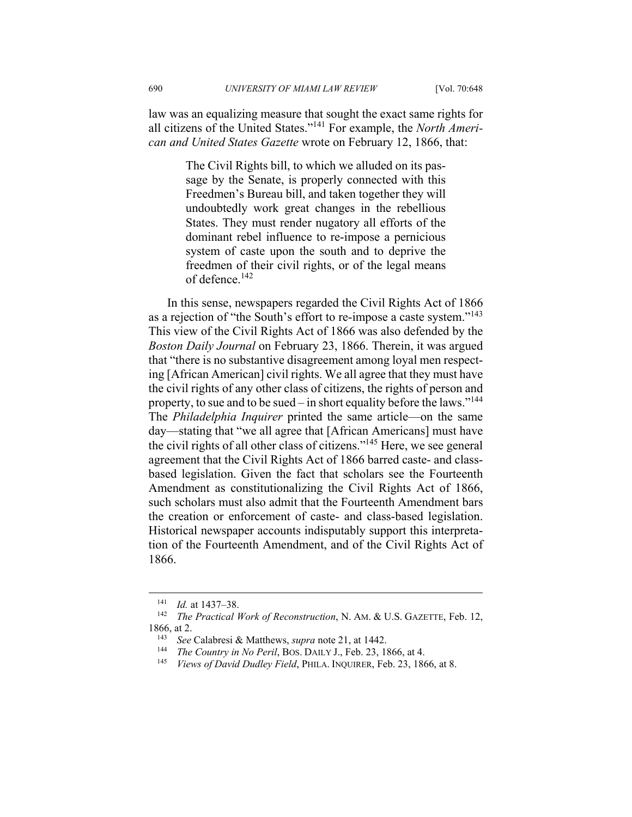law was an equalizing measure that sought the exact same rights for all citizens of the United States."141 For example, the *North American and United States Gazette* wrote on February 12, 1866, that:

> The Civil Rights bill, to which we alluded on its passage by the Senate, is properly connected with this Freedmen's Bureau bill, and taken together they will undoubtedly work great changes in the rebellious States. They must render nugatory all efforts of the dominant rebel influence to re-impose a pernicious system of caste upon the south and to deprive the freedmen of their civil rights, or of the legal means of defence.142

In this sense, newspapers regarded the Civil Rights Act of 1866 as a rejection of "the South's effort to re-impose a caste system."<sup>143</sup> This view of the Civil Rights Act of 1866 was also defended by the *Boston Daily Journal* on February 23, 1866. Therein, it was argued that "there is no substantive disagreement among loyal men respecting [African American] civil rights. We all agree that they must have the civil rights of any other class of citizens, the rights of person and property, to sue and to be sued – in short equality before the laws."<sup>144</sup> The *Philadelphia Inquirer* printed the same article—on the same day—stating that "we all agree that [African Americans] must have the civil rights of all other class of citizens."145 Here, we see general agreement that the Civil Rights Act of 1866 barred caste- and classbased legislation. Given the fact that scholars see the Fourteenth Amendment as constitutionalizing the Civil Rights Act of 1866, such scholars must also admit that the Fourteenth Amendment bars the creation or enforcement of caste- and class-based legislation. Historical newspaper accounts indisputably support this interpretation of the Fourteenth Amendment, and of the Civil Rights Act of 1866.

<sup>141</sup> *Id.* at 1437–38.<br><sup>142</sup> *The Practical Work of Reconstruction*, N. AM. & U.S. GAZETTE, Feb. 12, 1866, at 2.<br><sup>143</sup> *See* Calabresi & Matthews, *supra* note 21, at 1442.<br><sup>144</sup> *The Country in No Peril*, BOS. DAILY J., Feb. 23, 1866, at 4.<br><sup>145</sup> *Views of David Dudley Field*, PHILA. INQUIRER, Feb. 23, 1866, at 8.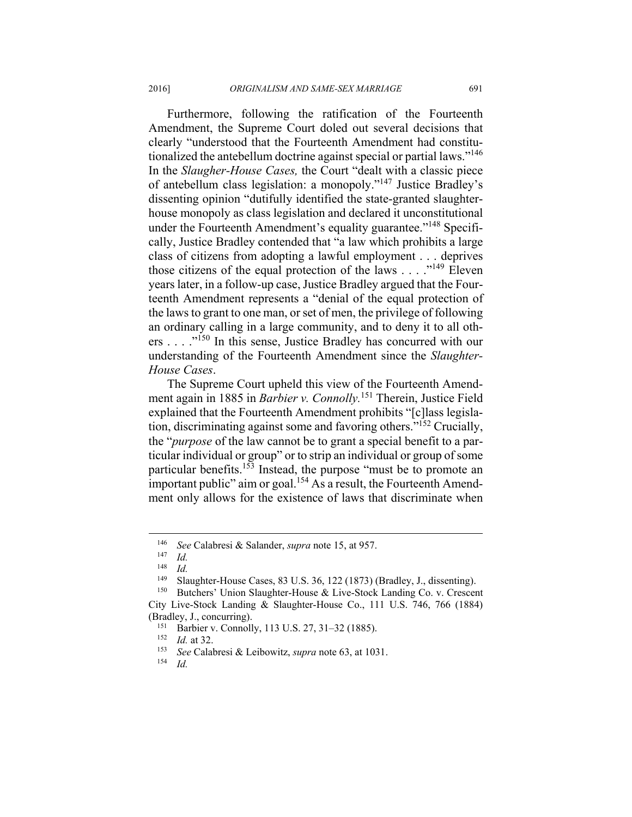Furthermore, following the ratification of the Fourteenth Amendment, the Supreme Court doled out several decisions that clearly "understood that the Fourteenth Amendment had constitutionalized the antebellum doctrine against special or partial laws."146 In the *Slaugher-House Cases,* the Court "dealt with a classic piece of antebellum class legislation: a monopoly."147 Justice Bradley's dissenting opinion "dutifully identified the state-granted slaughterhouse monopoly as class legislation and declared it unconstitutional under the Fourteenth Amendment's equality guarantee."<sup>148</sup> Specifically, Justice Bradley contended that "a law which prohibits a large class of citizens from adopting a lawful employment . . . deprives those citizens of the equal protection of the laws  $\dots$  ."<sup>149</sup> Eleven years later, in a follow-up case, Justice Bradley argued that the Fourteenth Amendment represents a "denial of the equal protection of the laws to grant to one man, or set of men, the privilege of following an ordinary calling in a large community, and to deny it to all others . . . ."150 In this sense, Justice Bradley has concurred with our understanding of the Fourteenth Amendment since the *Slaughter-House Cases*.

The Supreme Court upheld this view of the Fourteenth Amendment again in 1885 in *Barbier v. Connolly.*<sup>151</sup> Therein, Justice Field explained that the Fourteenth Amendment prohibits "[c]lass legislation, discriminating against some and favoring others."152 Crucially, the "*purpose* of the law cannot be to grant a special benefit to a particular individual or group" or to strip an individual or group of some particular benefits.153 Instead, the purpose "must be to promote an important public" aim or goal.<sup>154</sup> As a result, the Fourteenth Amendment only allows for the existence of laws that discriminate when

<sup>146</sup> *See* Calabresi & Salander, *supra* note 15, at 957. 147 *Id.*

 $\frac{148}{149}$  *Id.* 

<sup>&</sup>lt;sup>149</sup> Slaughter-House Cases, 83 U.S. 36, 122 (1873) (Bradley, J., dissenting).<br><sup>150</sup> Butchers' Union Slaughter-House & Live-Stock Landing Co. v. Crescent

City Live-Stock Landing & Slaughter-House Co., 111 U.S. 746, 766 (1884)

<sup>(</sup>Bradley, J., concurring). 151 Barbier v. Connolly, 113 U.S. 27, 31–32 (1885). 152 *Id.* at 32.

<sup>153</sup> *See* Calabresi & Leibowitz, *supra* note 63, at 1031. 154 *Id.*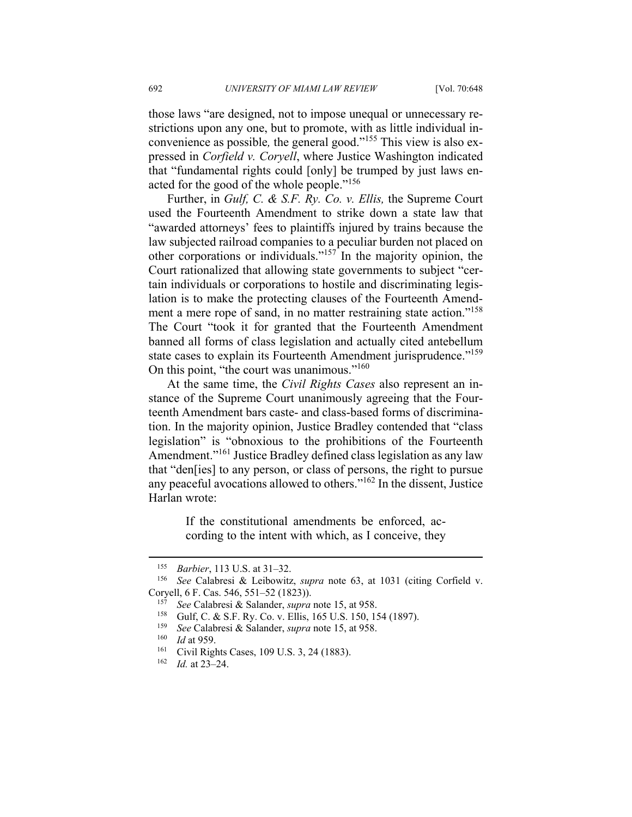those laws "are designed, not to impose unequal or unnecessary restrictions upon any one, but to promote, with as little individual inconvenience as possible*,* the general good."155 This view is also expressed in *Corfield v. Coryell*, where Justice Washington indicated that "fundamental rights could [only] be trumped by just laws enacted for the good of the whole people."156

Further, in *Gulf, C. & S.F. Ry. Co. v. Ellis,* the Supreme Court used the Fourteenth Amendment to strike down a state law that "awarded attorneys' fees to plaintiffs injured by trains because the law subjected railroad companies to a peculiar burden not placed on other corporations or individuals."157 In the majority opinion, the Court rationalized that allowing state governments to subject "certain individuals or corporations to hostile and discriminating legislation is to make the protecting clauses of the Fourteenth Amendment a mere rope of sand, in no matter restraining state action."<sup>158</sup> The Court "took it for granted that the Fourteenth Amendment banned all forms of class legislation and actually cited antebellum state cases to explain its Fourteenth Amendment jurisprudence."<sup>159</sup> On this point, "the court was unanimous."<sup>160</sup>

At the same time, the *Civil Rights Cases* also represent an instance of the Supreme Court unanimously agreeing that the Fourteenth Amendment bars caste- and class-based forms of discrimination. In the majority opinion, Justice Bradley contended that "class legislation" is "obnoxious to the prohibitions of the Fourteenth Amendment."<sup>161</sup> Justice Bradley defined class legislation as any law that "den[ies] to any person, or class of persons, the right to pursue any peaceful avocations allowed to others."162 In the dissent, Justice Harlan wrote:

> If the constitutional amendments be enforced, according to the intent with which, as I conceive, they

<sup>155</sup> *Barbier*, 113 U.S. at 31–32. 156 *See* Calabresi & Leibowitz, *supra* note 63, at 1031 (citing Corfield v. Coryell, 6 F. Cas. 546, 551–52 (1823)).<br>
<sup>157</sup> See Calabresi & Salander, *supra* note 15, at 958.<br>
<sup>158</sup> Gulf, C. & S.F. Ry. Co. v. Ellis, 165 U.S. 150, 154 (1897).<br>
<sup>159</sup> See Calabresi & Salander, *supra* note 15, at 958.

*Id.* at 23–24.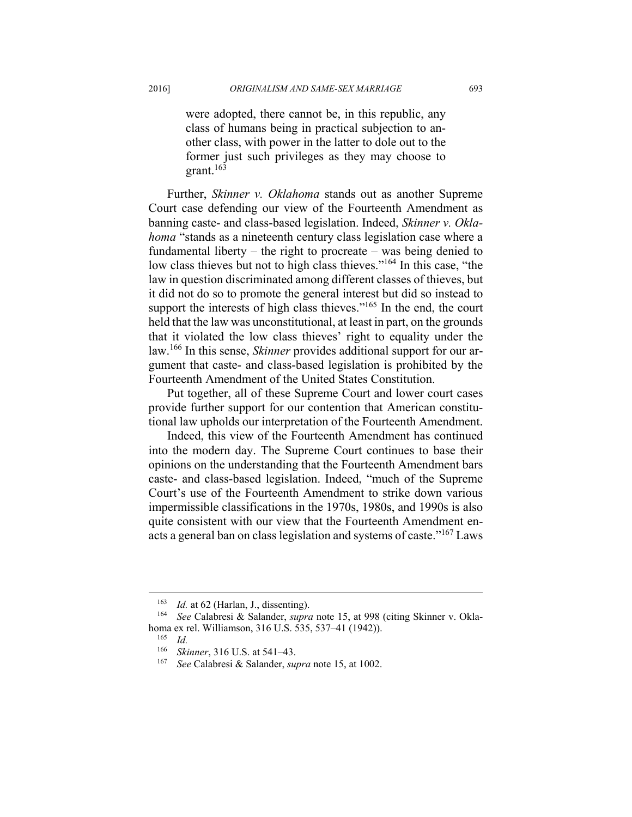were adopted, there cannot be, in this republic, any class of humans being in practical subjection to another class, with power in the latter to dole out to the former just such privileges as they may choose to grant. $163$ 

Further, *Skinner v. Oklahoma* stands out as another Supreme Court case defending our view of the Fourteenth Amendment as banning caste- and class-based legislation. Indeed, *Skinner v. Oklahoma* "stands as a nineteenth century class legislation case where a fundamental liberty – the right to procreate – was being denied to low class thieves but not to high class thieves."<sup>164</sup> In this case, "the law in question discriminated among different classes of thieves, but it did not do so to promote the general interest but did so instead to support the interests of high class thieves."<sup>165</sup> In the end, the court held that the law was unconstitutional, at least in part, on the grounds that it violated the low class thieves' right to equality under the law.166 In this sense, *Skinner* provides additional support for our argument that caste- and class-based legislation is prohibited by the Fourteenth Amendment of the United States Constitution.

Put together, all of these Supreme Court and lower court cases provide further support for our contention that American constitutional law upholds our interpretation of the Fourteenth Amendment.

Indeed, this view of the Fourteenth Amendment has continued into the modern day. The Supreme Court continues to base their opinions on the understanding that the Fourteenth Amendment bars caste- and class-based legislation. Indeed, "much of the Supreme Court's use of the Fourteenth Amendment to strike down various impermissible classifications in the 1970s, 1980s, and 1990s is also quite consistent with our view that the Fourteenth Amendment enacts a general ban on class legislation and systems of caste."167 Laws

<sup>163</sup> *Id.* at 62 (Harlan, J., dissenting). 164 *See* Calabresi & Salander, *supra* note 15, at 998 (citing Skinner v. Oklahoma ex rel. Williamson, 316 U.S. 535, 537–41 (1942)). 165 *Id.*

<sup>166</sup> *Skinner*, 316 U.S. at 541–43. 167 *See* Calabresi & Salander, *supra* note 15, at 1002.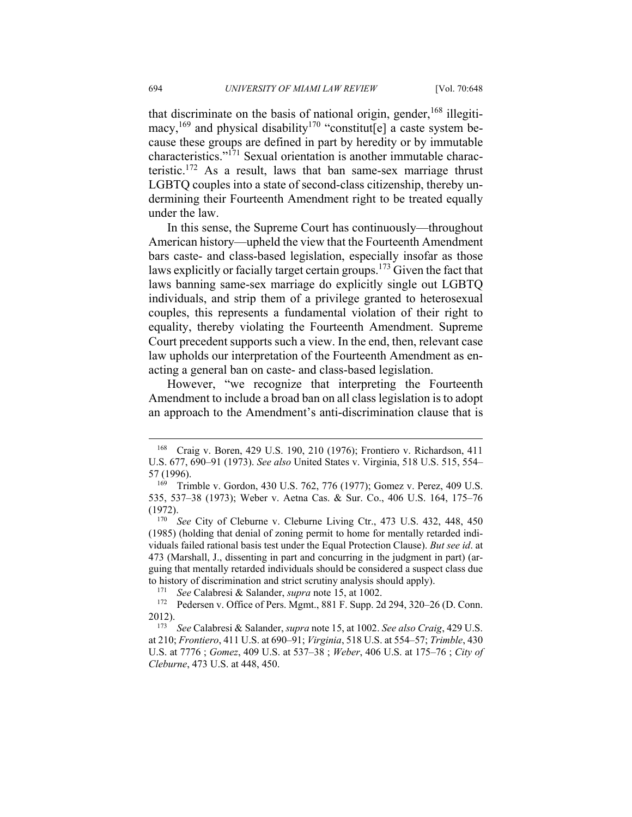that discriminate on the basis of national origin, gender,<sup>168</sup> illegitimacy,<sup>169</sup> and physical disability<sup>170</sup> "constitut[e] a caste system because these groups are defined in part by heredity or by immutable characteristics."171 Sexual orientation is another immutable characteristic.<sup>172</sup> As a result, laws that ban same-sex marriage thrust LGBTQ couples into a state of second-class citizenship, thereby undermining their Fourteenth Amendment right to be treated equally under the law.

In this sense, the Supreme Court has continuously—throughout American history—upheld the view that the Fourteenth Amendment bars caste- and class-based legislation, especially insofar as those laws explicitly or facially target certain groups.173 Given the fact that laws banning same-sex marriage do explicitly single out LGBTQ individuals, and strip them of a privilege granted to heterosexual couples, this represents a fundamental violation of their right to equality, thereby violating the Fourteenth Amendment. Supreme Court precedent supports such a view. In the end, then, relevant case law upholds our interpretation of the Fourteenth Amendment as enacting a general ban on caste- and class-based legislation.

However, "we recognize that interpreting the Fourteenth Amendment to include a broad ban on all class legislation is to adopt an approach to the Amendment's anti-discrimination clause that is

<sup>168</sup> Craig v. Boren, 429 U.S. 190, 210 (1976); Frontiero v. Richardson, 411 U.S. 677, 690–91 (1973). *See also* United States v. Virginia, 518 U.S. 515, 554– 57 (1996).<br><sup>169</sup> Trimble v. Gordon, 430 U.S. 762, 776 (1977); Gomez v. Perez, 409 U.S.

<sup>535, 537–38 (1973);</sup> Weber v. Aetna Cas. & Sur. Co., 406 U.S. 164, 175–76 (1972). 170 *See* City of Cleburne v. Cleburne Living Ctr., 473 U.S. 432, 448, 450

<sup>(1985) (</sup>holding that denial of zoning permit to home for mentally retarded individuals failed rational basis test under the Equal Protection Clause). *But see id*. at 473 (Marshall, J., dissenting in part and concurring in the judgment in part) (arguing that mentally retarded individuals should be considered a suspect class due

to history of discrimination and strict scrutiny analysis should apply).<br><sup>171</sup> *See* Calabresi & Salander, *supra* note 15, at 1002.<br><sup>172</sup> Pedersen v. Office of Pers. Mgmt., 881 F. Supp. 2d 294, 320–26 (D. Conn.<br>2012).

<sup>2012). 173</sup> *See* Calabresi & Salander, *supra* note 15, at 1002. *See also Craig*, 429 U.S. at 210; *Frontiero*, 411 U.S. at 690–91; *Virginia*, 518 U.S. at 554–57; *Trimble*, 430 U.S. at 7776 ; *Gomez*, 409 U.S. at 537–38 ; *Weber*, 406 U.S. at 175–76 ; *City of Cleburne*, 473 U.S. at 448, 450.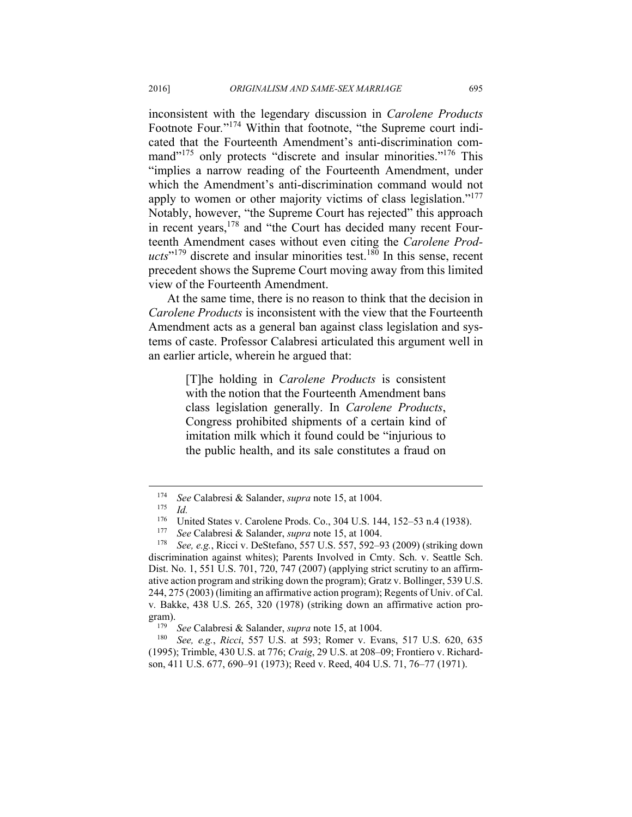inconsistent with the legendary discussion in *Carolene Products* Footnote Four*.*"174 Within that footnote, "the Supreme court indicated that the Fourteenth Amendment's anti-discrimination command"<sup>175</sup> only protects "discrete and insular minorities."<sup>176</sup> This "implies a narrow reading of the Fourteenth Amendment, under which the Amendment's anti-discrimination command would not apply to women or other majority victims of class legislation."<sup>177</sup> Notably, however, "the Supreme Court has rejected" this approach in recent years,178 and "the Court has decided many recent Fourteenth Amendment cases without even citing the *Carolene Prod* $ucts$ <sup>179</sup> discrete and insular minorities test.<sup>180</sup> In this sense, recent precedent shows the Supreme Court moving away from this limited view of the Fourteenth Amendment.

At the same time, there is no reason to think that the decision in *Carolene Products* is inconsistent with the view that the Fourteenth Amendment acts as a general ban against class legislation and systems of caste. Professor Calabresi articulated this argument well in an earlier article, wherein he argued that:

> [T]he holding in *Carolene Products* is consistent with the notion that the Fourteenth Amendment bans class legislation generally. In *Carolene Products*, Congress prohibited shipments of a certain kind of imitation milk which it found could be "injurious to the public health, and its sale constitutes a fraud on

<sup>174</sup> *See* Calabresi & Salander, *supra* note 15, at 1004. 175 *Id.*

<sup>&</sup>lt;sup>176</sup> United States v. Carolene Prods. Co., 304 U.S. 144, 152–53 n.4 (1938).<br><sup>177</sup> *See* Calabresi & Salander, *supra* note 15, at 1004.<br><sup>178</sup> *See*, *e.g.*, Ricci v. DeStefano, 557 U.S. 557, 592–93 (2009) (striking down

discrimination against whites); Parents Involved in Cmty. Sch. v. Seattle Sch. Dist. No. 1, 551 U.S. 701, 720, 747 (2007) (applying strict scrutiny to an affirmative action program and striking down the program); Gratz v. Bollinger, 539 U.S. 244, 275 (2003) (limiting an affirmative action program); Regents of Univ. of Cal. v*.* Bakke, 438 U.S. 265, 320 (1978) (striking down an affirmative action program).<br><sup>179</sup> *See* Calabresi & Salander, *supra* note 15, at 1004.<br><sup>180</sup> *See, e.g., Ricci,* 557 U.S. at 593; Romer v. Evans, 517 U.S. 620, 635

<sup>(1995);</sup> Trimble, 430 U.S. at 776; *Craig*, 29 U.S. at 208–09; Frontiero v. Richardson, 411 U.S. 677, 690–91 (1973); Reed v. Reed, 404 U.S. 71, 76–77 (1971).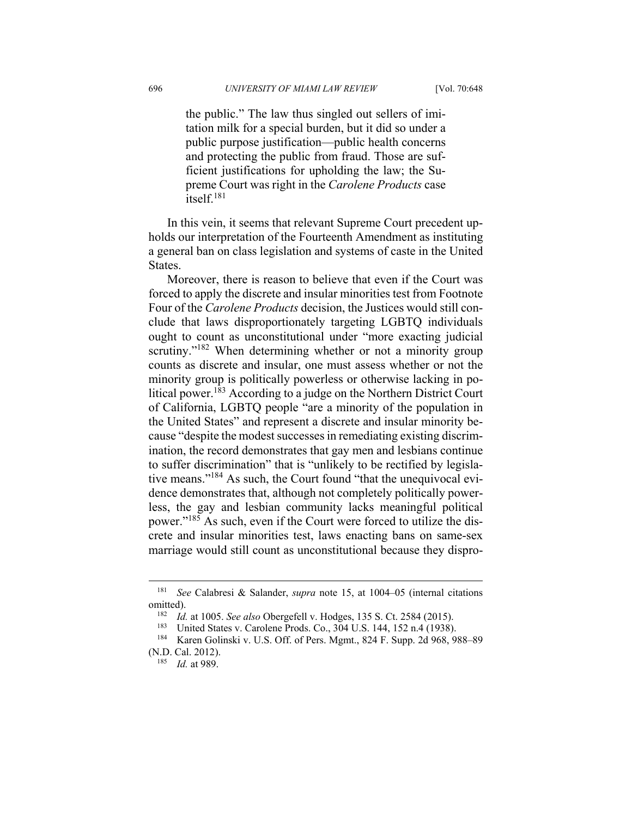the public." The law thus singled out sellers of imitation milk for a special burden, but it did so under a public purpose justification—public health concerns and protecting the public from fraud. Those are sufficient justifications for upholding the law; the Supreme Court was right in the *Carolene Products* case itself.181

In this vein, it seems that relevant Supreme Court precedent upholds our interpretation of the Fourteenth Amendment as instituting a general ban on class legislation and systems of caste in the United States.

Moreover, there is reason to believe that even if the Court was forced to apply the discrete and insular minorities test from Footnote Four of the *Carolene Products* decision, the Justices would still conclude that laws disproportionately targeting LGBTQ individuals ought to count as unconstitutional under "more exacting judicial scrutiny."<sup>182</sup> When determining whether or not a minority group counts as discrete and insular, one must assess whether or not the minority group is politically powerless or otherwise lacking in political power.<sup>183</sup> According to a judge on the Northern District Court of California, LGBTQ people "are a minority of the population in the United States" and represent a discrete and insular minority because "despite the modest successes in remediating existing discrimination, the record demonstrates that gay men and lesbians continue to suffer discrimination" that is "unlikely to be rectified by legislative means."184 As such, the Court found "that the unequivocal evidence demonstrates that, although not completely politically powerless, the gay and lesbian community lacks meaningful political power."185 As such, even if the Court were forced to utilize the discrete and insular minorities test, laws enacting bans on same-sex marriage would still count as unconstitutional because they dispro-

<sup>181</sup> *See* Calabresi & Salander, *supra* note 15, at 1004–05 (internal citations omitted).<br><sup>182</sup> *Id.* at 1005. *See also* Obergefell v. Hodges, 135 S. Ct. 2584 (2015).<br><sup>183</sup> United States v. Carolene Prods. Co., 304 U.S. 144, 152 n.4 (1938).<br><sup>184</sup> Karen Golinski v. U.S. Off. of Pers. Mgmt., 824 F. Sup

<sup>(</sup>N.D. Cal. 2012). 185 *Id.* at 989.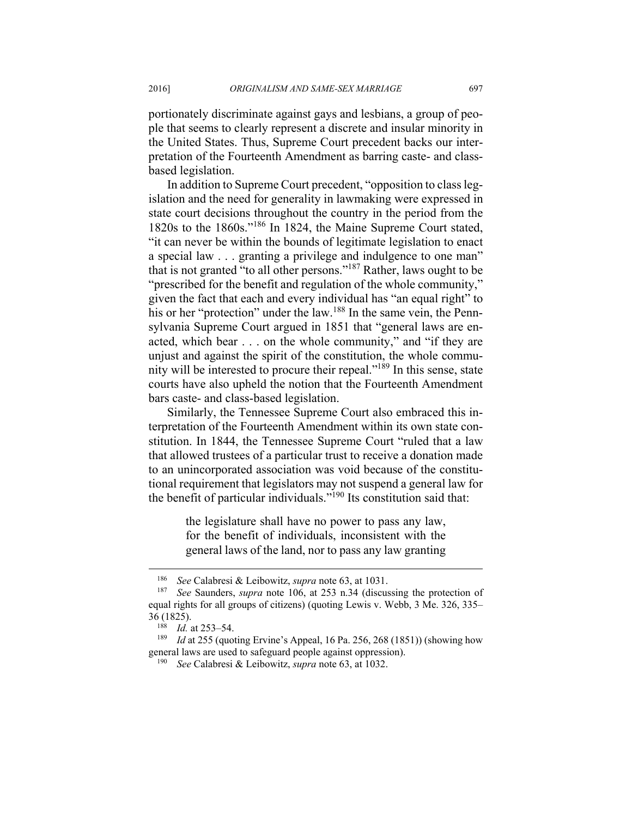portionately discriminate against gays and lesbians, a group of people that seems to clearly represent a discrete and insular minority in the United States. Thus, Supreme Court precedent backs our interpretation of the Fourteenth Amendment as barring caste- and classbased legislation.

In addition to Supreme Court precedent, "opposition to class legislation and the need for generality in lawmaking were expressed in state court decisions throughout the country in the period from the 1820s to the 1860s."186 In 1824, the Maine Supreme Court stated, "it can never be within the bounds of legitimate legislation to enact a special law . . . granting a privilege and indulgence to one man" that is not granted "to all other persons."187 Rather, laws ought to be "prescribed for the benefit and regulation of the whole community," given the fact that each and every individual has "an equal right" to his or her "protection" under the law.<sup>188</sup> In the same vein, the Pennsylvania Supreme Court argued in 1851 that "general laws are enacted, which bear . . . on the whole community," and "if they are unjust and against the spirit of the constitution, the whole community will be interested to procure their repeal."189 In this sense, state courts have also upheld the notion that the Fourteenth Amendment bars caste- and class-based legislation.

Similarly, the Tennessee Supreme Court also embraced this interpretation of the Fourteenth Amendment within its own state constitution. In 1844, the Tennessee Supreme Court "ruled that a law that allowed trustees of a particular trust to receive a donation made to an unincorporated association was void because of the constitutional requirement that legislators may not suspend a general law for the benefit of particular individuals."190 Its constitution said that:

> the legislature shall have no power to pass any law, for the benefit of individuals, inconsistent with the general laws of the land, nor to pass any law granting

<sup>186</sup> *See* Calabresi & Leibowitz, *supra* note 63, at 1031. 187 *See* Saunders, *supra* note 106, at 253 n.34 (discussing the protection of equal rights for all groups of citizens) (quoting Lewis v. Webb, 3 Me. 326, 335– 36 (1825). 188 *Id.* at 253–54. 189 *Id* at 255 (quoting Ervine's Appeal, 16 Pa. 256, 268 (1851)) (showing how

general laws are used to safeguard people against oppression). 190 *See* Calabresi & Leibowitz, *supra* note 63, at 1032.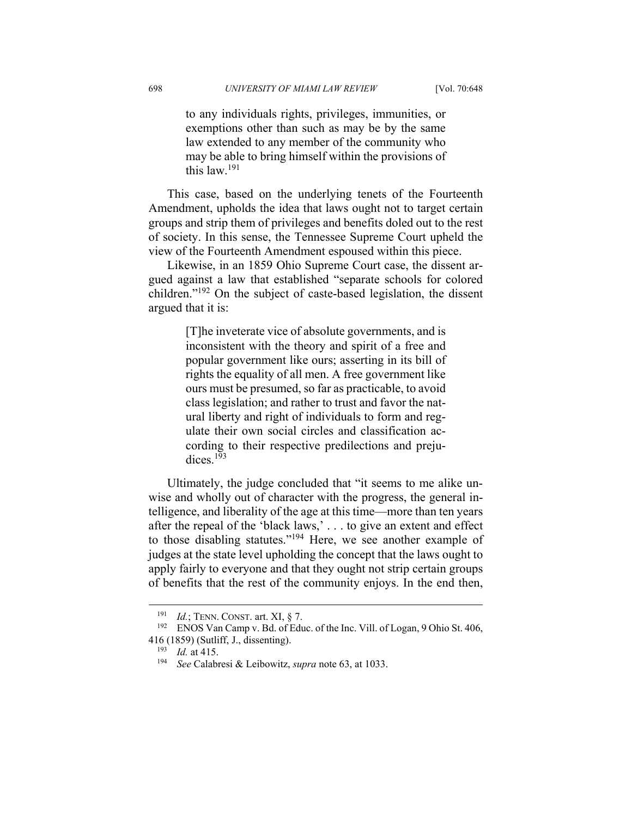to any individuals rights, privileges, immunities, or exemptions other than such as may be by the same law extended to any member of the community who may be able to bring himself within the provisions of this law.<sup>191</sup>

This case, based on the underlying tenets of the Fourteenth Amendment, upholds the idea that laws ought not to target certain groups and strip them of privileges and benefits doled out to the rest of society. In this sense, the Tennessee Supreme Court upheld the view of the Fourteenth Amendment espoused within this piece.

Likewise, in an 1859 Ohio Supreme Court case, the dissent argued against a law that established "separate schools for colored children."192 On the subject of caste-based legislation, the dissent argued that it is:

> [T]he inveterate vice of absolute governments, and is inconsistent with the theory and spirit of a free and popular government like ours; asserting in its bill of rights the equality of all men. A free government like ours must be presumed, so far as practicable, to avoid class legislation; and rather to trust and favor the natural liberty and right of individuals to form and regulate their own social circles and classification according to their respective predilections and prejudices.193

Ultimately, the judge concluded that "it seems to me alike unwise and wholly out of character with the progress, the general intelligence, and liberality of the age at this time—more than ten years after the repeal of the 'black laws,' . . . to give an extent and effect to those disabling statutes."194 Here, we see another example of judges at the state level upholding the concept that the laws ought to apply fairly to everyone and that they ought not strip certain groups of benefits that the rest of the community enjoys. In the end then,

<sup>191</sup> *Id.*; TENN. CONST. art. XI, § 7.<br>
<sup>192</sup> ENOS Van Camp v. Bd. of Educ. of the Inc. Vill. of Logan, 9 Ohio St. 406, 416 (1859) (Sutliff, J., dissenting). 193 *Id.* at 415. 194 *See* Calabresi & Leibowitz, *supra* note 63, at 1033.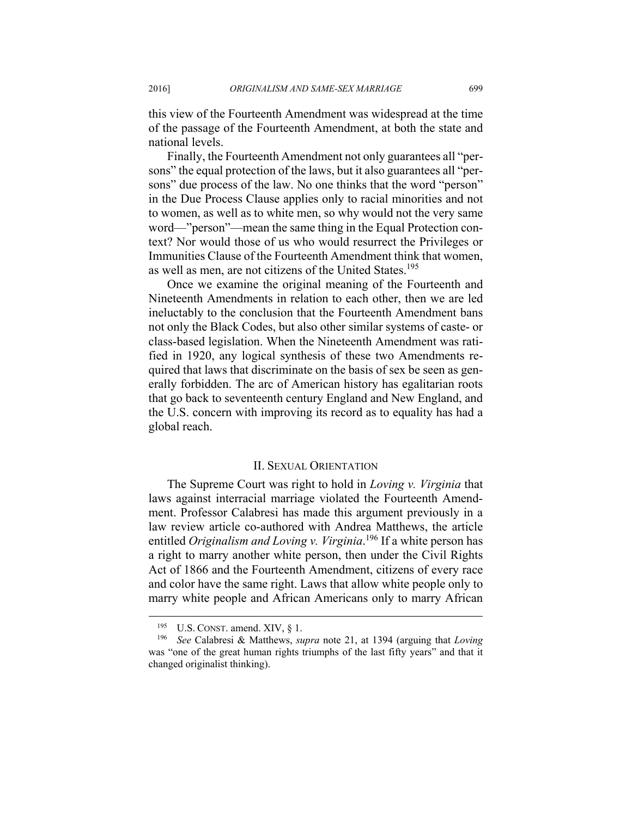this view of the Fourteenth Amendment was widespread at the time of the passage of the Fourteenth Amendment, at both the state and national levels.

Finally, the Fourteenth Amendment not only guarantees all "persons" the equal protection of the laws, but it also guarantees all "persons" due process of the law. No one thinks that the word "person" in the Due Process Clause applies only to racial minorities and not to women, as well as to white men, so why would not the very same word—"person"—mean the same thing in the Equal Protection context? Nor would those of us who would resurrect the Privileges or Immunities Clause of the Fourteenth Amendment think that women, as well as men, are not citizens of the United States.<sup>195</sup>

Once we examine the original meaning of the Fourteenth and Nineteenth Amendments in relation to each other, then we are led ineluctably to the conclusion that the Fourteenth Amendment bans not only the Black Codes, but also other similar systems of caste- or class-based legislation. When the Nineteenth Amendment was ratified in 1920, any logical synthesis of these two Amendments required that laws that discriminate on the basis of sex be seen as generally forbidden. The arc of American history has egalitarian roots that go back to seventeenth century England and New England, and the U.S. concern with improving its record as to equality has had a global reach.

#### II. SEXUAL ORIENTATION

The Supreme Court was right to hold in *Loving v. Virginia* that laws against interracial marriage violated the Fourteenth Amendment. Professor Calabresi has made this argument previously in a law review article co-authored with Andrea Matthews, the article entitled *Originalism and Loving v. Virginia*. 196 If a white person has a right to marry another white person, then under the Civil Rights Act of 1866 and the Fourteenth Amendment, citizens of every race and color have the same right. Laws that allow white people only to marry white people and African Americans only to marry African

1

<sup>195</sup> U.S. CONST. amend. XIV, § 1. 196 *See* Calabresi & Matthews, *supra* note 21, at 1394 (arguing that *Loving* was "one of the great human rights triumphs of the last fifty years" and that it changed originalist thinking).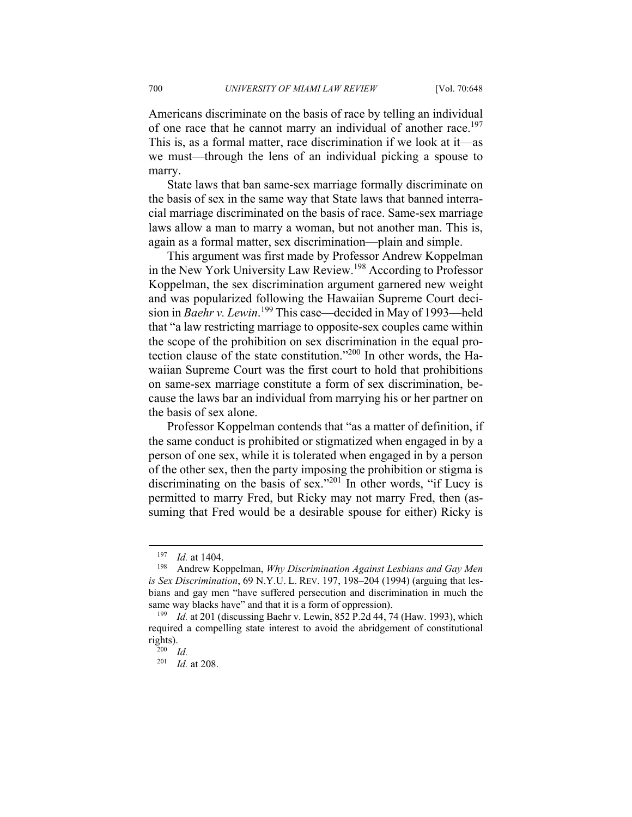Americans discriminate on the basis of race by telling an individual of one race that he cannot marry an individual of another race.<sup>197</sup> This is, as a formal matter, race discrimination if we look at it—as we must—through the lens of an individual picking a spouse to marry.

State laws that ban same-sex marriage formally discriminate on the basis of sex in the same way that State laws that banned interracial marriage discriminated on the basis of race. Same-sex marriage laws allow a man to marry a woman, but not another man. This is, again as a formal matter, sex discrimination—plain and simple.

This argument was first made by Professor Andrew Koppelman in the New York University Law Review.198 According to Professor Koppelman, the sex discrimination argument garnered new weight and was popularized following the Hawaiian Supreme Court decision in *Baehr v. Lewin*.<sup>199</sup> This case—decided in May of 1993—held that "a law restricting marriage to opposite-sex couples came within the scope of the prohibition on sex discrimination in the equal protection clause of the state constitution."200 In other words, the Hawaiian Supreme Court was the first court to hold that prohibitions on same-sex marriage constitute a form of sex discrimination, because the laws bar an individual from marrying his or her partner on the basis of sex alone.

Professor Koppelman contends that "as a matter of definition, if the same conduct is prohibited or stigmatized when engaged in by a person of one sex, while it is tolerated when engaged in by a person of the other sex, then the party imposing the prohibition or stigma is discriminating on the basis of sex."<sup>201</sup> In other words, "if Lucy is permitted to marry Fred, but Ricky may not marry Fred, then (assuming that Fred would be a desirable spouse for either) Ricky is

1

<sup>&</sup>lt;sup>197</sup> *Id.* at 1404.<br><sup>198</sup> Andrew Koppelman, *Why Discrimination Against Lesbians and Gay Men is Sex Discrimination*, 69 N.Y.U. L. REV. 197, 198–204 (1994) (arguing that lesbians and gay men "have suffered persecution and discrimination in much the same way blacks have" and that it is a form of oppression).<br><sup>199</sup> Id. at 201 (discussing Baehr v. Lewin, 852 P.2d 44, 74 (Haw. 1993), which

required a compelling state interest to avoid the abridgement of constitutional rights).<br> $^{200}$  *Id.* 

<sup>201</sup> *Id.* at 208.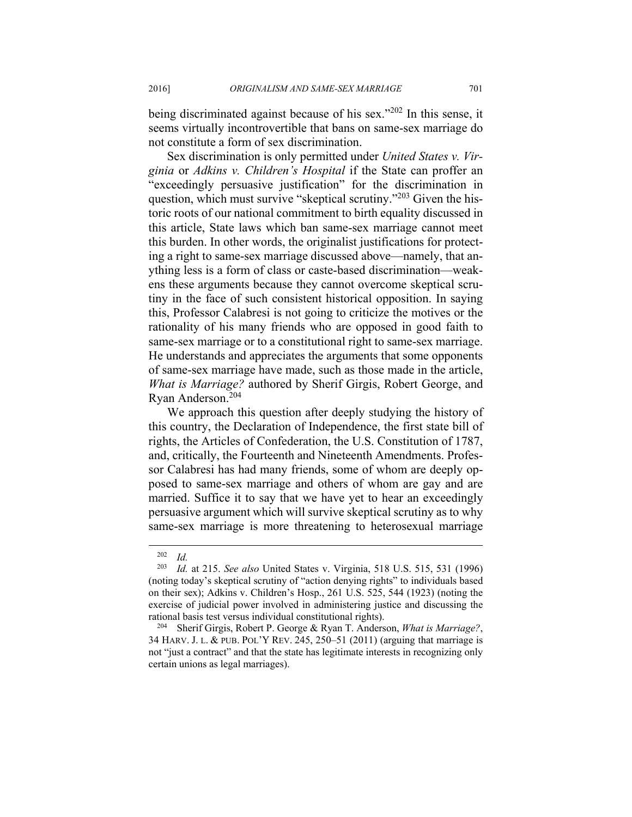being discriminated against because of his sex."<sup>202</sup> In this sense, it seems virtually incontrovertible that bans on same-sex marriage do not constitute a form of sex discrimination.

Sex discrimination is only permitted under *United States v. Virginia* or *Adkins v. Children's Hospital* if the State can proffer an "exceedingly persuasive justification" for the discrimination in question, which must survive "skeptical scrutiny."203 Given the historic roots of our national commitment to birth equality discussed in this article, State laws which ban same-sex marriage cannot meet this burden. In other words, the originalist justifications for protecting a right to same-sex marriage discussed above—namely, that anything less is a form of class or caste-based discrimination—weakens these arguments because they cannot overcome skeptical scrutiny in the face of such consistent historical opposition. In saying this, Professor Calabresi is not going to criticize the motives or the rationality of his many friends who are opposed in good faith to same-sex marriage or to a constitutional right to same-sex marriage. He understands and appreciates the arguments that some opponents of same-sex marriage have made, such as those made in the article, *What is Marriage?* authored by Sherif Girgis, Robert George, and Ryan Anderson.204

We approach this question after deeply studying the history of this country, the Declaration of Independence, the first state bill of rights, the Articles of Confederation, the U.S. Constitution of 1787, and, critically, the Fourteenth and Nineteenth Amendments. Professor Calabresi has had many friends, some of whom are deeply opposed to same-sex marriage and others of whom are gay and are married. Suffice it to say that we have yet to hear an exceedingly persuasive argument which will survive skeptical scrutiny as to why same-sex marriage is more threatening to heterosexual marriage

 $\frac{202}{203}$  *Id.* 

*Id.* at 215. *See also* United States v. Virginia, 518 U.S. 515, 531 (1996) (noting today's skeptical scrutiny of "action denying rights" to individuals based on their sex); Adkins v. Children's Hosp., 261 U.S. 525, 544 (1923) (noting the exercise of judicial power involved in administering justice and discussing the rational basis test versus individual constitutional rights). 204 Sherif Girgis, Robert P. George & Ryan T. Anderson, *What is Marriage?*,

<sup>34</sup> HARV. J. L. & PUB. POL'Y REV. 245, 250–51 (2011) (arguing that marriage is not "just a contract" and that the state has legitimate interests in recognizing only certain unions as legal marriages).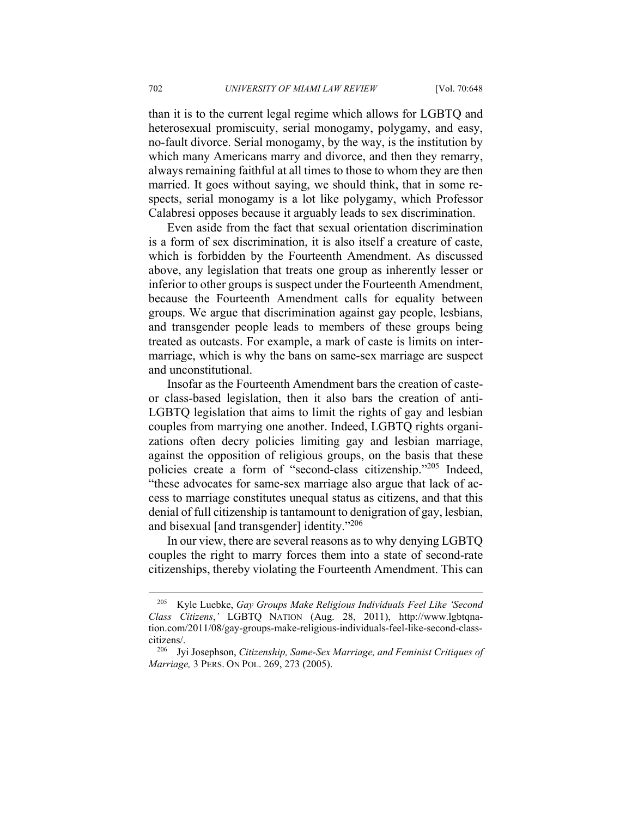than it is to the current legal regime which allows for LGBTQ and heterosexual promiscuity, serial monogamy, polygamy, and easy, no-fault divorce. Serial monogamy, by the way, is the institution by which many Americans marry and divorce, and then they remarry, always remaining faithful at all times to those to whom they are then married. It goes without saying, we should think, that in some respects, serial monogamy is a lot like polygamy, which Professor Calabresi opposes because it arguably leads to sex discrimination.

Even aside from the fact that sexual orientation discrimination is a form of sex discrimination, it is also itself a creature of caste, which is forbidden by the Fourteenth Amendment. As discussed above, any legislation that treats one group as inherently lesser or inferior to other groups is suspect under the Fourteenth Amendment, because the Fourteenth Amendment calls for equality between groups. We argue that discrimination against gay people, lesbians, and transgender people leads to members of these groups being treated as outcasts. For example, a mark of caste is limits on intermarriage, which is why the bans on same-sex marriage are suspect and unconstitutional.

Insofar as the Fourteenth Amendment bars the creation of casteor class-based legislation, then it also bars the creation of anti-LGBTQ legislation that aims to limit the rights of gay and lesbian couples from marrying one another. Indeed, LGBTQ rights organizations often decry policies limiting gay and lesbian marriage, against the opposition of religious groups, on the basis that these policies create a form of "second-class citizenship."205 Indeed, "these advocates for same-sex marriage also argue that lack of access to marriage constitutes unequal status as citizens, and that this denial of full citizenship is tantamount to denigration of gay, lesbian, and bisexual [and transgender] identity."206

In our view, there are several reasons as to why denying LGBTQ couples the right to marry forces them into a state of second-rate citizenships, thereby violating the Fourteenth Amendment. This can

<sup>205</sup> Kyle Luebke, *Gay Groups Make Religious Individuals Feel Like 'Second Class Citizens*,*'* LGBTQ NATION (Aug. 28, 2011), http://www.lgbtqnation.com/2011/08/gay-groups-make-religious-individuals-feel-like-second-classcitizens/. 206 Jyi Josephson, *Citizenship, Same-Sex Marriage, and Feminist Critiques of* 

*Marriage,* 3 PERS. ON POL. 269, 273 (2005).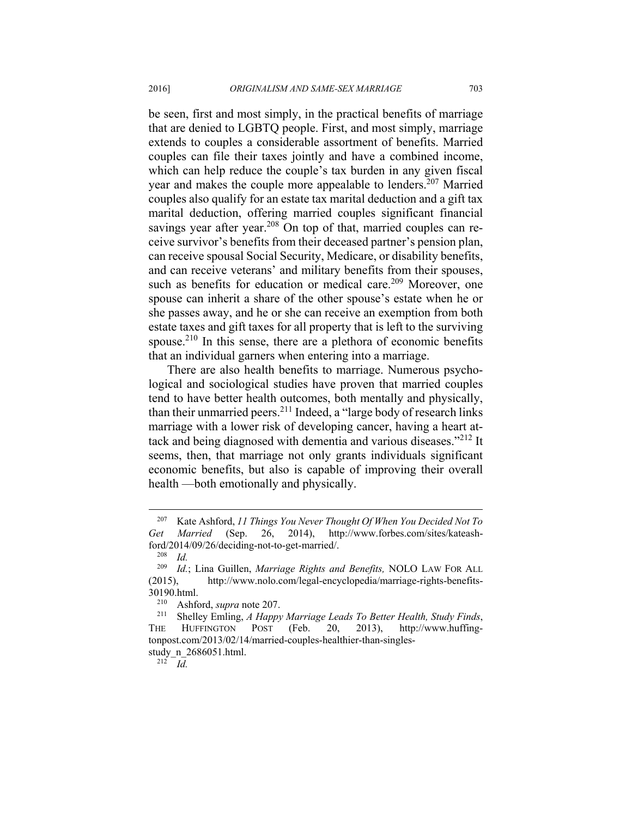be seen, first and most simply, in the practical benefits of marriage that are denied to LGBTQ people. First, and most simply, marriage extends to couples a considerable assortment of benefits. Married couples can file their taxes jointly and have a combined income, which can help reduce the couple's tax burden in any given fiscal year and makes the couple more appealable to lenders.<sup>207</sup> Married couples also qualify for an estate tax marital deduction and a gift tax marital deduction, offering married couples significant financial savings year after year.<sup>208</sup> On top of that, married couples can receive survivor's benefits from their deceased partner's pension plan, can receive spousal Social Security, Medicare, or disability benefits, and can receive veterans' and military benefits from their spouses, such as benefits for education or medical care.<sup>209</sup> Moreover, one spouse can inherit a share of the other spouse's estate when he or she passes away, and he or she can receive an exemption from both estate taxes and gift taxes for all property that is left to the surviving spouse.<sup>210</sup> In this sense, there are a plethora of economic benefits that an individual garners when entering into a marriage.

There are also health benefits to marriage. Numerous psychological and sociological studies have proven that married couples tend to have better health outcomes, both mentally and physically, than their unmarried peers.<sup>211</sup> Indeed, a "large body of research links" marriage with a lower risk of developing cancer, having a heart attack and being diagnosed with dementia and various diseases."<sup>212</sup> It seems, then, that marriage not only grants individuals significant economic benefits, but also is capable of improving their overall health —both emotionally and physically.

<sup>207</sup> Kate Ashford, *11 Things You Never Thought Of When You Decided Not To Get Married* (Sep. 26, 2014), http://www.forbes.com/sites/kateashford/2014/09/26/deciding-not-to-get-married/. 208 *Id.*

*Id.*; Lina Guillen, *Marriage Rights and Benefits*, NOLO LAW FOR ALL (2015), http://www.nolo.com/legal-encyclopedia/marriage-rights-benefits-

<sup>&</sup>lt;sup>210</sup> Ashford, *supra* note 207.<br><sup>211</sup> Shelley Emling, *A Happy Marriage Leads To Better Health, Study Finds*, THE HUFFINGTON POST (Feb. 20, 2013), http://www.huffingtonpost.com/2013/02/14/married-couples-healthier-than-singlesstudy\_n\_2686051.html. 212 *Id.*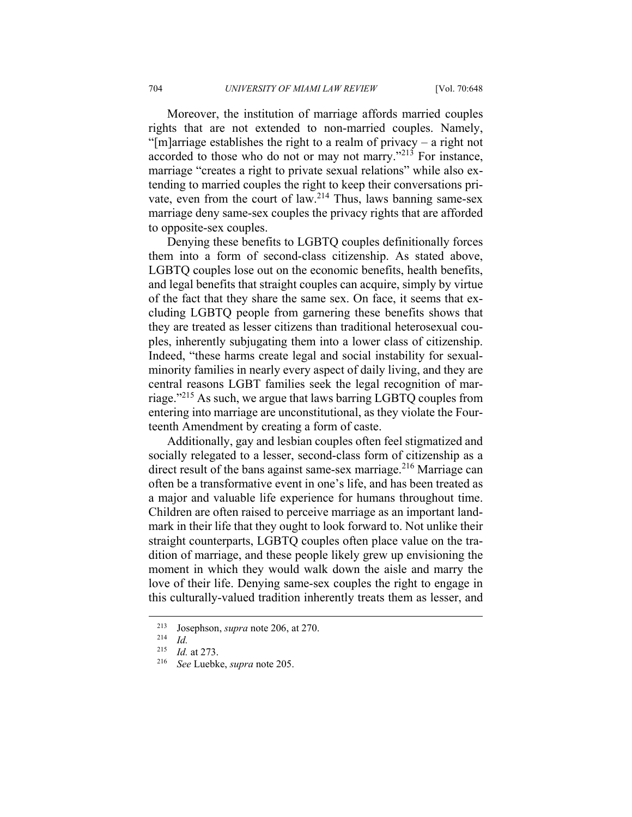Moreover, the institution of marriage affords married couples rights that are not extended to non-married couples. Namely, "[m]arriage establishes the right to a realm of privacy – a right not accorded to those who do not or may not marry."213 For instance, marriage "creates a right to private sexual relations" while also extending to married couples the right to keep their conversations private, even from the court of law.<sup>214</sup> Thus, laws banning same-sex marriage deny same-sex couples the privacy rights that are afforded to opposite-sex couples.

Denying these benefits to LGBTQ couples definitionally forces them into a form of second-class citizenship. As stated above, LGBTQ couples lose out on the economic benefits, health benefits, and legal benefits that straight couples can acquire, simply by virtue of the fact that they share the same sex. On face, it seems that excluding LGBTQ people from garnering these benefits shows that they are treated as lesser citizens than traditional heterosexual couples, inherently subjugating them into a lower class of citizenship. Indeed, "these harms create legal and social instability for sexualminority families in nearly every aspect of daily living, and they are central reasons LGBT families seek the legal recognition of marriage."215 As such, we argue that laws barring LGBTQ couples from entering into marriage are unconstitutional, as they violate the Fourteenth Amendment by creating a form of caste.

Additionally, gay and lesbian couples often feel stigmatized and socially relegated to a lesser, second-class form of citizenship as a direct result of the bans against same-sex marriage.<sup>216</sup> Marriage can often be a transformative event in one's life, and has been treated as a major and valuable life experience for humans throughout time. Children are often raised to perceive marriage as an important landmark in their life that they ought to look forward to. Not unlike their straight counterparts, LGBTQ couples often place value on the tradition of marriage, and these people likely grew up envisioning the moment in which they would walk down the aisle and marry the love of their life. Denying same-sex couples the right to engage in this culturally-valued tradition inherently treats them as lesser, and

<sup>213</sup> Josephson, *supra* note 206, at 270. 214 *Id.*

<sup>215</sup> *Id.* at 273. 216 *See* Luebke, *supra* note 205.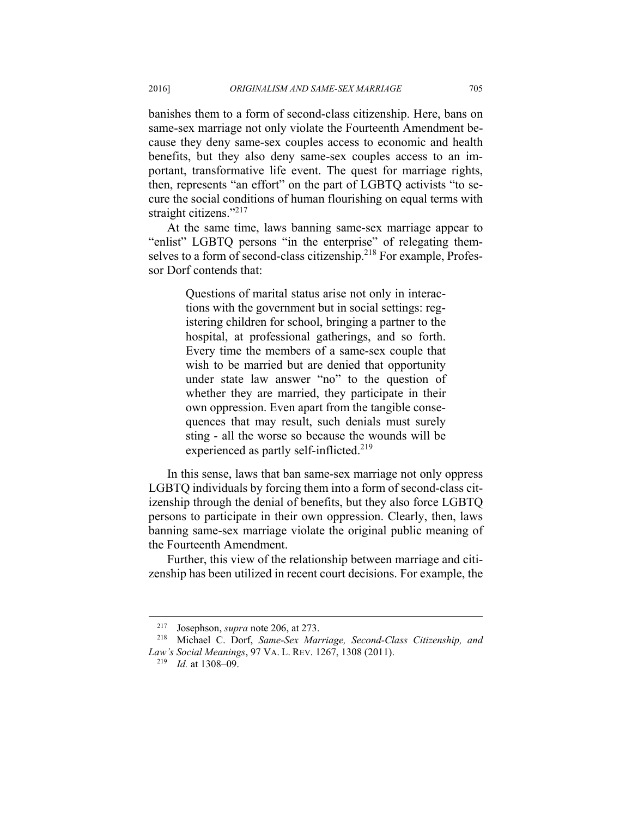banishes them to a form of second-class citizenship. Here, bans on same-sex marriage not only violate the Fourteenth Amendment because they deny same-sex couples access to economic and health benefits, but they also deny same-sex couples access to an important, transformative life event. The quest for marriage rights, then, represents "an effort" on the part of LGBTQ activists "to secure the social conditions of human flourishing on equal terms with straight citizens."<sup>217</sup>

At the same time, laws banning same-sex marriage appear to "enlist" LGBTQ persons "in the enterprise" of relegating themselves to a form of second-class citizenship.<sup>218</sup> For example, Professor Dorf contends that:

> Questions of marital status arise not only in interactions with the government but in social settings: registering children for school, bringing a partner to the hospital, at professional gatherings, and so forth. Every time the members of a same-sex couple that wish to be married but are denied that opportunity under state law answer "no" to the question of whether they are married, they participate in their own oppression. Even apart from the tangible consequences that may result, such denials must surely sting - all the worse so because the wounds will be experienced as partly self-inflicted.<sup>219</sup>

In this sense, laws that ban same-sex marriage not only oppress LGBTQ individuals by forcing them into a form of second-class citizenship through the denial of benefits, but they also force LGBTQ persons to participate in their own oppression. Clearly, then, laws banning same-sex marriage violate the original public meaning of the Fourteenth Amendment.

Further, this view of the relationship between marriage and citizenship has been utilized in recent court decisions. For example, the

1

<sup>217</sup> Josephson, *supra* note 206, at 273. 218 Michael C. Dorf, *Same-Sex Marriage, Second-Class Citizenship, and Law's Social Meanings*, 97 VA. L. REV. 1267, 1308 (2011). 219 *Id.* at 1308–09.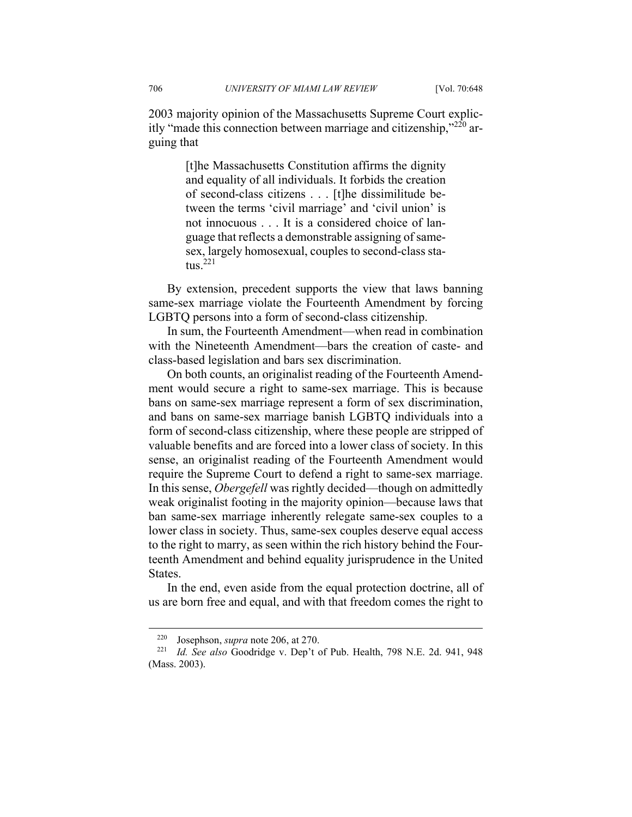2003 majority opinion of the Massachusetts Supreme Court explicitly "made this connection between marriage and citizenship." $^{220}$  arguing that

> [t]he Massachusetts Constitution affirms the dignity and equality of all individuals. It forbids the creation of second-class citizens . . . [t]he dissimilitude between the terms 'civil marriage' and 'civil union' is not innocuous . . . It is a considered choice of language that reflects a demonstrable assigning of samesex, largely homosexual, couples to second-class status.<sup>221</sup>

By extension, precedent supports the view that laws banning same-sex marriage violate the Fourteenth Amendment by forcing LGBTQ persons into a form of second-class citizenship.

In sum, the Fourteenth Amendment—when read in combination with the Nineteenth Amendment—bars the creation of caste- and class-based legislation and bars sex discrimination.

On both counts, an originalist reading of the Fourteenth Amendment would secure a right to same-sex marriage. This is because bans on same-sex marriage represent a form of sex discrimination, and bans on same-sex marriage banish LGBTQ individuals into a form of second-class citizenship, where these people are stripped of valuable benefits and are forced into a lower class of society. In this sense, an originalist reading of the Fourteenth Amendment would require the Supreme Court to defend a right to same-sex marriage. In this sense, *Obergefell* was rightly decided—though on admittedly weak originalist footing in the majority opinion—because laws that ban same-sex marriage inherently relegate same-sex couples to a lower class in society. Thus, same-sex couples deserve equal access to the right to marry, as seen within the rich history behind the Fourteenth Amendment and behind equality jurisprudence in the United States.

In the end, even aside from the equal protection doctrine, all of us are born free and equal, and with that freedom comes the right to

<sup>220</sup> Josephson, *supra* note 206, at 270. 221 *Id. See also* Goodridge v. Dep't of Pub. Health, 798 N.E. 2d. 941, 948 (Mass. 2003).